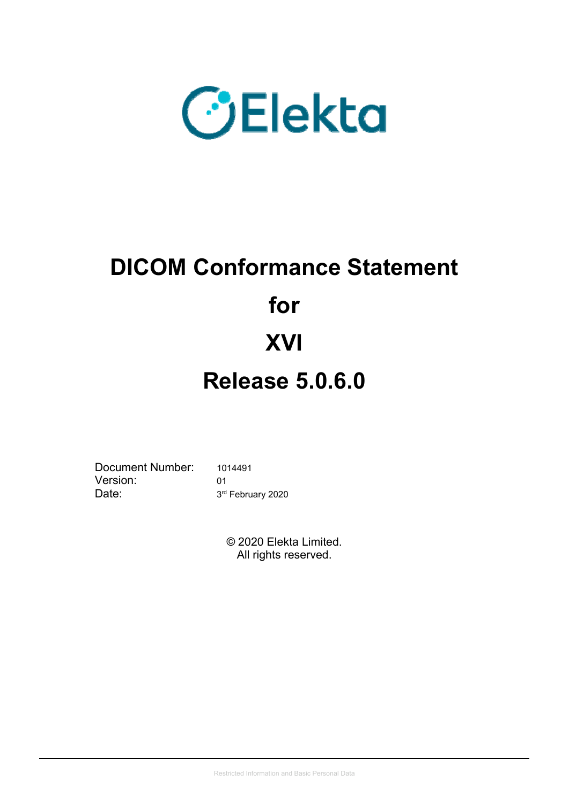

# **DICOM Conformance Statement for XVI Release 5.0.6.0**

Document Number: 1014491 Version: 01 Date: 3<sup>rd</sup> February 2020

© 2020 Elekta Limited. All rights reserved.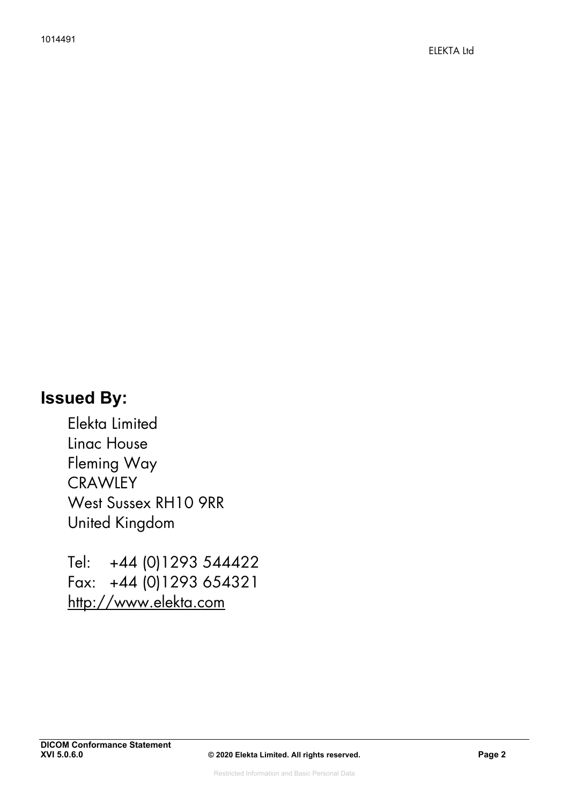# **Issued By:**

Elekta Limited Linac House Fleming Way **CRAWLEY** West Sussex RH10 9RR United Kingdom

Tel: +44 (0)1293 544422 Fax: +44 (0)1293 654321 http://www.elekta.com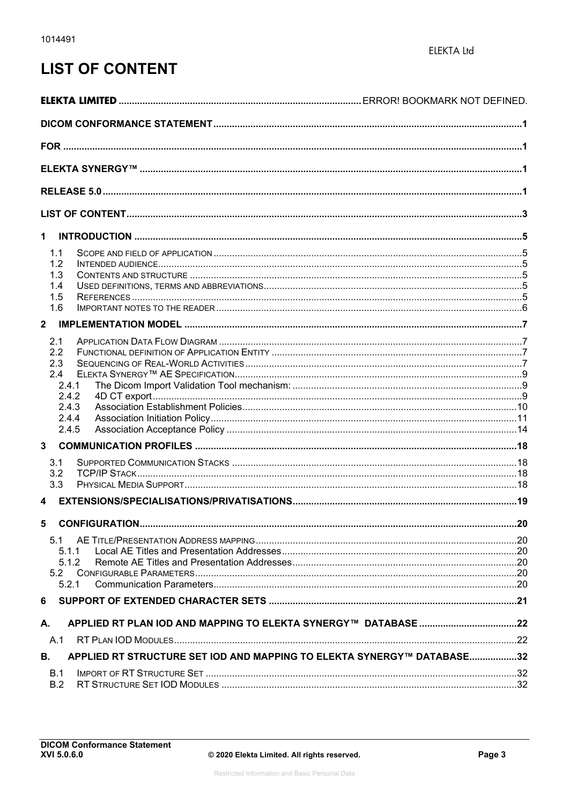# **LIST OF CONTENT**

| $\mathbf 1$                                                                  |     |
|------------------------------------------------------------------------------|-----|
|                                                                              |     |
| 1.1<br>1.2                                                                   |     |
| 1.3                                                                          |     |
| 1.4                                                                          |     |
| 1.5                                                                          |     |
| 1.6                                                                          |     |
| $\overline{2}$                                                               |     |
|                                                                              |     |
| 2.1                                                                          |     |
| 2.2                                                                          |     |
| 2.3<br>2.4                                                                   |     |
| 2.4.1                                                                        |     |
| 2.4.2                                                                        |     |
| 2.4.3                                                                        |     |
| 2.4.4                                                                        |     |
| 2.4.5                                                                        |     |
|                                                                              |     |
|                                                                              |     |
| 3.1                                                                          |     |
| 3.2                                                                          |     |
| 3.3                                                                          |     |
| $\overline{\mathbf{4}}$                                                      |     |
| 5 CONFIGURATION                                                              | .20 |
| 5.1                                                                          |     |
| 5.1.1                                                                        |     |
| 5.1.2                                                                        |     |
|                                                                              |     |
| 5.2.1                                                                        |     |
| 6                                                                            |     |
| А.                                                                           |     |
| A.1                                                                          |     |
| APPLIED RT STRUCTURE SET IOD AND MAPPING TO ELEKTA SYNERGY™ DATABASE32<br>В. |     |
| B.1                                                                          |     |
| B.2                                                                          |     |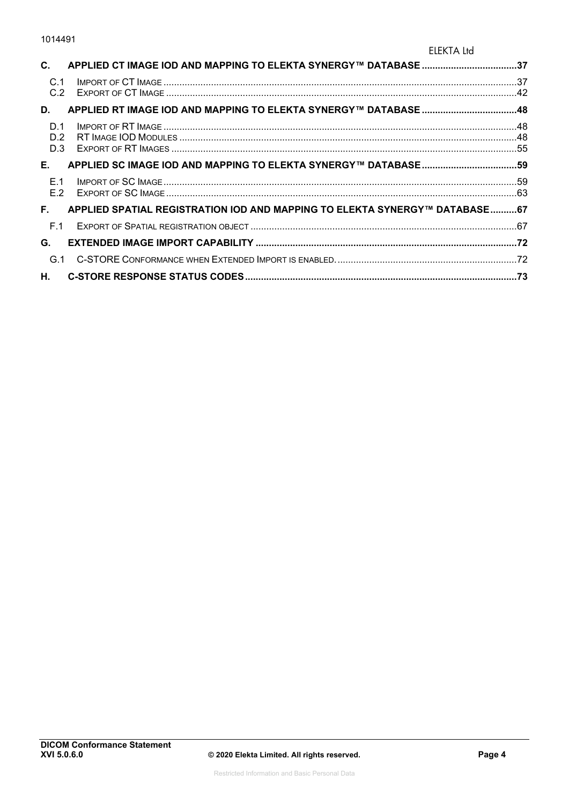#### ELEKTA Ltd

| C.                | APPLIED CT IMAGE IOD AND MAPPING TO ELEKTA SYNERGY™ DATABASE 37            |  |
|-------------------|----------------------------------------------------------------------------|--|
| C.1<br>C.2        |                                                                            |  |
| D.                |                                                                            |  |
| D.1<br>D.2<br>D.3 |                                                                            |  |
| E.,               |                                                                            |  |
| E.1<br>E.2        |                                                                            |  |
| F.                | APPLIED SPATIAL REGISTRATION IOD AND MAPPING TO ELEKTA SYNERGY™ DATABASE67 |  |
| F.1               |                                                                            |  |
| G.                |                                                                            |  |
|                   |                                                                            |  |
| <b>H.</b>         |                                                                            |  |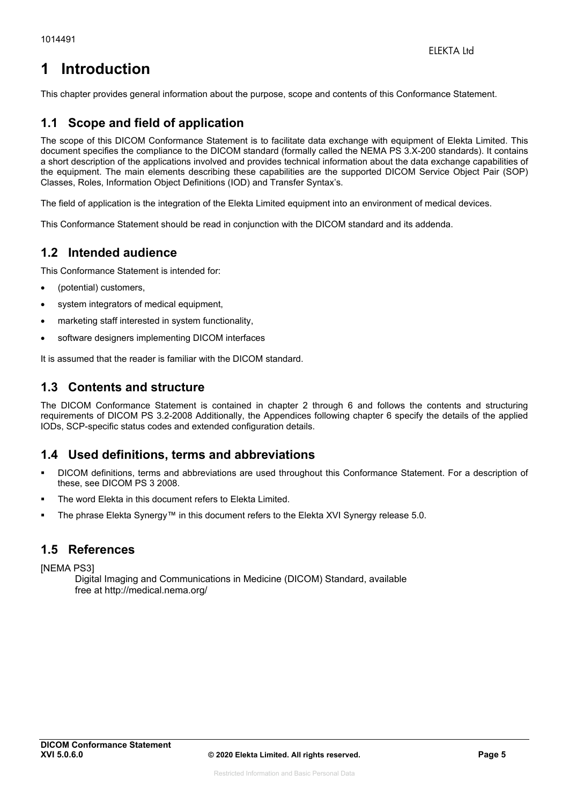# **1 Introduction**

This chapter provides general information about the purpose, scope and contents of this Conformance Statement.

# **1.1 Scope and field of application**

The scope of this DICOM Conformance Statement is to facilitate data exchange with equipment of Elekta Limited. This document specifies the compliance to the DICOM standard (formally called the NEMA PS 3.X-200 standards). It contains a short description of the applications involved and provides technical information about the data exchange capabilities of the equipment. The main elements describing these capabilities are the supported DICOM Service Object Pair (SOP) Classes, Roles, Information Object Definitions (IOD) and Transfer Syntax's.

The field of application is the integration of the Elekta Limited equipment into an environment of medical devices.

This Conformance Statement should be read in conjunction with the DICOM standard and its addenda.

# **1.2 Intended audience**

This Conformance Statement is intended for:

- (potential) customers,
- system integrators of medical equipment,
- marketing staff interested in system functionality,
- software designers implementing DICOM interfaces

It is assumed that the reader is familiar with the DICOM standard.

# **1.3 Contents and structure**

The DICOM Conformance Statement is contained in chapter 2 through 6 and follows the contents and structuring requirements of DICOM PS 3.2-2008 Additionally, the Appendices following chapter 6 specify the details of the applied IODs, SCP-specific status codes and extended configuration details.

# **1.4 Used definitions, terms and abbreviations**

- DICOM definitions, terms and abbreviations are used throughout this Conformance Statement. For a description of these, see DICOM PS 3 2008.
- The word Elekta in this document refers to Elekta Limited.
- The phrase Elekta Synergy™ in this document refers to the Elekta XVI Synergy release 5.0.

### **1.5 References**

**INEMA PS31** 

Digital Imaging and Communications in Medicine (DICOM) Standard, available free at http://medical.nema.org/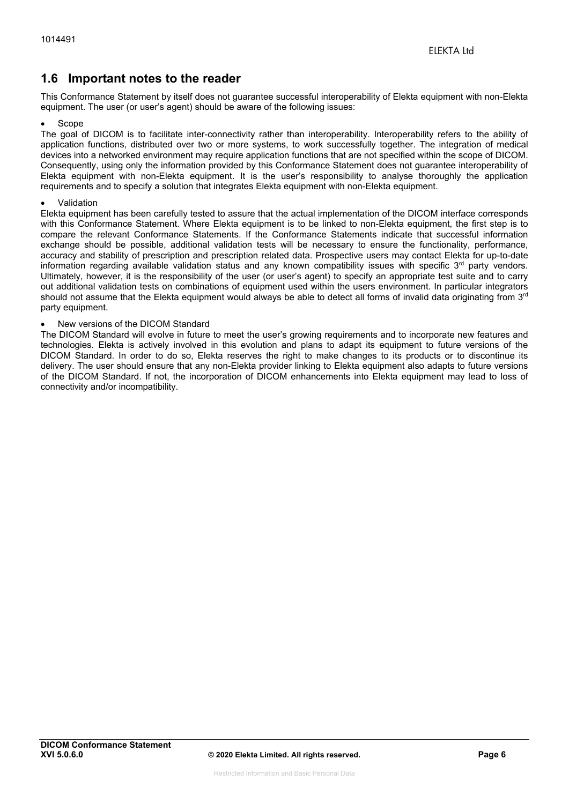# **1.6 Important notes to the reader**

This Conformance Statement by itself does not guarantee successful interoperability of Elekta equipment with non-Elekta equipment. The user (or user's agent) should be aware of the following issues:

#### Scope

The goal of DICOM is to facilitate inter-connectivity rather than interoperability. Interoperability refers to the ability of application functions, distributed over two or more systems, to work successfully together. The integration of medical devices into a networked environment may require application functions that are not specified within the scope of DICOM. Consequently, using only the information provided by this Conformance Statement does not guarantee interoperability of Elekta equipment with non-Elekta equipment. It is the user's responsibility to analyse thoroughly the application requirements and to specify a solution that integrates Elekta equipment with non-Elekta equipment.

#### Validation

Elekta equipment has been carefully tested to assure that the actual implementation of the DICOM interface corresponds with this Conformance Statement. Where Elekta equipment is to be linked to non-Elekta equipment, the first step is to compare the relevant Conformance Statements. If the Conformance Statements indicate that successful information exchange should be possible, additional validation tests will be necessary to ensure the functionality, performance, accuracy and stability of prescription and prescription related data. Prospective users may contact Elekta for up-to-date information regarding available validation status and any known compatibility issues with specific 3<sup>rd</sup> party vendors. Ultimately, however, it is the responsibility of the user (or user's agent) to specify an appropriate test suite and to carry out additional validation tests on combinations of equipment used within the users environment. In particular integrators should not assume that the Elekta equipment would always be able to detect all forms of invalid data originating from  $3<sup>rd</sup>$ party equipment.

#### New versions of the DICOM Standard

The DICOM Standard will evolve in future to meet the user's growing requirements and to incorporate new features and technologies. Elekta is actively involved in this evolution and plans to adapt its equipment to future versions of the DICOM Standard. In order to do so, Elekta reserves the right to make changes to its products or to discontinue its delivery. The user should ensure that any non-Elekta provider linking to Elekta equipment also adapts to future versions of the DICOM Standard. If not, the incorporation of DICOM enhancements into Elekta equipment may lead to loss of connectivity and/or incompatibility.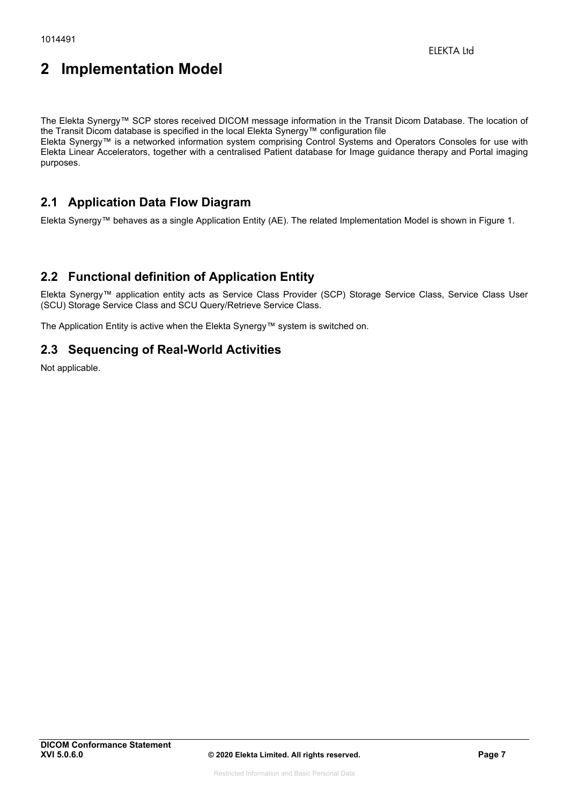# **2 Implementation Model**

The Elekta Synergy™ SCP stores received DICOM message information in the Transit Dicom Database. The location of the Transit Dicom database is specified in the local Elekta Synergy™ configuration file

Elekta Synergy™ is a networked information system comprising Control Systems and Operators Consoles for use with Elekta Linear Accelerators, together with a centralised Patient database for Image guidance therapy and Portal imaging purposes.

# **2.1 Application Data Flow Diagram**

Elekta Synergy™ behaves as a single Application Entity (AE). The related Implementation Model is shown in Figure 1.

# **2.2 Functional definition of Application Entity**

Elekta Synergy™ application entity acts as Service Class Provider (SCP) Storage Service Class, Service Class User (SCU) Storage Service Class and SCU Query/Retrieve Service Class.

The Application Entity is active when the Elekta Synergy™ system is switched on.

# **2.3 Sequencing of Real-World Activities**

Not applicable.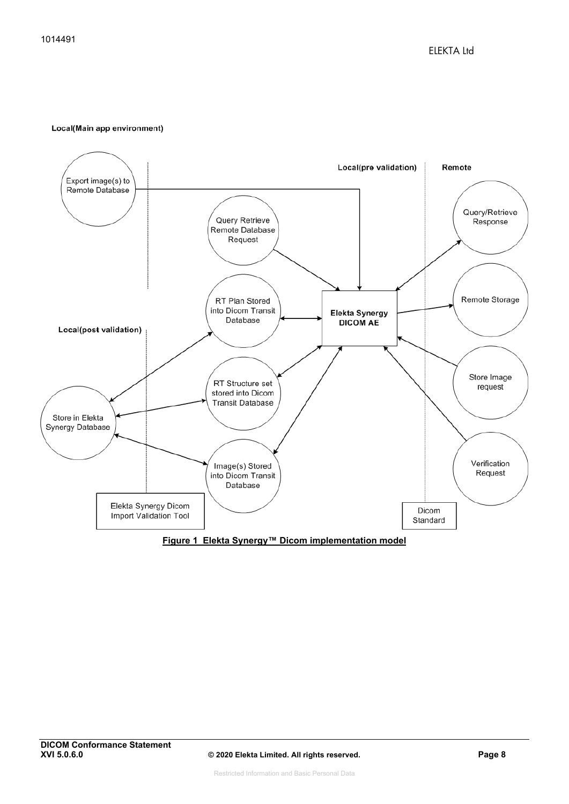#### Local(Main app environment)

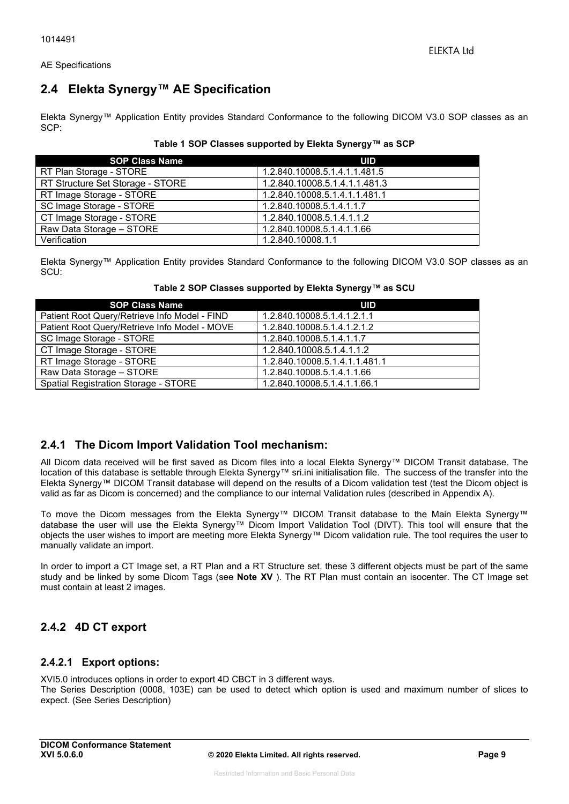AE Specifications

# **2.4 Elekta Synergy™ AE Specification**

Elekta Synergy™ Application Entity provides Standard Conformance to the following DICOM V3.0 SOP classes as an SCP:

|  | Table 1 SOP Classes supported by Elekta Synergy™ as SCP |  |
|--|---------------------------------------------------------|--|
|--|---------------------------------------------------------|--|

| <b>SOP Class Name</b>            | UID                           |
|----------------------------------|-------------------------------|
| RT Plan Storage - STORE          | 1.2.840.10008.5.1.4.1.1.481.5 |
| RT Structure Set Storage - STORE | 1.2.840.10008.5.1.4.1.1.481.3 |
| RT Image Storage - STORE         | 1.2.840.10008.5.1.4.1.1.481.1 |
| SC Image Storage - STORE         | 1.2.840.10008.5.1.4.1.1.7     |
| CT Image Storage - STORE         | 1.2.840.10008.5.1.4.1.1.2     |
| Raw Data Storage - STORE         | 1.2.840.10008.5.1.4.1.1.66    |
| Verification                     | 1.2.840.10008.1.1             |

Elekta Synergy™ Application Entity provides Standard Conformance to the following DICOM V3.0 SOP classes as an SCU:

| <b>SOP Class Name</b>                         | <b>UID</b>                    |
|-----------------------------------------------|-------------------------------|
| Patient Root Query/Retrieve Info Model - FIND | 1.2.840.10008.5.1.4.1.2.1.1   |
| Patient Root Query/Retrieve Info Model - MOVE | 1.2.840.10008.5.1.4.1.2.1.2   |
| SC Image Storage - STORE                      | 1.2.840.10008.5.1.4.1.1.7     |
| CT Image Storage - STORE                      | 1.2.840.10008.5.1.4.1.1.2     |
| RT Image Storage - STORE                      | 1.2.840.10008.5.1.4.1.1.481.1 |
| Raw Data Storage - STORE                      | 1.2.840.10008.5.1.4.1.1.66    |
| Spatial Registration Storage - STORE          | 1.2.840.10008.5.1.4.1.1.66.1  |

#### **Table 2 SOP Classes supported by Elekta Synergy™ as SCU**

### **2.4.1 The Dicom Import Validation Tool mechanism:**

All Dicom data received will be first saved as Dicom files into a local Elekta Synergy™ DICOM Transit database. The location of this database is settable through Elekta Synergy™ sri.ini initialisation file. The success of the transfer into the Elekta Synergy™ DICOM Transit database will depend on the results of a Dicom validation test (test the Dicom object is valid as far as Dicom is concerned) and the compliance to our internal Validation rules (described in Appendix A).

To move the Dicom messages from the Elekta Synergy™ DICOM Transit database to the Main Elekta Synergy™ database the user will use the Elekta Synergy™ Dicom Import Validation Tool (DIVT). This tool will ensure that the objects the user wishes to import are meeting more Elekta Synergy™ Dicom validation rule. The tool requires the user to manually validate an import.

In order to import a CT Image set, a RT Plan and a RT Structure set, these 3 different objects must be part of the same study and be linked by some Dicom Tags (see **Note XV** ). The RT Plan must contain an isocenter. The CT Image set must contain at least 2 images.

# **2.4.2 4D CT export**

#### **2.4.2.1 Export options:**

XVI5.0 introduces options in order to export 4D CBCT in 3 different ways. The Series Description (0008, 103E) can be used to detect which option is used and maximum number of slices to expect. (See Series Description)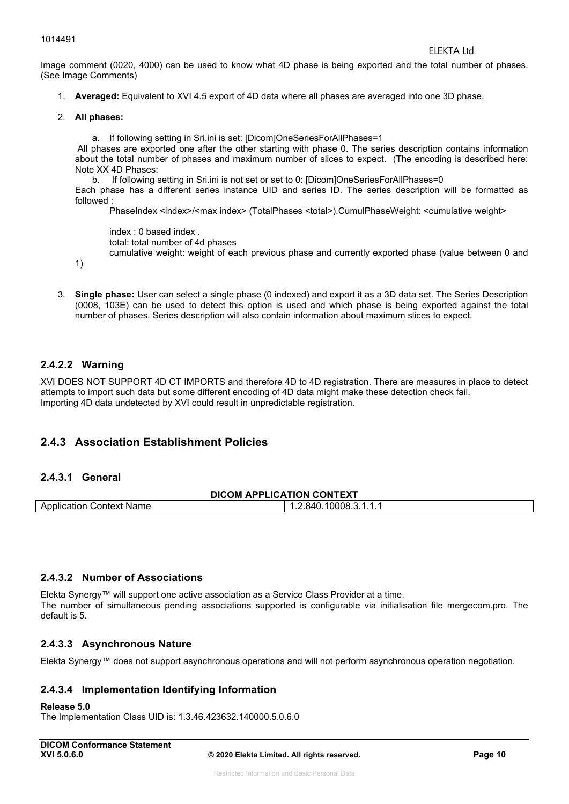Image comment (0020, 4000) can be used to know what 4D phase is being exported and the total number of phases. (See Image Comments)

- 1. **Averaged:** Equivalent to XVI 4.5 export of 4D data where all phases are averaged into one 3D phase.
- 2. **All phases:**

a. If following setting in Sri.ini is set: [Dicom]OneSeriesForAllPhases=1 All phases are exported one after the other starting with phase 0. The series description contains information about the total number of phases and maximum number of slices to expect. (The encoding is described here: Note XX 4D Phases:

b. If following setting in Sri.ini is not set or set to 0: [Dicom]OneSeriesForAllPhases=0 Each phase has a different series instance UID and series ID. The series description will be formatted as followed :

PhaseIndex <index>/<max index> (TotalPhases <total>).CumulPhaseWeight: <cumulative weight>

index : 0 based index . total: total number of 4d phases

cumulative weight: weight of each previous phase and currently exported phase (value between 0 and

3. **Single phase:** User can select a single phase (0 indexed) and export it as a 3D data set. The Series Description (0008, 103E) can be used to detect this option is used and which phase is being exported against the total number of phases. Series description will also contain information about maximum slices to expect.

#### **2.4.2.2 Warning**

1)

XVI DOES NOT SUPPORT 4D CT IMPORTS and therefore 4D to 4D registration. There are measures in place to detect attempts to import such data but some different encoding of 4D data might make these detection check fail. Importing 4D data undetected by XVI could result in unpredictable registration.

### **2.4.3 Association Establishment Policies**

#### **2.4.3.1 General**

| <b>DICOM APPLICATION CONTEXT</b> |                       |  |
|----------------------------------|-----------------------|--|
| Application Context Name         | 1.2.840.10008.3.1.1.1 |  |

#### **2.4.3.2 Number of Associations**

Elekta Synergy™ will support one active association as a Service Class Provider at a time. The number of simultaneous pending associations supported is configurable via initialisation file mergecom.pro. The default is 5.

#### **2.4.3.3 Asynchronous Nature**

Elekta Synergy™ does not support asynchronous operations and will not perform asynchronous operation negotiation.

#### **2.4.3.4 Implementation Identifying Information**

#### **Release 5.0**

The Implementation Class UID is: 1.3.46.423632.140000.5.0.6.0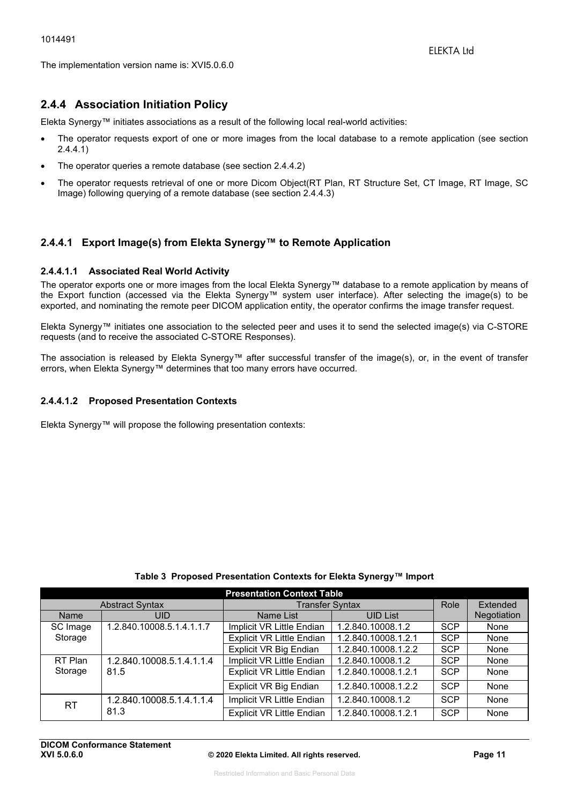The implementation version name is: XVI5.0.6.0

### **2.4.4 Association Initiation Policy**

Elekta Synergy™ initiates associations as a result of the following local real-world activities:

- The operator requests export of one or more images from the local database to a remote application (see section 2.4.4.1)
- The operator queries a remote database (see section 2.4.4.2)
- The operator requests retrieval of one or more Dicom Object(RT Plan, RT Structure Set, CT Image, RT Image, SC Image) following querying of a remote database (see section 2.4.4.3)

#### **2.4.4.1 Export Image(s) from Elekta Synergy™ to Remote Application**

#### **2.4.4.1.1 Associated Real World Activity**

The operator exports one or more images from the local Elekta Synergy™ database to a remote application by means of the Export function (accessed via the Elekta Synergy™ system user interface). After selecting the image(s) to be exported, and nominating the remote peer DICOM application entity, the operator confirms the image transfer request.

Elekta Synergy™ initiates one association to the selected peer and uses it to send the selected image(s) via C-STORE requests (and to receive the associated C-STORE Responses).

The association is released by Elekta Synergy™ after successful transfer of the image(s), or, in the event of transfer errors, when Elekta Synergy™ determines that too many errors have occurred.

#### **2.4.4.1.2 Proposed Presentation Contexts**

Elekta Synergy™ will propose the following presentation contexts:

| <b>Presentation Context Table</b> |                           |                                  |                     |            |             |
|-----------------------------------|---------------------------|----------------------------------|---------------------|------------|-------------|
|                                   | <b>Abstract Syntax</b>    | <b>Transfer Syntax</b>           |                     | Role       | Extended    |
| <b>Name</b>                       | <b>UID</b>                | Name List                        | <b>UID List</b>     |            | Negotiation |
| SC Image                          | 1.2.840.10008.5.1.4.1.1.7 | Implicit VR Little Endian        | 1.2.840.10008.1.2   | <b>SCP</b> | None        |
| Storage                           |                           | <b>Explicit VR Little Endian</b> | 1.2.840.10008.1.2.1 | <b>SCP</b> | None        |
|                                   |                           | Explicit VR Big Endian           | 1.2.840.10008.1.2.2 | <b>SCP</b> | None        |
| RT Plan                           | 1.2.840.10008.5.1.4.1.1.4 | Implicit VR Little Endian        | 1.2.840.10008.1.2   | <b>SCP</b> | None        |
| Storage                           | 81.5                      | <b>Explicit VR Little Endian</b> | 1.2.840.10008.1.2.1 | <b>SCP</b> | None        |
|                                   |                           | <b>Explicit VR Big Endian</b>    | 1.2.840.10008.1.2.2 | <b>SCP</b> | None        |
| <b>RT</b>                         | 1.2.840.10008.5.1.4.1.1.4 | Implicit VR Little Endian        | 1.2.840.10008.1.2   | <b>SCP</b> | None        |
|                                   | 81.3                      | <b>Explicit VR Little Endian</b> | 1.2.840.10008.1.2.1 | <b>SCP</b> | None        |

#### **Table 3 Proposed Presentation Contexts for Elekta Synergy™ Import**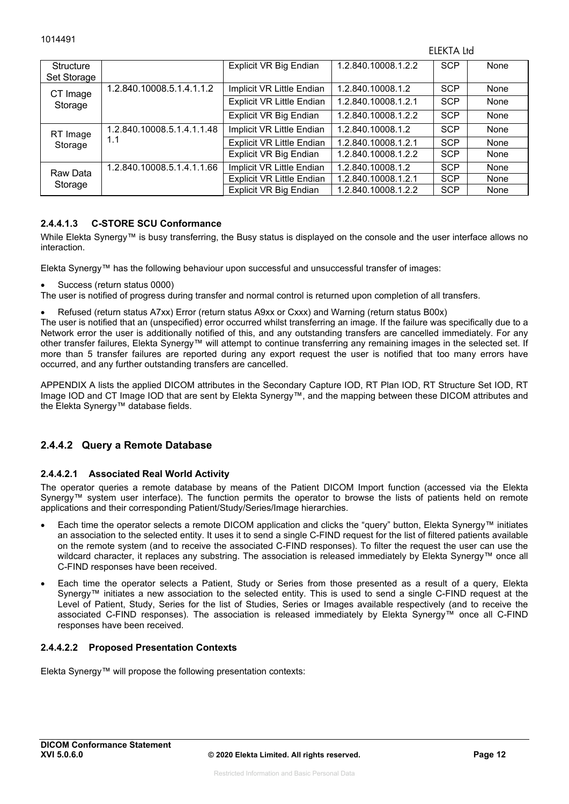ELEKTA Ltd

| Structure<br>Set Storage |                            | Explicit VR Big Endian           | 1.2.840.10008.1.2.2 | <b>SCP</b> | None |
|--------------------------|----------------------------|----------------------------------|---------------------|------------|------|
| CT Image                 | 1.2.840.10008.5.1.4.1.1.2  | Implicit VR Little Endian        | 1.2.840.10008.1.2   | <b>SCP</b> | None |
| Storage                  |                            | <b>Explicit VR Little Endian</b> | 1.2.840.10008.1.2.1 | <b>SCP</b> | None |
|                          |                            | Explicit VR Big Endian           | 1.2.840.10008.1.2.2 | <b>SCP</b> | None |
| RT Image                 | 1.2.840.10008.5.1.4.1.1.48 | Implicit VR Little Endian        | 1.2.840.10008.1.2   | <b>SCP</b> | None |
| Storage                  | 1.1                        | <b>Explicit VR Little Endian</b> | 1.2.840.10008.1.2.1 | <b>SCP</b> | None |
|                          |                            | Explicit VR Big Endian           | 1.2.840.10008.1.2.2 | <b>SCP</b> | None |
| Raw Data                 | 1.2.840.10008.5.1.4.1.1.66 | Implicit VR Little Endian        | 1.2.840.10008.1.2   | <b>SCP</b> | None |
| Storage                  |                            | <b>Explicit VR Little Endian</b> | 1.2.840.10008.1.2.1 | <b>SCP</b> | None |
|                          |                            | Explicit VR Big Endian           | 1.2.840.10008.1.2.2 | <b>SCP</b> | None |

#### **2.4.4.1.3 C-STORE SCU Conformance**

While Elekta Synergy™ is busy transferring, the Busy status is displayed on the console and the user interface allows no interaction.

Elekta Synergy™ has the following behaviour upon successful and unsuccessful transfer of images:

- Success (return status 0000)
- The user is notified of progress during transfer and normal control is returned upon completion of all transfers.
- Refused (return status A7xx) Error (return status A9xx or Cxxx) and Warning (return status B00x)

The user is notified that an (unspecified) error occurred whilst transferring an image. If the failure was specifically due to a Network error the user is additionally notified of this, and any outstanding transfers are cancelled immediately. For any other transfer failures, Elekta Synergy™ will attempt to continue transferring any remaining images in the selected set. If more than 5 transfer failures are reported during any export request the user is notified that too many errors have occurred, and any further outstanding transfers are cancelled.

APPENDIX A lists the applied DICOM attributes in the Secondary Capture IOD, RT Plan IOD, RT Structure Set IOD, RT Image IOD and CT Image IOD that are sent by Elekta Synergy™, and the mapping between these DICOM attributes and the Elekta Synergy™ database fields.

### **2.4.4.2 Query a Remote Database**

#### **2.4.4.2.1 Associated Real World Activity**

The operator queries a remote database by means of the Patient DICOM Import function (accessed via the Elekta Synergy™ system user interface). The function permits the operator to browse the lists of patients held on remote applications and their corresponding Patient/Study/Series/Image hierarchies.

- Each time the operator selects a remote DICOM application and clicks the "query" button, Elekta Synergy™ initiates an association to the selected entity. It uses it to send a single C-FIND request for the list of filtered patients available on the remote system (and to receive the associated C-FIND responses). To filter the request the user can use the wildcard character, it replaces any substring. The association is released immediately by Elekta Synergy™ once all C-FIND responses have been received.
- Each time the operator selects a Patient, Study or Series from those presented as a result of a query, Elekta Synergy™ initiates a new association to the selected entity. This is used to send a single C-FIND request at the Level of Patient, Study, Series for the list of Studies, Series or Images available respectively (and to receive the associated C-FIND responses). The association is released immediately by Elekta Synergy™ once all C-FIND responses have been received.

#### **2.4.4.2.2 Proposed Presentation Contexts**

Elekta Synergy™ will propose the following presentation contexts: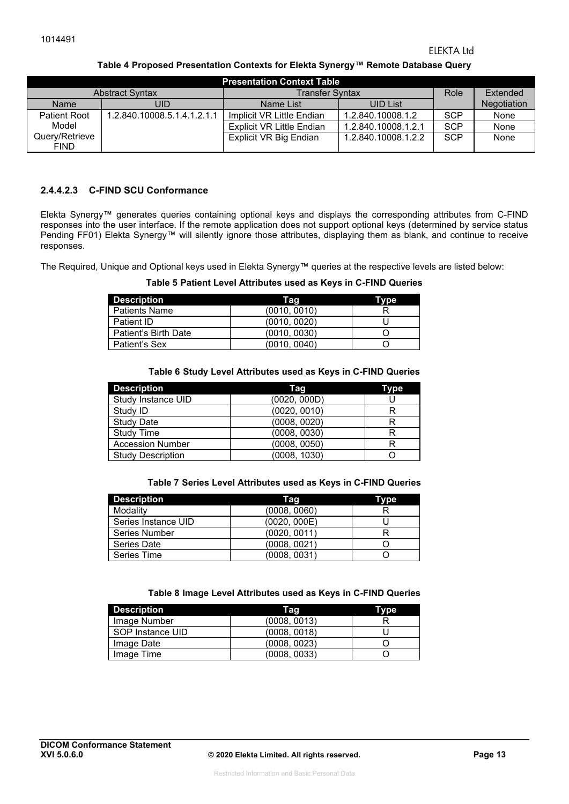#### ELEKTA Ltd

#### **Table 4 Proposed Presentation Contexts for Elekta Synergy™ Remote Database Query**

| <b>Presentation Context Table</b> |                             |                               |                     |            |             |
|-----------------------------------|-----------------------------|-------------------------------|---------------------|------------|-------------|
| <b>Abstract Syntax</b>            |                             | <b>Transfer Syntax</b>        |                     | Role       | Extended    |
| <b>Name</b>                       | UID                         | Name List                     | <b>UID List</b>     |            | Negotiation |
| <b>Patient Root</b>               | 1.2.840.10008.5.1.4.1.2.1.1 | Implicit VR Little Endian     | 1.2.840.10008.1.2   | <b>SCP</b> | None        |
| Model                             |                             | Explicit VR Little Endian     | 1.2.840.10008.1.2.1 | <b>SCP</b> | None        |
| Query/Retrieve<br><b>FIND</b>     |                             | <b>Explicit VR Big Endian</b> | 1.2.840.10008.1.2.2 | <b>SCP</b> | None        |

#### **2.4.4.2.3 C-FIND SCU Conformance**

Elekta Synergy™ generates queries containing optional keys and displays the corresponding attributes from C-FIND responses into the user interface. If the remote application does not support optional keys (determined by service status Pending FF01) Elekta Synergy™ will silently ignore those attributes, displaying them as blank, and continue to receive responses.

The Required, Unique and Optional keys used in Elekta Synergy™ queries at the respective levels are listed below:

#### **Table 5 Patient Level Attributes used as Keys in C-FIND Queries**

| <b>Description</b>   | Tag          | Type |
|----------------------|--------------|------|
| <b>Patients Name</b> | (0010, 0010) |      |
| Patient ID           | (0010, 0020) |      |
| Patient's Birth Date | (0010, 0030) |      |
| Patient's Sex        | (0010, 0040) |      |

#### **Table 6 Study Level Attributes used as Keys in C-FIND Queries**

| <b>Description</b>       | Tag          | Type |
|--------------------------|--------------|------|
| Study Instance UID       | (0020, 000D) |      |
| Study ID                 | (0020, 0010) |      |
| <b>Study Date</b>        | (0008, 0020) | R    |
| <b>Study Time</b>        | (0008, 0030) |      |
| <b>Accession Number</b>  | (0008, 0050) | R    |
| <b>Study Description</b> | (0008, 1030) |      |

#### **Table 7 Series Level Attributes used as Keys in C-FIND Queries**

| <b>Description</b>   | Tag          | Type |
|----------------------|--------------|------|
| Modality             | (0008, 0060) |      |
| Series Instance UID  | (0020, 000E) |      |
| <b>Series Number</b> | (0020, 0011) |      |
| Series Date          | (0008, 0021) |      |
| Series Time          | (0008, 0031) |      |

#### **Table 8 Image Level Attributes used as Keys in C-FIND Queries**

| <b>Description</b> | Tag          | Type |
|--------------------|--------------|------|
| Image Number       | (0008, 0013) |      |
| SOP Instance UID   | (0008, 0018) |      |
| Image Date         | (0008, 0023) |      |
| Image Time         | (0008, 0033) |      |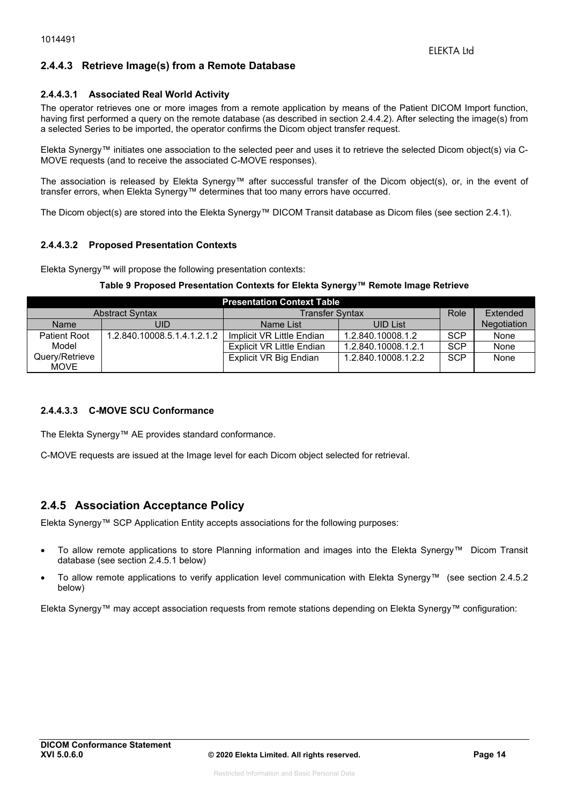#### **2.4.4.3 Retrieve Image(s) from a Remote Database**

#### **2.4.4.3.1 Associated Real World Activity**

The operator retrieves one or more images from a remote application by means of the Patient DICOM Import function, having first performed a query on the remote database (as described in section 2.4.4.2). After selecting the image(s) from a selected Series to be imported, the operator confirms the Dicom object transfer request.

Elekta Synergy™ initiates one association to the selected peer and uses it to retrieve the selected Dicom object(s) via C-MOVE requests (and to receive the associated C-MOVE responses).

The association is released by Elekta Synergy™ after successful transfer of the Dicom object(s), or, in the event of transfer errors, when Elekta Synergy™ determines that too many errors have occurred.

The Dicom object(s) are stored into the Elekta Synergy™ DICOM Transit database as Dicom files (see section 2.4.1).

#### **2.4.4.3.2 Proposed Presentation Contexts**

Elekta Synergy™ will propose the following presentation contexts:

#### **Table 9 Proposed Presentation Contexts for Elekta Synergy™ Remote Image Retrieve**

| <b>Presentation Context Table</b> |                             |                           |                     |            |             |  |  |
|-----------------------------------|-----------------------------|---------------------------|---------------------|------------|-------------|--|--|
| <b>Abstract Syntax</b>            |                             | <b>Transfer Syntax</b>    | Role                | Extended   |             |  |  |
| <b>Name</b>                       | UID                         | Name List                 | <b>UID List</b>     |            | Negotiation |  |  |
| <b>Patient Root</b>               | 1.2.840.10008.5.1.4.1.2.1.2 | Implicit VR Little Endian | 1.2.840.10008.1.2   | <b>SCP</b> | None        |  |  |
| Model                             |                             | Explicit VR Little Endian | 1.2.840.10008.1.2.1 | <b>SCP</b> | None        |  |  |
| Query/Retrieve                    |                             | Explicit VR Big Endian    | 1.2.840.10008.1.2.2 | <b>SCP</b> | None        |  |  |
| MOVE                              |                             |                           |                     |            |             |  |  |

#### **2.4.4.3.3 C-MOVE SCU Conformance**

The Elekta Synergy™ AE provides standard conformance.

C-MOVE requests are issued at the Image level for each Dicom object selected for retrieval.

#### **2.4.5 Association Acceptance Policy**

Elekta Synergy™ SCP Application Entity accepts associations for the following purposes:

- To allow remote applications to store Planning information and images into the Elekta Synergy™ Dicom Transit database (see section 2.4.5.1 below)
- To allow remote applications to verify application level communication with Elekta Synergy™ (see section 2.4.5.2 below)

Elekta Synergy™ may accept association requests from remote stations depending on Elekta Synergy™ configuration: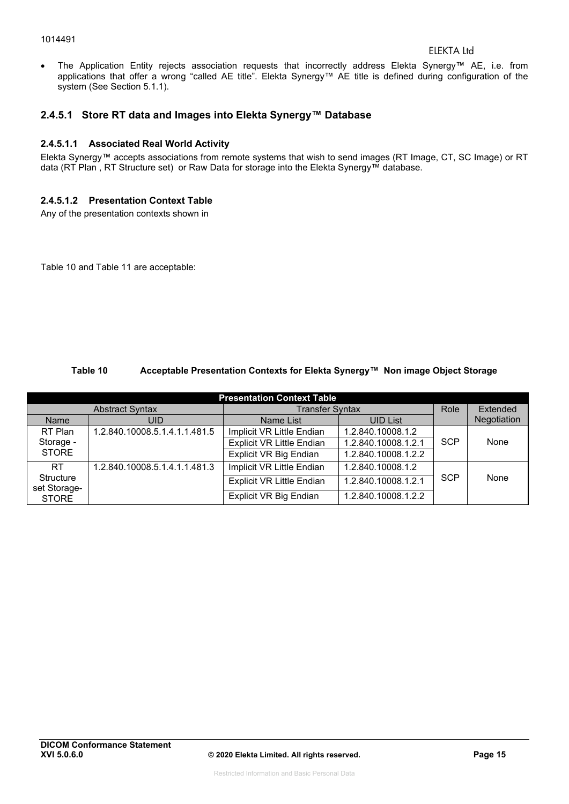#### 1014491

 The Application Entity rejects association requests that incorrectly address Elekta Synergy™ AE, i.e. from applications that offer a wrong "called AE title". Elekta Synergy™ AE title is defined during configuration of the system (See Section 5.1.1).

#### **2.4.5.1 Store RT data and Images into Elekta Synergy™ Database**

#### **2.4.5.1.1 Associated Real World Activity**

Elekta Synergy™ accepts associations from remote systems that wish to send images (RT Image, CT, SC Image) or RT data (RT Plan , RT Structure set) or Raw Data for storage into the Elekta Synergy™ database.

#### **2.4.5.1.2 Presentation Context Table**

Any of the presentation contexts shown in

Table 10 and Table 11 are acceptable:

#### **Table 10 Acceptable Presentation Contexts for Elekta Synergy™ Non image Object Storage**

| <b>Presentation Context Table</b> |                               |                                  |                     |            |             |  |  |
|-----------------------------------|-------------------------------|----------------------------------|---------------------|------------|-------------|--|--|
|                                   | <b>Abstract Syntax</b>        | <b>Transfer Syntax</b>           |                     | Role       | Extended    |  |  |
| Name                              | UID                           | Name List                        | <b>UID List</b>     |            | Negotiation |  |  |
| RT Plan                           | 1.2.840.10008.5.1.4.1.1.481.5 | Implicit VR Little Endian        | 1.2.840.10008.1.2   |            |             |  |  |
| Storage -                         |                               | <b>Explicit VR Little Endian</b> | 1.2.840.10008.1.2.1 | <b>SCP</b> | None        |  |  |
| <b>STORE</b>                      |                               | Explicit VR Big Endian           | 1.2.840.10008.1.2.2 |            |             |  |  |
| RT.                               | 1.2.840.10008.5.1.4.1.1.481.3 | Implicit VR Little Endian        | 1.2.840.10008.1.2   |            |             |  |  |
| Structure<br>set Storage-         |                               | <b>Explicit VR Little Endian</b> | 1.2.840.10008.1.2.1 | <b>SCP</b> | None        |  |  |
| <b>STORE</b>                      |                               | Explicit VR Big Endian           | 1.2.840.10008.1.2.2 |            |             |  |  |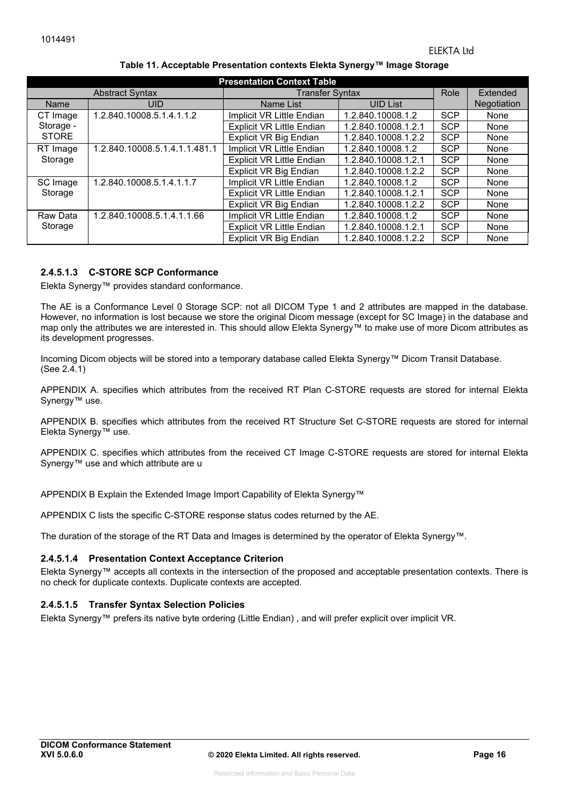| <b>Presentation Context Table</b> |                               |                                  |                        |            |             |  |  |  |
|-----------------------------------|-------------------------------|----------------------------------|------------------------|------------|-------------|--|--|--|
|                                   | <b>Abstract Syntax</b>        |                                  | <b>Transfer Syntax</b> |            |             |  |  |  |
| <b>Name</b>                       | <b>UID</b>                    | Name List                        | <b>UID List</b>        |            | Negotiation |  |  |  |
| CT Image                          | 1.2.840.10008.5.1.4.1.1.2     | Implicit VR Little Endian        | 1.2.840.10008.1.2      | <b>SCP</b> | None        |  |  |  |
| Storage -                         |                               | <b>Explicit VR Little Endian</b> | 1.2.840.10008.1.2.1    | <b>SCP</b> | None        |  |  |  |
| <b>STORE</b>                      |                               | <b>Explicit VR Big Endian</b>    | 1.2.840.10008.1.2.2    | <b>SCP</b> | None        |  |  |  |
| RT Image                          | 1.2.840.10008.5.1.4.1.1.481.1 | Implicit VR Little Endian        | 1.2.840.10008.1.2      | <b>SCP</b> | None        |  |  |  |
| Storage                           |                               | <b>Explicit VR Little Endian</b> | 1.2.840.10008.1.2.1    | <b>SCP</b> | None        |  |  |  |
|                                   |                               | <b>Explicit VR Big Endian</b>    | 1.2.840.10008.1.2.2    | <b>SCP</b> | None        |  |  |  |
| SC Image                          | 1.2.840.10008.5.1.4.1.1.7     | Implicit VR Little Endian        | 1.2.840.10008.1.2      | <b>SCP</b> | None        |  |  |  |
| Storage                           |                               | <b>Explicit VR Little Endian</b> | 1.2.840.10008.1.2.1    | <b>SCP</b> | None        |  |  |  |
|                                   |                               | Explicit VR Big Endian           | 1.2.840.10008.1.2.2    | <b>SCP</b> | None        |  |  |  |
| Raw Data                          | 1.2.840.10008.5.1.4.1.1.66    | Implicit VR Little Endian        | 1.2.840.10008.1.2      | <b>SCP</b> | None        |  |  |  |
| Storage                           |                               | <b>Explicit VR Little Endian</b> | 1.2.840.10008.1.2.1    | <b>SCP</b> | None        |  |  |  |
|                                   |                               | <b>Explicit VR Big Endian</b>    | 1.2.840.10008.1.2.2    | <b>SCP</b> | None        |  |  |  |

#### **Table 11. Acceptable Presentation contexts Elekta Synergy™ Image Storage**

#### **2.4.5.1.3 C-STORE SCP Conformance**

Elekta Synergy™ provides standard conformance.

The AE is a Conformance Level 0 Storage SCP: not all DICOM Type 1 and 2 attributes are mapped in the database. However, no information is lost because we store the original Dicom message (except for SC Image) in the database and map only the attributes we are interested in. This should allow Elekta Synergy™ to make use of more Dicom attributes as its development progresses.

Incoming Dicom objects will be stored into a temporary database called Elekta Synergy™ Dicom Transit Database. (See 2.4.1)

APPENDIX A. specifies which attributes from the received RT Plan C-STORE requests are stored for internal Elekta Synergy<sup>™</sup> use.

APPENDIX B. specifies which attributes from the received RT Structure Set C-STORE requests are stored for internal Elekta Synergy™ use.

APPENDIX C. specifies which attributes from the received CT Image C-STORE requests are stored for internal Elekta Synergy™ use and which attribute are u

APPENDIX B Explain the Extended Image Import Capability of Elekta Synergy™

APPENDIX C lists the specific C-STORE response status codes returned by the AE.

The duration of the storage of the RT Data and Images is determined by the operator of Elekta Synergy™.

#### **2.4.5.1.4 Presentation Context Acceptance Criterion**

Elekta Synergy™ accepts all contexts in the intersection of the proposed and acceptable presentation contexts. There is no check for duplicate contexts. Duplicate contexts are accepted.

#### **2.4.5.1.5 Transfer Syntax Selection Policies**

Elekta Synergy™ prefers its native byte ordering (Little Endian) , and will prefer explicit over implicit VR.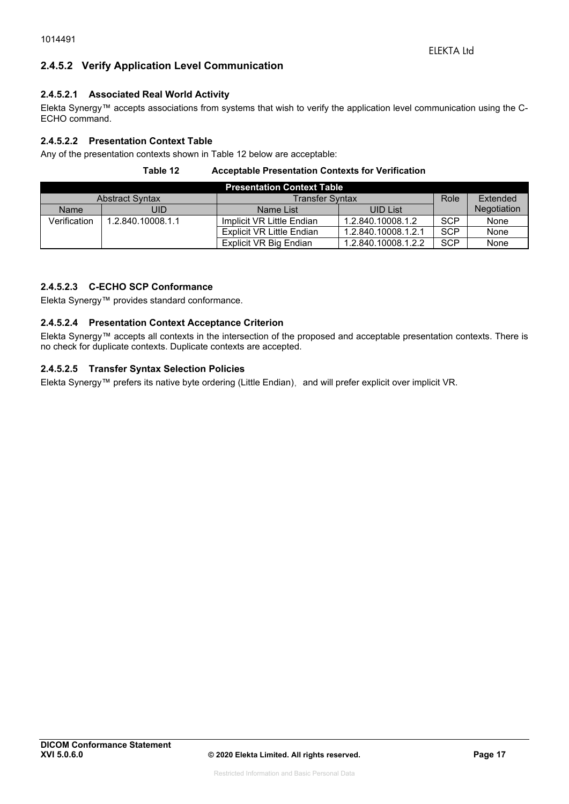#### **2.4.5.2 Verify Application Level Communication**

#### **2.4.5.2.1 Associated Real World Activity**

Elekta Synergy™ accepts associations from systems that wish to verify the application level communication using the C-ECHO command.

#### **2.4.5.2.2 Presentation Context Table**

Any of the presentation contexts shown in Table 12 below are acceptable:

#### **Table 12 Acceptable Presentation Contexts for Verification**

| <b>Presentation Context Table</b>                |                   |                           |                     |            |             |  |  |
|--------------------------------------------------|-------------------|---------------------------|---------------------|------------|-------------|--|--|
| <b>Transfer Syntax</b><br><b>Abstract Syntax</b> |                   |                           |                     | Role       | Extended    |  |  |
| <b>Name</b>                                      | JID               | Name List                 | <b>UID List</b>     |            | Negotiation |  |  |
| Verification                                     | 1.2.840.10008.1.1 | Implicit VR Little Endian | 1.2.840.10008.1.2   | <b>SCP</b> | None        |  |  |
|                                                  |                   | Explicit VR Little Endian | 1.2.840.10008.1.2.1 | <b>SCP</b> | None        |  |  |
|                                                  |                   | Explicit VR Big Endian    | 1.2.840.10008.1.2.2 | <b>SCP</b> | None        |  |  |

#### **2.4.5.2.3 C-ECHO SCP Conformance**

Elekta Synergy™ provides standard conformance.

#### **2.4.5.2.4 Presentation Context Acceptance Criterion**

Elekta Synergy™ accepts all contexts in the intersection of the proposed and acceptable presentation contexts. There is no check for duplicate contexts. Duplicate contexts are accepted.

#### **2.4.5.2.5 Transfer Syntax Selection Policies**

Elekta Synergy™ prefers its native byte ordering (Little Endian), and will prefer explicit over implicit VR.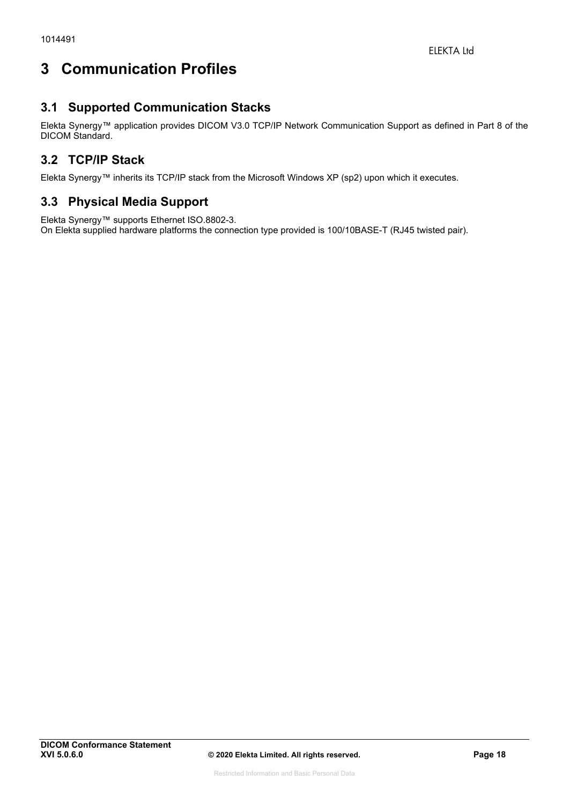# **3 Communication Profiles**

# **3.1 Supported Communication Stacks**

Elekta Synergy™ application provides DICOM V3.0 TCP/IP Network Communication Support as defined in Part 8 of the DICOM Standard.

# **3.2 TCP/IP Stack**

Elekta Synergy™ inherits its TCP/IP stack from the Microsoft Windows XP (sp2) upon which it executes.

# **3.3 Physical Media Support**

Elekta Synergy™ supports Ethernet ISO.8802-3. On Elekta supplied hardware platforms the connection type provided is 100/10BASE-T (RJ45 twisted pair).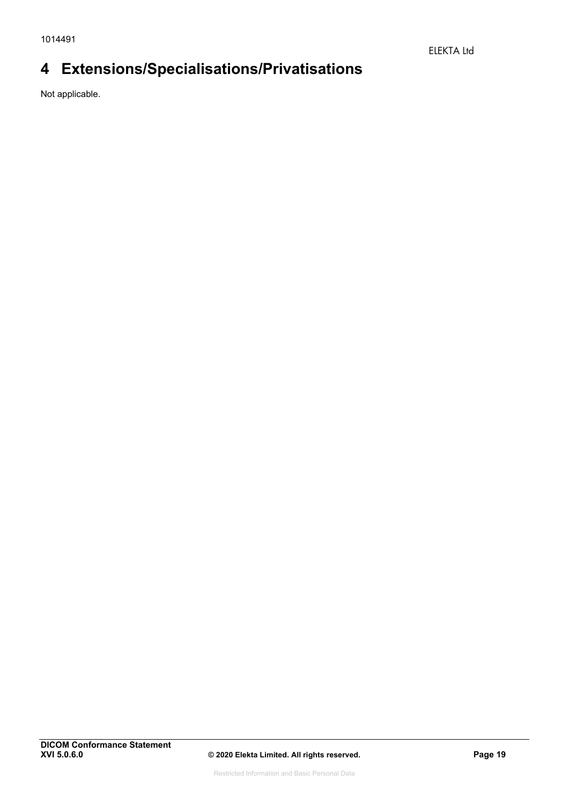# **4 Extensions/Specialisations/Privatisations**

Not applicable.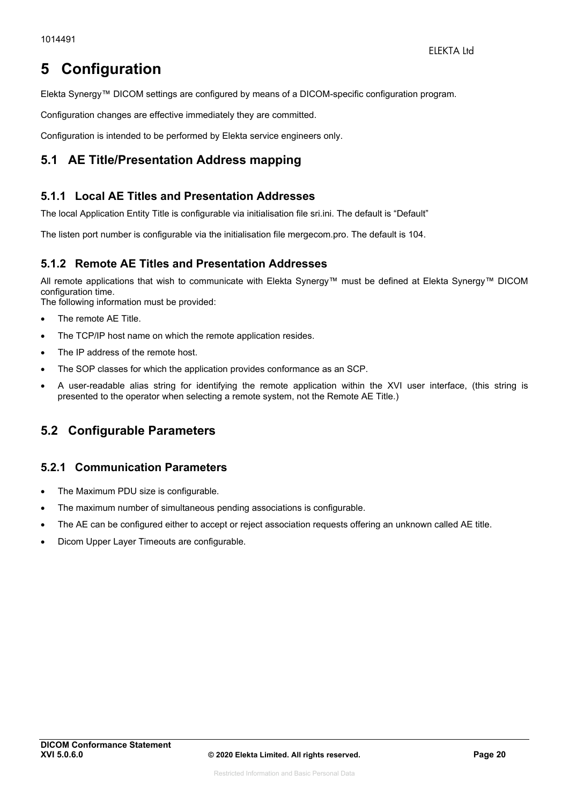# **5 Configuration**

Elekta Synergy™ DICOM settings are configured by means of a DICOM-specific configuration program.

Configuration changes are effective immediately they are committed.

Configuration is intended to be performed by Elekta service engineers only.

# **5.1 AE Title/Presentation Address mapping**

#### **5.1.1 Local AE Titles and Presentation Addresses**

The local Application Entity Title is configurable via initialisation file sri.ini. The default is "Default"

The listen port number is configurable via the initialisation file mergecom.pro. The default is 104.

### **5.1.2 Remote AE Titles and Presentation Addresses**

All remote applications that wish to communicate with Elekta Synergy™ must be defined at Elekta Synergy™ DICOM configuration time.

The following information must be provided:

- The remote AE Title.
- The TCP/IP host name on which the remote application resides.
- The IP address of the remote host.
- The SOP classes for which the application provides conformance as an SCP.
- A user-readable alias string for identifying the remote application within the XVI user interface, (this string is presented to the operator when selecting a remote system, not the Remote AE Title.)

# **5.2 Configurable Parameters**

#### **5.2.1 Communication Parameters**

- The Maximum PDU size is configurable.
- The maximum number of simultaneous pending associations is configurable.
- The AE can be configured either to accept or reject association requests offering an unknown called AE title.
- Dicom Upper Layer Timeouts are configurable.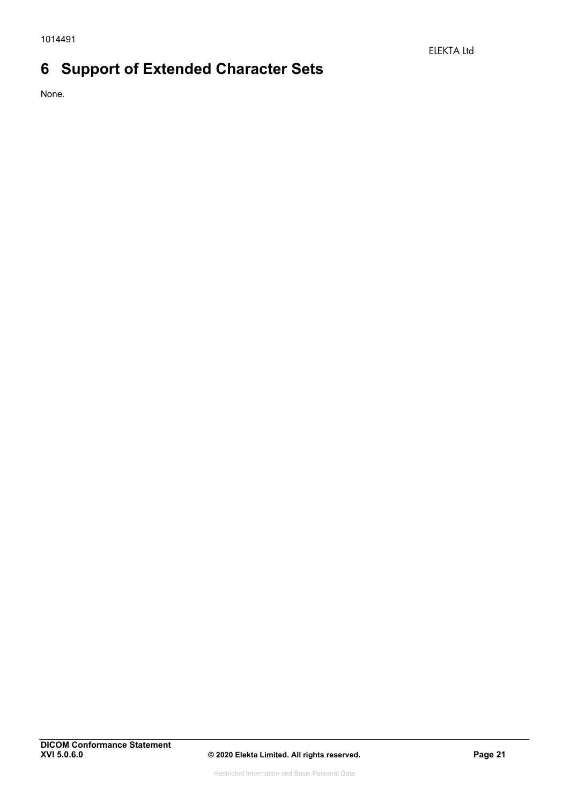# **6 Support of Extended Character Sets**

None.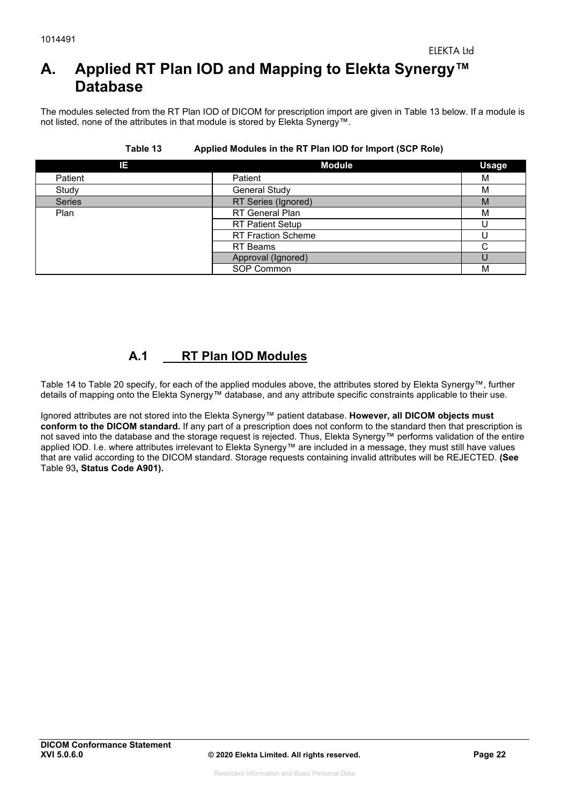# **A. Applied RT Plan IOD and Mapping to Elekta Synergy™ Database**

The modules selected from the RT Plan IOD of DICOM for prescription import are given in Table 13 below. If a module is not listed, none of the attributes in that module is stored by Elekta Synergy™.

| IΕ            | <b>Module</b>             | <b>Usage</b> |
|---------------|---------------------------|--------------|
| Patient       | Patient                   | M            |
| Study         | <b>General Study</b>      | M            |
| <b>Series</b> | RT Series (Ignored)       | M            |
| Plan          | RT General Plan           | M            |
|               | <b>RT Patient Setup</b>   |              |
|               | <b>RT Fraction Scheme</b> |              |
|               | <b>RT</b> Beams           | ⌒            |
|               | Approval (Ignored)        |              |
|               | SOP Common                | M            |

#### **Table 13 Applied Modules in the RT Plan IOD for Import (SCP Role)**

# **A.1 RT Plan IOD Modules**

Table 14 to Table 20 specify, for each of the applied modules above, the attributes stored by Elekta Synergy™, further details of mapping onto the Elekta Synergy™ database, and any attribute specific constraints applicable to their use.

Ignored attributes are not stored into the Elekta Synergy™ patient database. **However, all DICOM objects must conform to the DICOM standard.** If any part of a prescription does not conform to the standard then that prescription is not saved into the database and the storage request is rejected. Thus, Elekta Synergy™ performs validation of the entire applied IOD. I.e. where attributes irrelevant to Elekta Synergy™ are included in a message, they must still have values that are valid according to the DICOM standard. Storage requests containing invalid attributes will be REJECTED. **(See** Table 93**, Status Code A901).**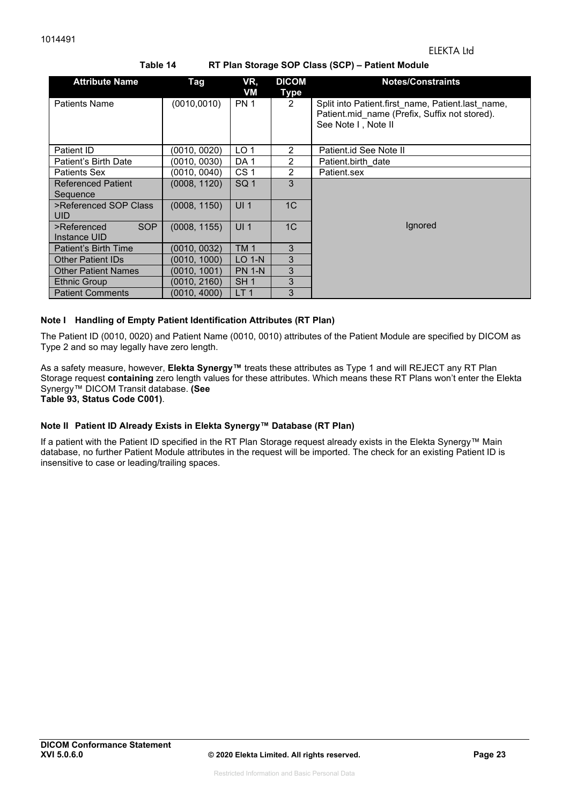| <b>Attribute Name</b>                 | <b>Tag</b>   | VR,<br>VM       | <b>DICOM</b><br><b>Type</b> | <b>Notes/Constraints</b>                                                                                                  |
|---------------------------------------|--------------|-----------------|-----------------------------|---------------------------------------------------------------------------------------------------------------------------|
| <b>Patients Name</b>                  | (0010, 0010) | <b>PN 1</b>     | $\overline{2}$              | Split into Patient first name, Patient last name,<br>Patient.mid name (Prefix, Suffix not stored).<br>See Note I, Note II |
| Patient ID                            | (0010, 0020) | LO <sub>1</sub> | $\overline{2}$              | Patient.id See Note II                                                                                                    |
| Patient's Birth Date                  | (0010, 0030) | DA <sub>1</sub> | 2                           | Patient.birth date                                                                                                        |
| Patients Sex                          | (0010, 0040) | CS <sub>1</sub> | 2                           | Patient.sex                                                                                                               |
| <b>Referenced Patient</b><br>Sequence | (0008, 1120) | SQ <sub>1</sub> | 3                           |                                                                                                                           |
| >Referenced SOP Class<br><b>UID</b>   | (0008, 1150) | UI <sub>1</sub> | 1 <sup>C</sup>              |                                                                                                                           |
| SOP<br>>Referenced<br>Instance UID    | (0008, 1155) | UI <sub>1</sub> | 1C                          | lgnored                                                                                                                   |
| Patient's Birth Time                  | (0010, 0032) | <b>TM1</b>      | 3                           |                                                                                                                           |
| <b>Other Patient IDs</b>              | (0010, 1000) | $LO$ 1-N        | 3                           |                                                                                                                           |
| <b>Other Patient Names</b>            | (0010, 1001) | <b>PN 1-N</b>   | 3                           |                                                                                                                           |
| <b>Ethnic Group</b>                   | (0010, 2160) | SH <sub>1</sub> | 3                           |                                                                                                                           |
| <b>Patient Comments</b>               | (0010, 4000) | LT <sub>1</sub> | 3                           |                                                                                                                           |

#### **Table 14 RT Plan Storage SOP Class (SCP) – Patient Module**

#### **Note I Handling of Empty Patient Identification Attributes (RT Plan)**

The Patient ID (0010, 0020) and Patient Name (0010, 0010) attributes of the Patient Module are specified by DICOM as Type 2 and so may legally have zero length.

As a safety measure, however, **Elekta Synergy™** treats these attributes as Type 1 and will REJECT any RT Plan Storage request **containing** zero length values for these attributes. Which means these RT Plans won't enter the Elekta Synergy™ DICOM Transit database. **(See** 

**Table 93, Status Code C001)**.

#### **Note II Patient ID Already Exists in Elekta Synergy™ Database (RT Plan)**

If a patient with the Patient ID specified in the RT Plan Storage request already exists in the Elekta Synergy™ Main database, no further Patient Module attributes in the request will be imported. The check for an existing Patient ID is insensitive to case or leading/trailing spaces.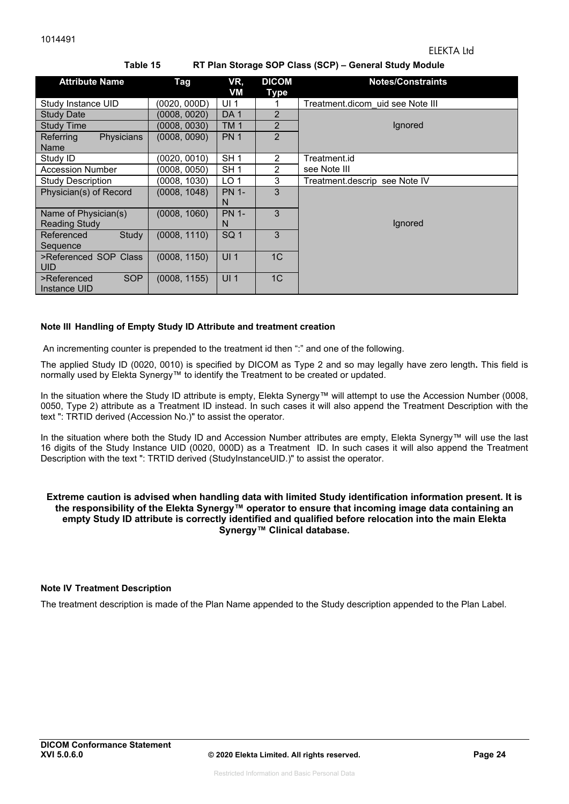| <b>Attribute Name</b>           | Tag          | VR,<br>VM       | <b>DICOM</b><br><b>Type</b> | <b>Notes/Constraints</b>         |  |  |  |  |
|---------------------------------|--------------|-----------------|-----------------------------|----------------------------------|--|--|--|--|
| Study Instance UID              | (0020, 000D) | UI <sub>1</sub> |                             | Treatment.dicom uid see Note III |  |  |  |  |
| <b>Study Date</b>               | (0008, 0020) | DA <sub>1</sub> | 2                           |                                  |  |  |  |  |
| <b>Study Time</b>               | (0008, 0030) | TM <sub>1</sub> | $\overline{2}$              | Ignored                          |  |  |  |  |
| Referring<br>Physicians<br>Name | (0008, 0090) | <b>PN 1</b>     | $\overline{2}$              |                                  |  |  |  |  |
| Study ID                        | (0020, 0010) | SH <sub>1</sub> | 2                           | Treatment.id                     |  |  |  |  |
| <b>Accession Number</b>         | (0008, 0050) | SH <sub>1</sub> | 2                           | see Note III                     |  |  |  |  |
| <b>Study Description</b>        | (0008, 1030) | LO <sub>1</sub> | 3                           | Treatment.descrip see Note IV    |  |  |  |  |
| Physician(s) of Record          | (0008, 1048) | <b>PN 1-</b>    | 3                           |                                  |  |  |  |  |
|                                 |              | N               |                             |                                  |  |  |  |  |
| Name of Physician(s)            | (0008, 1060) | <b>PN 1-</b>    | 3                           |                                  |  |  |  |  |
| <b>Reading Study</b>            |              | N               |                             | Ignored                          |  |  |  |  |
| Study<br>Referenced             | (0008, 1110) | SQ <sub>1</sub> | 3                           |                                  |  |  |  |  |
| Sequence                        |              |                 |                             |                                  |  |  |  |  |
| >Referenced SOP Class           | (0008, 1150) | UI <sub>1</sub> | 1 <sub>C</sub>              |                                  |  |  |  |  |
| <b>UID</b>                      |              |                 |                             |                                  |  |  |  |  |
| SOP<br>>Referenced              | (0008, 1155) | UI <sub>1</sub> | 1 <sub>C</sub>              |                                  |  |  |  |  |
| Instance UID                    |              |                 |                             |                                  |  |  |  |  |

#### **Table 15 RT Plan Storage SOP Class (SCP) – General Study Module**

#### **Note III Handling of Empty Study ID Attribute and treatment creation**

An incrementing counter is prepended to the treatment id then ":" and one of the following.

The applied Study ID (0020, 0010) is specified by DICOM as Type 2 and so may legally have zero length**.** This field is normally used by Elekta Synergy™ to identify the Treatment to be created or updated.

In the situation where the Study ID attribute is empty, Elekta Synergy™ will attempt to use the Accession Number (0008, 0050, Type 2) attribute as a Treatment ID instead. In such cases it will also append the Treatment Description with the text ": TRTID derived (Accession No.)" to assist the operator.

In the situation where both the Study ID and Accession Number attributes are empty, Elekta Synergy™ will use the last 16 digits of the Study Instance UID (0020, 000D) as a Treatment ID. In such cases it will also append the Treatment Description with the text ": TRTID derived (StudyInstanceUID.)" to assist the operator.

#### **Extreme caution is advised when handling data with limited Study identification information present. It is the responsibility of the Elekta Synergy™ operator to ensure that incoming image data containing an empty Study ID attribute is correctly identified and qualified before relocation into the main Elekta Synergy™ Clinical database.**

#### **Note IV Treatment Description**

The treatment description is made of the Plan Name appended to the Study description appended to the Plan Label.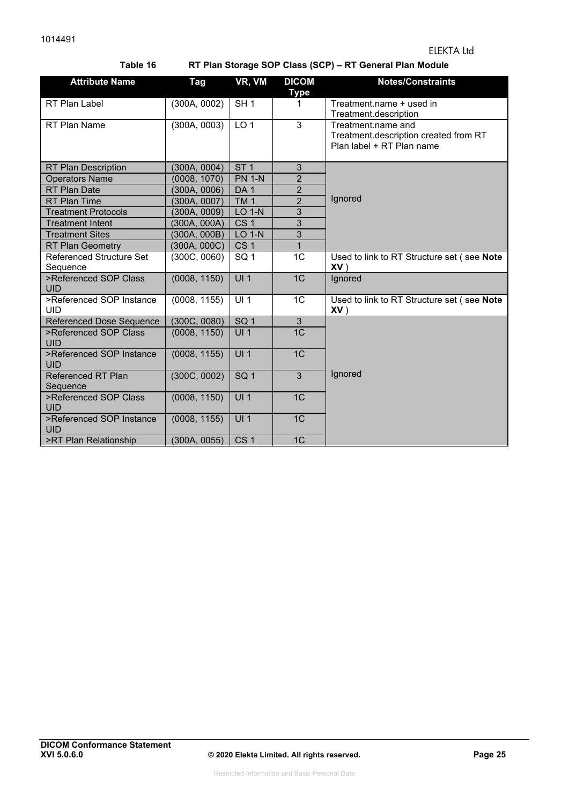**Table 16 RT Plan Storage SOP Class (SCP) – RT General Plan Module** 

| <b>Attribute Name</b>                       | Tag          | VR, VM          | <b>DICOM</b>   | <b>Notes/Constraints</b>                                                                 |
|---------------------------------------------|--------------|-----------------|----------------|------------------------------------------------------------------------------------------|
|                                             |              |                 | <b>Type</b>    |                                                                                          |
| RT Plan Label                               | (300A, 0002) | SH1             | 1              | Treatment.name + used in<br>Treatment.description                                        |
| RT Plan Name                                | (300A, 0003) | LO <sub>1</sub> | $\overline{3}$ | Treatment.name and<br>Treatment.description created from RT<br>Plan label + RT Plan name |
| <b>RT Plan Description</b>                  | (300A, 0004) | ST <sub>1</sub> | 3              |                                                                                          |
| <b>Operators Name</b>                       | (0008, 1070) | <b>PN 1-N</b>   | $\overline{2}$ |                                                                                          |
| <b>RT Plan Date</b>                         | (300A, 0006) | DA <sub>1</sub> | $\overline{2}$ |                                                                                          |
| <b>RT Plan Time</b>                         | (300A, 0007) | TM <sub>1</sub> | $\overline{2}$ | Ignored                                                                                  |
| <b>Treatment Protocols</b>                  | (300A, 0009) | $LO$ 1- $N$     | $\overline{3}$ |                                                                                          |
| <b>Treatment Intent</b>                     | (300A, 000A) | CS <sub>1</sub> | $\overline{3}$ |                                                                                          |
| <b>Treatment Sites</b>                      | (300A, 000B) | <b>LO 1-N</b>   | $\overline{3}$ |                                                                                          |
| <b>RT Plan Geometry</b>                     | (300A, 000C) | CS <sub>1</sub> | $\overline{1}$ |                                                                                          |
| <b>Referenced Structure Set</b><br>Sequence | (300C, 0060) | SQ <sub>1</sub> | 1 <sub>C</sub> | Used to link to RT Structure set (see Note<br>$XV$ )                                     |
| >Referenced SOP Class<br><b>UID</b>         | (0008, 1150) | UI1             | 1 <sup>C</sup> | Ignored                                                                                  |
| >Referenced SOP Instance<br><b>UID</b>      | (0008, 1155) | UI <sub>1</sub> | 1 <sub>C</sub> | Used to link to RT Structure set (see Note<br>$XV$ )                                     |
| <b>Referenced Dose Sequence</b>             | (300C, 0080) | SQ <sub>1</sub> | 3              |                                                                                          |
| >Referenced SOP Class<br><b>UID</b>         | (0008, 1150) | UI <sub>1</sub> | 1 <sup>C</sup> |                                                                                          |
| >Referenced SOP Instance<br><b>UID</b>      | (0008, 1155) | UI <sub>1</sub> | 1 <sup>C</sup> |                                                                                          |
| <b>Referenced RT Plan</b><br>Sequence       | (300C, 0002) | SQ <sub>1</sub> | $\overline{3}$ | Ignored                                                                                  |
| >Referenced SOP Class<br><b>UID</b>         | (0008, 1150) | UI1             | 1C             |                                                                                          |
| >Referenced SOP Instance<br><b>UID</b>      | (0008, 1155) | UI1             | 1C             |                                                                                          |
| >RT Plan Relationship                       | (300A, 0055) | CS <sub>1</sub> | 1 <sup>C</sup> |                                                                                          |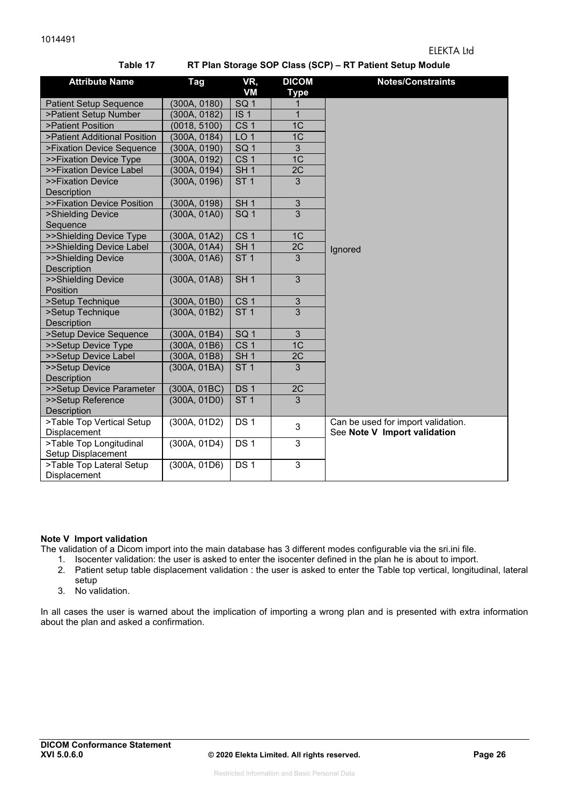| Table 17<br>RT Plan Storage SOP Class (SCP) – RT Patient Setup Module |              |                 |                             |                                                                    |  |  |  |
|-----------------------------------------------------------------------|--------------|-----------------|-----------------------------|--------------------------------------------------------------------|--|--|--|
| <b>Attribute Name</b>                                                 | Tag          | VR,<br>VM       | <b>DICOM</b><br><b>Type</b> | <b>Notes/Constraints</b>                                           |  |  |  |
| <b>Patient Setup Sequence</b>                                         | (300A, 0180) | SQ <sub>1</sub> |                             |                                                                    |  |  |  |
| >Patient Setup Number                                                 | (300A, 0182) | IS <sub>1</sub> | 1                           |                                                                    |  |  |  |
| >Patient Position                                                     | (0018, 5100) | CS <sub>1</sub> | 1 <sup>C</sup>              |                                                                    |  |  |  |
| >Patient Additional Position                                          | (300A, 0184) | LO <sub>1</sub> | 1 <sup>C</sup>              |                                                                    |  |  |  |
| >Fixation Device Sequence                                             | (300A, 0190) | SQ <sub>1</sub> | 3                           |                                                                    |  |  |  |
| >>Fixation Device Type                                                | (300A, 0192) | CS <sub>1</sub> | 1C                          |                                                                    |  |  |  |
| >>Fixation Device Label                                               | (300A, 0194) | SH <sub>1</sub> | 2C                          |                                                                    |  |  |  |
| >>Fixation Device                                                     | (300A, 0196) | ST <sub>1</sub> | 3                           |                                                                    |  |  |  |
| <b>Description</b><br>>>Fixation Device Position                      | (300A, 0198) | SH <sub>1</sub> | 3                           |                                                                    |  |  |  |
| >Shielding Device<br>Sequence                                         | (300A, 01A0) | SQ <sub>1</sub> | 3                           |                                                                    |  |  |  |
| >>Shielding Device Type                                               | (300A, 01A2) | CS <sub>1</sub> | 1C                          |                                                                    |  |  |  |
| >>Shielding Device Label                                              | (300A, 01A4) | SH <sub>1</sub> | 2C                          | Ignored                                                            |  |  |  |
| >>Shielding Device<br>Description                                     | (300A, 01A6) | ST <sub>1</sub> | 3                           |                                                                    |  |  |  |
| >>Shielding Device<br>Position                                        | (300A, 01A8) | SH <sub>1</sub> | 3                           |                                                                    |  |  |  |
| >Setup Technique                                                      | (300A, 01B0) | CS <sub>1</sub> | 3                           |                                                                    |  |  |  |
| >Setup Technique<br>Description                                       | (300A, 01B2) | ST <sub>1</sub> | 3                           |                                                                    |  |  |  |
| >Setup Device Sequence                                                | (300A, 01B4) | SQ <sub>1</sub> | 3                           |                                                                    |  |  |  |
| >>Setup Device Type                                                   | (300A, 01B6) | CS <sub>1</sub> | 1C                          |                                                                    |  |  |  |
| >>Setup Device Label                                                  | (300A, 01B8) | SH <sub>1</sub> | 2C                          |                                                                    |  |  |  |
| >>Setup Device<br>Description                                         | (300A, 01BA) | ST <sub>1</sub> | 3                           |                                                                    |  |  |  |
| >>Setup Device Parameter                                              | (300A, 01BC) | DS <sub>1</sub> | 2C                          |                                                                    |  |  |  |
| >>Setup Reference<br>Description                                      | (300A, 01D0) | ST <sub>1</sub> | 3                           |                                                                    |  |  |  |
| >Table Top Vertical Setup<br>Displacement                             | (300A, 01D2) | DS <sub>1</sub> | 3                           | Can be used for import validation.<br>See Note V Import validation |  |  |  |
| >Table Top Longitudinal<br>Setup Displacement                         | (300A, 01D4) | DS <sub>1</sub> | 3                           |                                                                    |  |  |  |
| >Table Top Lateral Setup<br>Displacement                              | (300A, 01D6) | DS <sub>1</sub> | 3                           |                                                                    |  |  |  |

#### **Table 17 RT Plan Storage SOP Class (SCP) – RT Patient Setup Module**

#### **Note V Import validation**

The validation of a Dicom import into the main database has 3 different modes configurable via the sri.ini file.

1. Isocenter validation: the user is asked to enter the isocenter defined in the plan he is about to import.

- 2. Patient setup table displacement validation : the user is asked to enter the Table top vertical, longitudinal, lateral setup
- 3. No validation.

In all cases the user is warned about the implication of importing a wrong plan and is presented with extra information about the plan and asked a confirmation.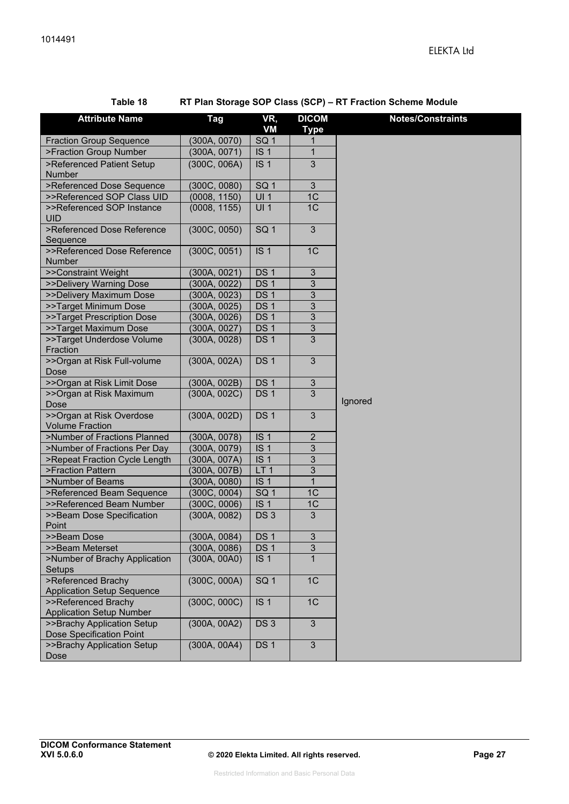**RT Plan Storage SOP Class (SCP) – RT Fraction Scheme Module** 

| <b>Attribute Name</b>                                         | <b>Tag</b>   | VR,<br>VM       | <b>DICOM</b><br><b>Type</b> | <b>Notes/Constraints</b> |
|---------------------------------------------------------------|--------------|-----------------|-----------------------------|--------------------------|
| <b>Fraction Group Sequence</b>                                | (300A, 0070) | SQ <sub>1</sub> |                             |                          |
| >Fraction Group Number                                        | (300A, 0071) | IS <sub>1</sub> | $\mathbf{1}$                |                          |
| >Referenced Patient Setup                                     | (300C, 006A) | IS <sub>1</sub> | $\overline{3}$              |                          |
| Number                                                        |              |                 |                             |                          |
| >Referenced Dose Sequence                                     | (300C, 0080) | SQ <sub>1</sub> | $\sqrt{3}$                  |                          |
| >>Referenced SOP Class UID                                    | (0008, 1150) | UI1             | 1C                          |                          |
| >>Referenced SOP Instance<br><b>UID</b>                       | (0008, 1155) | UI1             | 1C                          |                          |
| >Referenced Dose Reference<br>Sequence                        | (300C, 0050) | SQ <sub>1</sub> | $\overline{3}$              |                          |
| >>Referenced Dose Reference<br>Number                         | (300C, 0051) | IS <sub>1</sub> | 1C                          |                          |
| >>Constraint Weight                                           | (300A, 0021) | DS <sub>1</sub> | $\sqrt{3}$                  |                          |
| >>Delivery Warning Dose                                       | (300A, 0022) | DS <sub>1</sub> | 3                           |                          |
| >>Delivery Maximum Dose                                       | (300A, 0023) | DS <sub>1</sub> | $\sqrt{3}$                  |                          |
| >>Target Minimum Dose                                         | (300A, 0025) | DS <sub>1</sub> | $\mathbf{3}$                |                          |
| >>Target Prescription Dose                                    | (300A, 0026) | DS <sub>1</sub> | $\sqrt{3}$                  |                          |
| >>Target Maximum Dose                                         | (300A, 0027) | DS <sub>1</sub> | 3                           |                          |
| >>Target Underdose Volume<br>Fraction                         | (300A, 0028) | DS <sub>1</sub> | 3                           |                          |
| >>Organ at Risk Full-volume<br>Dose                           | (300A, 002A) | DS <sub>1</sub> | 3                           |                          |
| >>Organ at Risk Limit Dose                                    | (300A, 002B) | DS <sub>1</sub> | $\sqrt{3}$                  |                          |
| >>Organ at Risk Maximum<br>Dose                               | (300A, 002C) | DS <sub>1</sub> | 3                           | Ignored                  |
| >>Organ at Risk Overdose<br><b>Volume Fraction</b>            | (300A, 002D) | DS <sub>1</sub> | 3                           |                          |
| >Number of Fractions Planned                                  | (300A, 0078) | IS <sub>1</sub> | $\sqrt{2}$                  |                          |
| >Number of Fractions Per Day                                  | (300A, 0079) | IS <sub>1</sub> | $\mathfrak{B}$              |                          |
| >Repeat Fraction Cycle Length                                 | (300A, 007A) | IS <sub>1</sub> | $\overline{3}$              |                          |
| >Fraction Pattern                                             | (300A, 007B) | LT <sub>1</sub> | 3                           |                          |
| >Number of Beams                                              | (300A, 0080) | IS <sub>1</sub> | $\mathbf{1}$                |                          |
| >Referenced Beam Sequence                                     | (300C, 0004) | SQ <sub>1</sub> | 1 <sup>C</sup>              |                          |
| >>Referenced Beam Number                                      | (300C, 0006) | IS <sub>1</sub> | 1C                          |                          |
| >>Beam Dose Specification<br>Point                            | (300A, 0082) | DS <sub>3</sub> | $\overline{3}$              |                          |
| >>Beam Dose                                                   | (300A, 0084) | DS 1            | 3                           |                          |
| >>Beam Meterset                                               | (300A, 0086) | DS <sub>1</sub> | 3                           |                          |
| >Number of Brachy Application<br>Setups                       | (300A, 00A0) | IS <sub>1</sub> | 1                           |                          |
| >Referenced Brachy<br><b>Application Setup Sequence</b>       | (300C, 000A) | SQ <sub>1</sub> | 1C                          |                          |
| >>Referenced Brachy<br><b>Application Setup Number</b>        | (300C, 000C) | IS <sub>1</sub> | 1C                          |                          |
| >>Brachy Application Setup<br><b>Dose Specification Point</b> | (300A, 00A2) | DS3             | 3                           |                          |
| >>Brachy Application Setup<br>Dose                            | (300A, 00A4) | DS <sub>1</sub> | $\mathbf{3}$                |                          |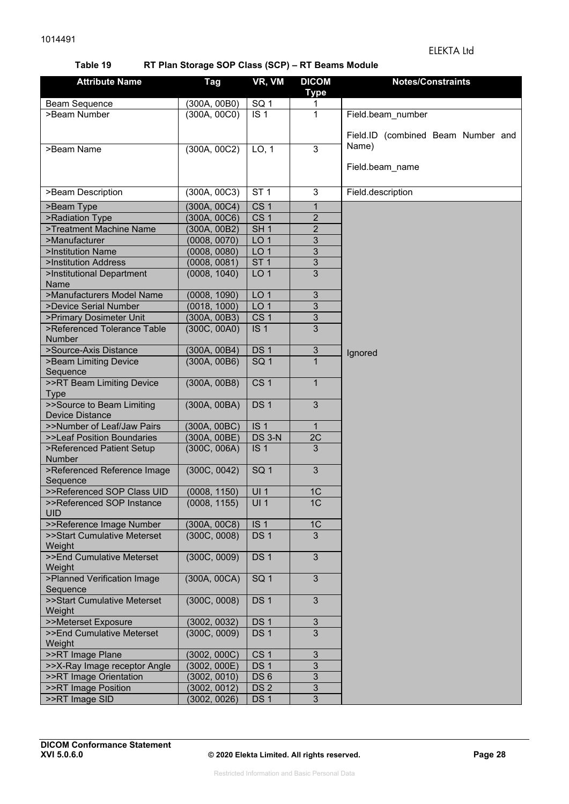#### ELEKTA Ltd

#### **Table 19 RT Plan Storage SOP Class (SCP) – RT Beams Module**

| <b>Attribute Name</b>                   | <b>Tag</b>   | VR, VM            | <b>DICOM</b>              | <b>Notes/Constraints</b>                    |
|-----------------------------------------|--------------|-------------------|---------------------------|---------------------------------------------|
|                                         |              |                   | <b>Type</b>               |                                             |
| <b>Beam Sequence</b>                    | (300A, 00B0) | $\overline{SQ}$ 1 | 1                         |                                             |
| >Beam Number                            | (300A, 00C0) | IS <sub>1</sub>   | 1                         | Field.beam_number                           |
|                                         |              |                   |                           |                                             |
|                                         |              |                   |                           | Field.ID (combined Beam Number and<br>Name) |
| >Beam Name                              | (300A, 00C2) | LO, 1             | 3                         |                                             |
|                                         |              |                   |                           | Field.beam_name                             |
|                                         |              |                   |                           |                                             |
| >Beam Description                       | (300A, 00C3) | ST <sub>1</sub>   | 3                         | Field.description                           |
| >Beam Type                              | (300A, 00C4) | CS <sub>1</sub>   | $\mathbf{1}$              |                                             |
| >Radiation Type                         | (300A, 00C6) | CS <sub>1</sub>   | $\overline{2}$            |                                             |
| >Treatment Machine Name                 | (300A, 00B2) | SH <sub>1</sub>   | $\overline{2}$            |                                             |
| >Manufacturer                           | (0008, 0070) | LO <sub>1</sub>   | 3                         |                                             |
| >Institution Name                       | (0008, 0080) | LO <sub>1</sub>   | 3                         |                                             |
| >Institution Address                    | (0008, 0081) | ST <sub>1</sub>   | 3                         |                                             |
| >Institutional Department               | (0008, 1040) | LO <sub>1</sub>   | 3                         |                                             |
| Name                                    |              |                   |                           |                                             |
| >Manufacturers Model Name               | (0008, 1090) | LO <sub>1</sub>   | $\mathbf{3}$              |                                             |
| >Device Serial Number                   | (0018, 1000) | LO <sub>1</sub>   | 3                         |                                             |
| >Primary Dosimeter Unit                 | (300A, 00B3) | CS <sub>1</sub>   | $\ensuremath{\mathsf{3}}$ |                                             |
| >Referenced Tolerance Table<br>Number   | (300C, 00A0) | IS <sub>1</sub>   | 3                         |                                             |
| >Source-Axis Distance                   | (300A, 00B4) | DS <sub>1</sub>   | $\ensuremath{\mathsf{3}}$ |                                             |
| >Beam Limiting Device                   | (300A, 00B6) | SQ <sub>1</sub>   |                           | Ignored                                     |
| Sequence                                |              |                   |                           |                                             |
| >>RT Beam Limiting Device               | (300A, 00B8) | CS <sub>1</sub>   | $\mathbf{1}$              |                                             |
| <b>Type</b>                             |              |                   |                           |                                             |
| >>Source to Beam Limiting               | (300A, 00BA) | DS <sub>1</sub>   | 3                         |                                             |
| <b>Device Distance</b>                  |              |                   |                           |                                             |
| >>Number of Leaf/Jaw Pairs              | (300A, 00BC) | IS <sub>1</sub>   | 1                         |                                             |
| >>Leaf Position Boundaries              | (300A, 00BE) | <b>DS 3-N</b>     | 2C                        |                                             |
| >Referenced Patient Setup               | (300C, 006A) | IS <sub>1</sub>   | $\overline{3}$            |                                             |
| Number                                  |              |                   | 3                         |                                             |
| >Referenced Reference Image<br>Sequence | (300C, 0042) | SQ <sub>1</sub>   |                           |                                             |
| >>Referenced SOP Class UID              | (0008, 1150) | UI1               | 1 <sup>C</sup>            |                                             |
| >>Referenced SOP Instance               | (0008, 1155) | UI1               | 1C                        |                                             |
| <b>UID</b>                              |              |                   |                           |                                             |
| >>Reference Image Number                | (300A, 00C8) | IS <sub>1</sub>   | 1C                        |                                             |
| >>Start Cumulative Meterset             | (300C, 0008) | DS <sub>1</sub>   | 3                         |                                             |
| Weight                                  |              |                   |                           |                                             |
| >>End Cumulative Meterset               | (300C, 0009) | DS <sub>1</sub>   | 3                         |                                             |
| Weight                                  |              |                   |                           |                                             |
| >Planned Verification Image             | (300A, 00CA) | SQ <sub>1</sub>   | 3                         |                                             |
| Sequence<br>>>Start Cumulative Meterset | (300C, 0008) | DS <sub>1</sub>   | 3                         |                                             |
| Weight                                  |              |                   |                           |                                             |
| >>Meterset Exposure                     | (3002, 0032) | DS <sub>1</sub>   | 3                         |                                             |
| >>End Cumulative Meterset               | (300C, 0009) | DS <sub>1</sub>   | 3                         |                                             |
| Weight                                  |              |                   |                           |                                             |
| >>RT Image Plane                        | (3002, 000C) | CS <sub>1</sub>   | 3                         |                                             |
| >>X-Ray Image receptor Angle            | (3002, 000E) | DS <sub>1</sub>   | 3                         |                                             |
| >>RT Image Orientation                  | (3002, 0010) | DS <sub>6</sub>   | 3                         |                                             |
| >>RT Image Position                     | (3002, 0012) | DS <sub>2</sub>   | 3                         |                                             |
| >>RT Image SID                          | (3002, 0026) | DS <sub>1</sub>   | 3                         |                                             |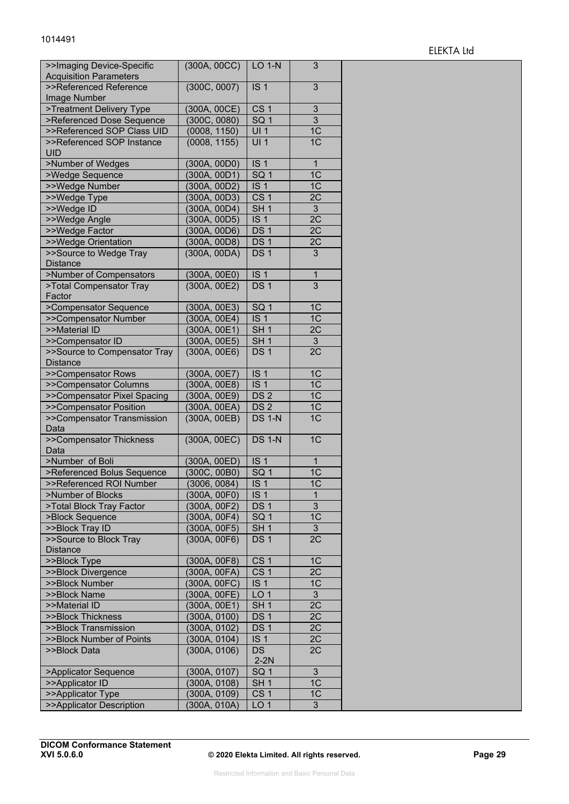| >>Imaging Device-Specific<br><b>Acquisition Parameters</b> | (300A, 00CC) | $LO 1-N$        | 3              |
|------------------------------------------------------------|--------------|-----------------|----------------|
| >>Referenced Reference                                     | (300C, 0007) | IS <sub>1</sub> | 3              |
| Image Number                                               |              |                 |                |
| >Treatment Delivery Type                                   | (300A, 00CE) | CS <sub>1</sub> | 3              |
| >Referenced Dose Sequence                                  | (300C, 0080) | SQ <sub>1</sub> | $\overline{3}$ |
| >>Referenced SOP Class UID                                 | (0008, 1150) | UI <sub>1</sub> | 1C             |
| >>Referenced SOP Instance<br><b>UID</b>                    | (0008, 1155) | UI <sub>1</sub> | 1 <sup>C</sup> |
| >Number of Wedges                                          | (300A, 00D0) | IS <sub>1</sub> | $\overline{1}$ |
| >Wedge Sequence                                            | (300A, 00D1) | SQ <sub>1</sub> | 1 <sup>C</sup> |
| >>Wedge Number                                             | (300A, 00D2) | IS <sub>1</sub> | 1 <sup>C</sup> |
| >>Wedge Type                                               | (300A, 00D3) | CS <sub>1</sub> | 2C             |
| >>Wedge ID                                                 | (300A, 00D4) | SH <sub>1</sub> | 3              |
| >>Wedge Angle                                              | (300A, 00D5) | IS <sub>1</sub> | 2C             |
| >>Wedge Factor                                             | (300A, 00D6) | DS <sub>1</sub> | 2C             |
| >>Wedge Orientation                                        | (300A, 00D8) | DS <sub>1</sub> | 2C             |
| >>Source to Wedge Tray                                     | (300A, 00DA) | DS <sub>1</sub> | 3              |
| <b>Distance</b>                                            |              |                 |                |
| >Number of Compensators                                    | (300A, 00E0) | IS <sub>1</sub> | 1              |
| >Total Compensator Tray                                    | (300A, 00E2) | DS <sub>1</sub> | $\overline{3}$ |
| Factor                                                     |              |                 |                |
| >Compensator Sequence                                      | (300A, 00E3) | SQ <sub>1</sub> | 1C             |
| >>Compensator Number                                       | (300A, 00E4) | IS <sub>1</sub> | 1 <sup>C</sup> |
| >>Material ID                                              | (300A, 00E1) | SH <sub>1</sub> | 2C             |
| >>Compensator ID                                           | (300A, 00E5) | SH <sub>1</sub> | $\mathfrak{S}$ |
| >>Source to Compensator Tray                               | (300A, 00E6) | DS <sub>1</sub> | 2C             |
| <b>Distance</b>                                            |              |                 |                |
| >>Compensator Rows                                         | (300A, 00E7) | IS <sub>1</sub> | 1C             |
| >>Compensator Columns                                      | (300A, 00E8) | IS <sub>1</sub> | 1 <sup>C</sup> |
| >>Compensator Pixel Spacing                                | (300A, 00E9) | DS <sub>2</sub> | 1C             |
| >>Compensator Position                                     | (300A, 00EA) | DS <sub>2</sub> | 1C             |
| >>Compensator Transmission                                 | (300A, 00EB) | <b>DS 1-N</b>   | 1C             |
| Data                                                       |              |                 |                |
| >>Compensator Thickness                                    | (300A, 00EC) | <b>DS 1-N</b>   | 1 <sup>C</sup> |
| Data                                                       |              |                 |                |
| >Number of Boli                                            | (300A, 00ED) | IS <sub>1</sub> | $\mathbf 1$    |
| >Referenced Bolus Sequence                                 | (300C, 00B0) | SG <sub>1</sub> | 1C             |
| >>Referenced ROI Number                                    | (3006, 0084) | IS <sub>1</sub> | 1C             |
| >Number of Blocks                                          | (300A, 00F0) | IS <sub>1</sub> | 1              |
| >Total Block Tray Factor                                   | (300A, 00F2) | DS <sub>1</sub> | 3              |
| >Block Sequence                                            | (300A, 00F4) | SQ <sub>1</sub> | 1C             |
| >>Block Tray ID                                            | (300A, 00F5) | SH <sub>1</sub> | 3              |
| >>Source to Block Tray                                     | (300A, 00F6) | DS <sub>1</sub> | 2C             |
| <b>Distance</b>                                            |              |                 |                |
| >>Block Type                                               | (300A, 00F8) | CS <sub>1</sub> | 1 <sup>C</sup> |
| >>Block Divergence                                         | (300A, 00FA) | CS <sub>1</sub> | 2C             |
| >>Block Number                                             | (300A, 00FC) | IS <sub>1</sub> | 1 <sup>C</sup> |
| >>Block Name                                               | (300A, 00FE) | LO <sub>1</sub> | 3              |
| >>Material ID                                              | (300A, 00E1) | SH <sub>1</sub> | 2C             |
| >>Block Thickness                                          | (300A, 0100) | DS <sub>1</sub> | 2C             |
| >>Block Transmission                                       | (300A, 0102) | DS <sub>1</sub> | 2C             |
|                                                            | (300A, 0104) | IS <sub>1</sub> |                |
| >>Block Number of Points                                   |              | <b>DS</b>       | 2C<br>2C       |
| >>Block Data                                               | (300A, 0106) | $2-2N$          |                |
| >Applicator Sequence                                       | (300A, 0107) | SQ <sub>1</sub> | 3              |
| >>Applicator ID                                            | (300A, 0108) | SH <sub>1</sub> | 1C             |
| >>Applicator Type                                          | (300A, 0109) | CS <sub>1</sub> | 1C             |
| >>Applicator Description                                   | (300A, 010A) | LO <sub>1</sub> | 3              |
|                                                            |              |                 |                |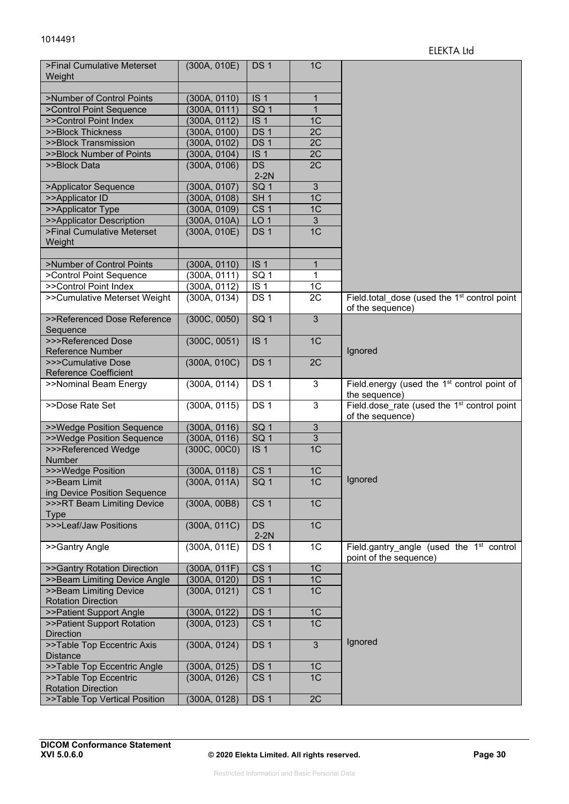| >Final Cumulative Meterset<br>Weight                | (300A, 010E) | DS <sub>1</sub>     | 1 <sup>C</sup> |                                                                                |
|-----------------------------------------------------|--------------|---------------------|----------------|--------------------------------------------------------------------------------|
| >Number of Control Points                           | (300A, 0110) | IS <sub>1</sub>     | 1              |                                                                                |
| >Control Point Sequence                             | (300A, 0111) | SQ <sub>1</sub>     | $\mathbf{1}$   |                                                                                |
| >>Control Point Index                               | (300A, 0112) | IS <sub>1</sub>     | 1 <sup>C</sup> |                                                                                |
| >>Block Thickness                                   | (300A, 0100) | DS <sub>1</sub>     | 2C             |                                                                                |
| >>Block Transmission                                | (300A, 0102) | DS <sub>1</sub>     | 2C             |                                                                                |
| >>Block Number of Points                            | (300A, 0104) | IS <sub>1</sub>     | 2C             |                                                                                |
| >>Block Data                                        | (300A, 0106) | <b>DS</b><br>$2-2N$ | 2C             |                                                                                |
| >Applicator Sequence                                | (300A, 0107) | SQ <sub>1</sub>     | 3              |                                                                                |
| >>Applicator ID                                     | (300A, 0108) | SH <sub>1</sub>     | 1 <sup>C</sup> |                                                                                |
| >>Applicator Type                                   | (300A, 0109) | CS <sub>1</sub>     | 1C             |                                                                                |
| >>Applicator Description                            | (300A, 010A) | LO <sub>1</sub>     | $\mathfrak{S}$ |                                                                                |
| >Final Cumulative Meterset<br>Weight                | (300A, 010E) | DS <sub>1</sub>     | 1 <sub>C</sub> |                                                                                |
| >Number of Control Points                           | (300A, 0110) | IS <sub>1</sub>     | 1              |                                                                                |
| >Control Point Sequence                             | (300A, 0111) | SQ <sub>1</sub>     | 1              |                                                                                |
| >>Control Point Index                               | (300A, 0112) | IS <sub>1</sub>     | 1C             |                                                                                |
| >>Cumulative Meterset Weight                        | (300A, 0134) | DS <sub>1</sub>     | 2C             | Field.total dose (used the 1 <sup>st</sup> control point<br>of the sequence)   |
| >>Referenced Dose Reference<br>Sequence             | (300C, 0050) | SG <sub>1</sub>     | $\overline{3}$ |                                                                                |
| >>>Referenced Dose<br><b>Reference Number</b>       | (300C, 0051) | IS <sub>1</sub>     | 1C             | Ignored                                                                        |
| >>>Cumulative Dose<br><b>Reference Coefficient</b>  | (300A, 010C) | DS <sub>1</sub>     | 2C             |                                                                                |
| >>Nominal Beam Energy                               | (300A, 0114) | DS <sub>1</sub>     | $\mathbf{3}$   | Field.energy (used the 1 <sup>st</sup> control point of<br>the sequence)       |
| >>Dose Rate Set                                     | (300A, 0115) | DS <sub>1</sub>     | 3              | Field.dose rate (used the 1 <sup>st</sup> control point<br>of the sequence)    |
| >>Wedge Position Sequence                           | (300A, 0116) | SQ <sub>1</sub>     | $\mathfrak{S}$ |                                                                                |
| >>Wedge Position Sequence                           | (300A, 0116) | SQ <sub>1</sub>     | 3              |                                                                                |
| >>>Referenced Wedge<br>Number                       | (300C, 00C0) | IS <sub>1</sub>     | 1 <sup>C</sup> |                                                                                |
| >>>Wedge Position                                   | (300A, 0118) | CS <sub>1</sub>     | 1 <sup>C</sup> |                                                                                |
| >>Beam Limit                                        | (300A, 011A) | SQ <sub>1</sub>     | 1C             | Ignored                                                                        |
| ing Device Position Sequence                        |              |                     |                |                                                                                |
| >>>RT Beam Limiting Device<br><b>Type</b>           | (300A, 00B8) | CS <sub>1</sub>     | 1C             |                                                                                |
| >>>Leaf/Jaw Positions                               | (300A, 011C) | <b>DS</b><br>$2-2N$ | 1 <sup>C</sup> |                                                                                |
| >>Gantry Angle                                      | (300A, 011E) | DS <sub>1</sub>     | 1C             | Field.gantry angle (used the 1 <sup>st</sup> control<br>point of the sequence) |
| >>Gantry Rotation Direction                         | (300A, 011F) | CS <sub>1</sub>     | 1C             |                                                                                |
| >>Beam Limiting Device Angle                        | (300A, 0120) | DS <sub>1</sub>     | 1 <sup>C</sup> |                                                                                |
| >>Beam Limiting Device<br><b>Rotation Direction</b> | (300A, 0121) | CS <sub>1</sub>     | 1C             |                                                                                |
| >>Patient Support Angle                             | (300A, 0122) | DS <sub>1</sub>     | 1C             |                                                                                |
| >>Patient Support Rotation<br><b>Direction</b>      | (300A, 0123) | CS <sub>1</sub>     | 1 <sub>C</sub> |                                                                                |
| >>Table Top Eccentric Axis<br><b>Distance</b>       | (300A, 0124) | DS <sub>1</sub>     | $\overline{3}$ | Ignored                                                                        |
| >>Table Top Eccentric Angle                         | (300A, 0125) | DS <sub>1</sub>     | 1 <sup>C</sup> |                                                                                |
| >>Table Top Eccentric                               | (300A, 0126) | CS <sub>1</sub>     | 1 <sup>C</sup> |                                                                                |
| <b>Rotation Direction</b>                           |              |                     |                |                                                                                |
| >>Table Top Vertical Position                       | (300A, 0128) | DS <sub>1</sub>     | 2C             |                                                                                |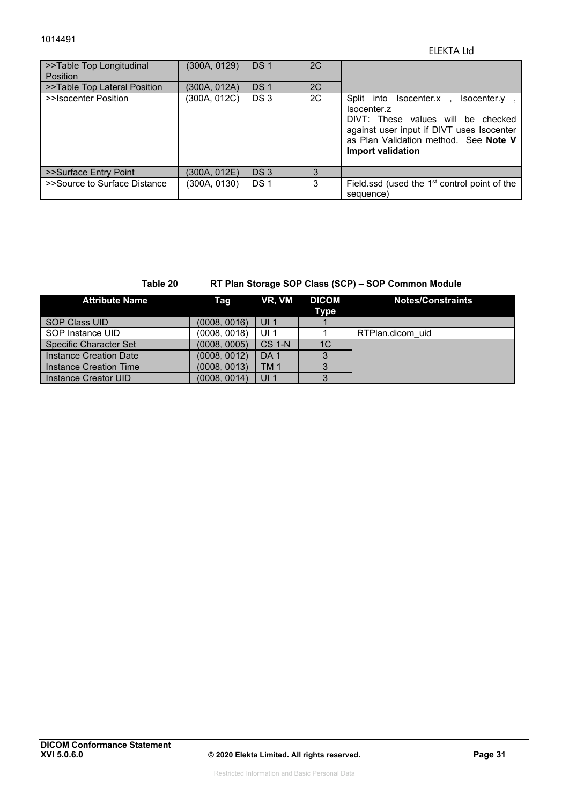#### ELEKTA Ltd

| >>Table Top Longitudinal<br><b>Position</b> | (300A, 0129) | DS <sub>1</sub> | 2C |                                                                                                                                                                                                        |
|---------------------------------------------|--------------|-----------------|----|--------------------------------------------------------------------------------------------------------------------------------------------------------------------------------------------------------|
| >>Table Top Lateral Position                | (300A. 012A) | DS <sub>1</sub> | 2C |                                                                                                                                                                                                        |
| >>Isocenter Position                        | (300A, 012C) | DS <sub>3</sub> | 2C | Split into Isocenter.x.<br>Isocenter.y<br>Isocenter.z<br>DIVT: These values will be checked<br>against user input if DIVT uses Isocenter<br>as Plan Validation method. See Note V<br>Import validation |
| >>Surface Entry Point                       | (300A. 012E) | DS <sub>3</sub> | 3  |                                                                                                                                                                                                        |
| >>Source to Surface Distance                | (300A, 0130) | DS <sub>1</sub> | 3  | Field ssd (used the 1 <sup>st</sup> control point of the<br>sequence)                                                                                                                                  |

#### **Table 20 RT Plan Storage SOP Class (SCP) – SOP Common Module**

| <b>Attribute Name</b>         | Taq          | VR, VM          | <b>DICOM</b><br>Type | <b>Notes/Constraints</b> |
|-------------------------------|--------------|-----------------|----------------------|--------------------------|
| <b>SOP Class UID</b>          | (0008, 0016) | UI <sub>1</sub> |                      |                          |
| SOP Instance UID              | (0008, 0018) | UI $1$          |                      | RTPlan.dicom uid         |
| <b>Specific Character Set</b> | (0008, 0005) | <b>CS 1-N</b>   | 1C                   |                          |
| Instance Creation Date        | (0008, 0012) | DA <sub>1</sub> |                      |                          |
| Instance Creation Time        | (0008, 0013) | <b>TM1</b>      |                      |                          |
| Instance Creator UID          | (0008, 0014) | UI <sub>1</sub> |                      |                          |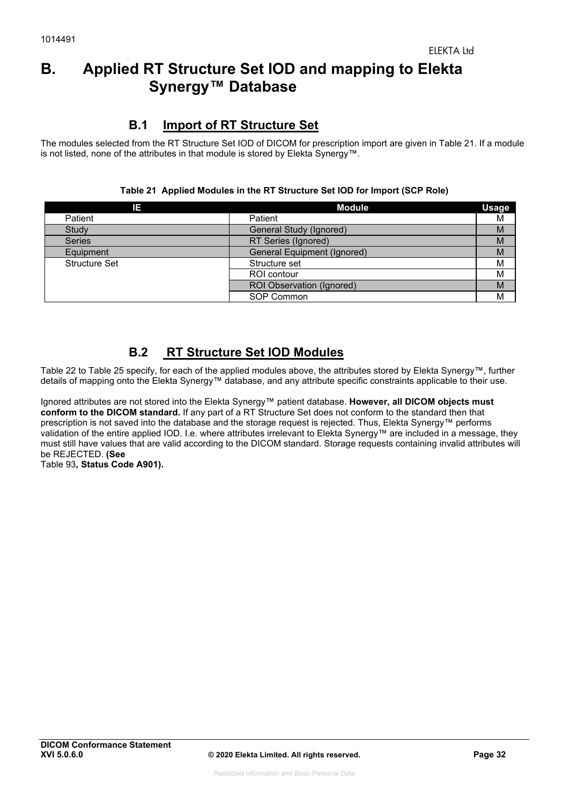# **B. Applied RT Structure Set IOD and mapping to Elekta Synergy™ Database**

# **B.1 Import of RT Structure Set**

The modules selected from the RT Structure Set IOD of DICOM for prescription import are given in Table 21. If a module is not listed, none of the attributes in that module is stored by Elekta Synergy™.

|  | Table 21 Applied Modules in the RT Structure Set IOD for Import (SCP Role) |  |  |  |  |  |
|--|----------------------------------------------------------------------------|--|--|--|--|--|
|--|----------------------------------------------------------------------------|--|--|--|--|--|

| IE.                  | <b>Module</b>                    | <b>Usage</b> |
|----------------------|----------------------------------|--------------|
| Patient              | Patient                          | M            |
| Study                | General Study (Ignored)          | M            |
| <b>Series</b>        | RT Series (Ignored)              | M            |
| Equipment            | General Equipment (Ignored)      | M            |
| <b>Structure Set</b> | Structure set                    | M            |
|                      | ROI contour                      | M            |
|                      | <b>ROI Observation (Ignored)</b> | M            |
|                      | SOP Common                       | M            |

# **B.2 RT Structure Set IOD Modules**

Table 22 to Table 25 specify, for each of the applied modules above, the attributes stored by Elekta Synergy™, further details of mapping onto the Elekta Synergy™ database, and any attribute specific constraints applicable to their use.

Ignored attributes are not stored into the Elekta Synergy™ patient database. **However, all DICOM objects must conform to the DICOM standard.** If any part of a RT Structure Set does not conform to the standard then that prescription is not saved into the database and the storage request is rejected. Thus, Elekta Synergy™ performs validation of the entire applied IOD. I.e. where attributes irrelevant to Elekta Synergy™ are included in a message, they must still have values that are valid according to the DICOM standard. Storage requests containing invalid attributes will be REJECTED. **(See**  Table 93**, Status Code A901).**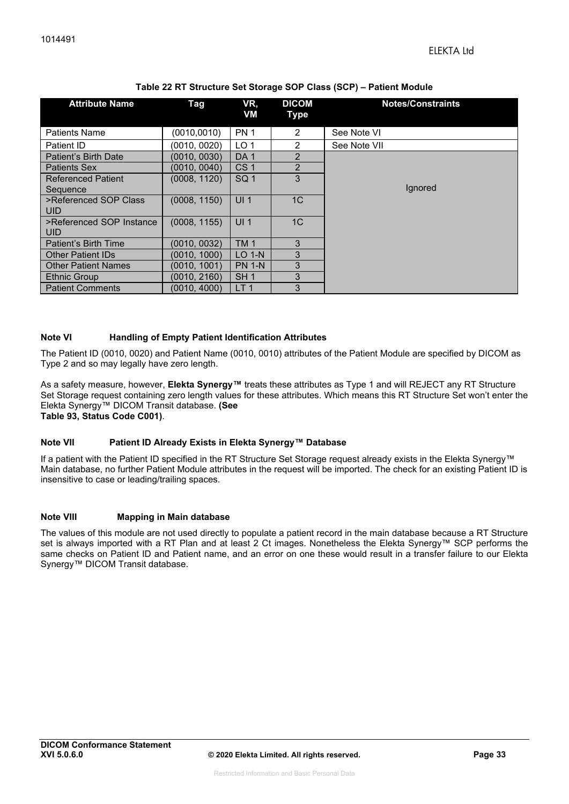| <b>Attribute Name</b>            | Tag          | VR,<br>VM       | <b>DICOM</b><br>Type | <b>Notes/Constraints</b> |
|----------------------------------|--------------|-----------------|----------------------|--------------------------|
| <b>Patients Name</b>             | (0010,0010)  | PN <sub>1</sub> | $\overline{2}$       | See Note VI              |
| Patient ID                       | (0010, 0020) | LO <sub>1</sub> | $\overline{2}$       | See Note VII             |
| Patient's Birth Date             | (0010, 0030) | DA <sub>1</sub> | $\overline{2}$       |                          |
| <b>Patients Sex</b>              | (0010, 0040) | CS <sub>1</sub> | $\overline{2}$       |                          |
| <b>Referenced Patient</b>        | (0008, 1120) | SQ <sub>1</sub> | 3                    |                          |
| Sequence                         |              |                 |                      | lgnored                  |
| >Referenced SOP Class<br>UID.    | (0008, 1150) | UI <sub>1</sub> | 1 <sup>C</sup>       |                          |
| >Referenced SOP Instance<br>UID. | (0008, 1155) | UI <sub>1</sub> | 1 <sup>C</sup>       |                          |
| Patient's Birth Time             | (0010, 0032) | TM <sub>1</sub> | 3                    |                          |
| <b>Other Patient IDs</b>         | (0010, 1000) | $LO$ 1-N        | 3                    |                          |
| <b>Other Patient Names</b>       | (0010.1001)  | <b>PN 1-N</b>   | 3                    |                          |
| Ethnic Group                     | (0010, 2160) | SH <sub>1</sub> | 3                    |                          |
| <b>Patient Comments</b>          | (0010, 4000) | LT <sub>1</sub> | 3                    |                          |

#### **Note VI Handling of Empty Patient Identification Attributes**

The Patient ID (0010, 0020) and Patient Name (0010, 0010) attributes of the Patient Module are specified by DICOM as Type 2 and so may legally have zero length.

As a safety measure, however, **Elekta Synergy™** treats these attributes as Type 1 and will REJECT any RT Structure Set Storage request containing zero length values for these attributes. Which means this RT Structure Set won't enter the Elekta Synergy™ DICOM Transit database. **(See Table 93, Status Code C001)**.

#### **Note VII Patient ID Already Exists in Elekta Synergy™ Database**

If a patient with the Patient ID specified in the RT Structure Set Storage request already exists in the Elekta Synergy™ Main database, no further Patient Module attributes in the request will be imported. The check for an existing Patient ID is insensitive to case or leading/trailing spaces.

#### **Note VIII Mapping in Main database**

The values of this module are not used directly to populate a patient record in the main database because a RT Structure set is always imported with a RT Plan and at least 2 Ct images. Nonetheless the Elekta Synergy™ SCP performs the same checks on Patient ID and Patient name, and an error on one these would result in a transfer failure to our Elekta Synergy™ DICOM Transit database.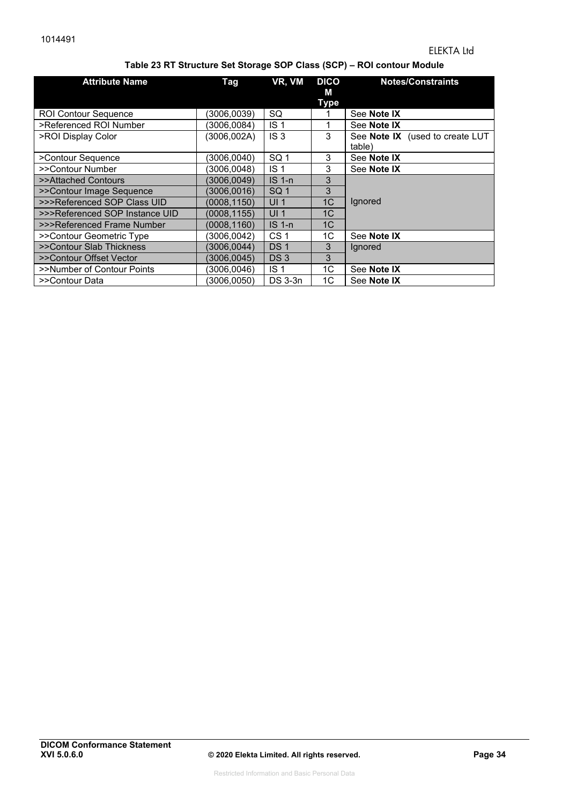#### **Table 23 RT Structure Set Storage SOP Class (SCP) – ROI contour Module**

| <b>Attribute Name</b>          | Tag          | VR, VM          | <b>DICO</b><br>м<br><b>Type</b> | <b>Notes/Constraints</b>                  |
|--------------------------------|--------------|-----------------|---------------------------------|-------------------------------------------|
| <b>ROI Contour Sequence</b>    | 3006,0039)   | SQ              |                                 | See Note IX                               |
| >Referenced ROI Number         | (3006,0084)  | IS <sub>1</sub> |                                 | See Note IX                               |
| >ROI Display Color             | (3006,002A)  | IS <sub>3</sub> | 3                               | See Note IX (used to create LUT<br>table) |
| >Contour Sequence              | 3006,0040)   | SQ <sub>1</sub> | 3                               | See Note IX                               |
| >>Contour Number               | (3006, 0048) | IS <sub>1</sub> | 3                               | See Note IX                               |
| >>Attached Contours            | (3006,0049)  | $IS1-n$         | 3                               |                                           |
| >>Contour Image Sequence       | (3006, 0016) | SQ <sub>1</sub> | 3                               |                                           |
| >>>Referenced SOP Class UID    | (0008, 1150) | UI <sub>1</sub> | 1 <sup>C</sup>                  | Ignored                                   |
| >>>Referenced SOP Instance UID | (0008, 1155) | UI <sub>1</sub> | 1 <sup>C</sup>                  |                                           |
| >>>Referenced Frame Number     | (0008,1160)  | $IS1-n$         | 1C                              |                                           |
| >>Contour Geometric Type       | (3006.0042)  | CS <sub>1</sub> | 1C                              | See Note IX                               |
| >>Contour Slab Thickness       | (3006.0044)  | DS <sub>1</sub> | 3                               | lgnored                                   |
| >>Contour Offset Vector        | (3006, 0045) | DS <sub>3</sub> | 3                               |                                           |
| >>Number of Contour Points     | 3006,0046)   | IS <sub>1</sub> | 1C                              | See Note IX                               |
| >>Contour Data                 | 3006,0050)   | DS 3-3n         | 1C                              | See Note IX                               |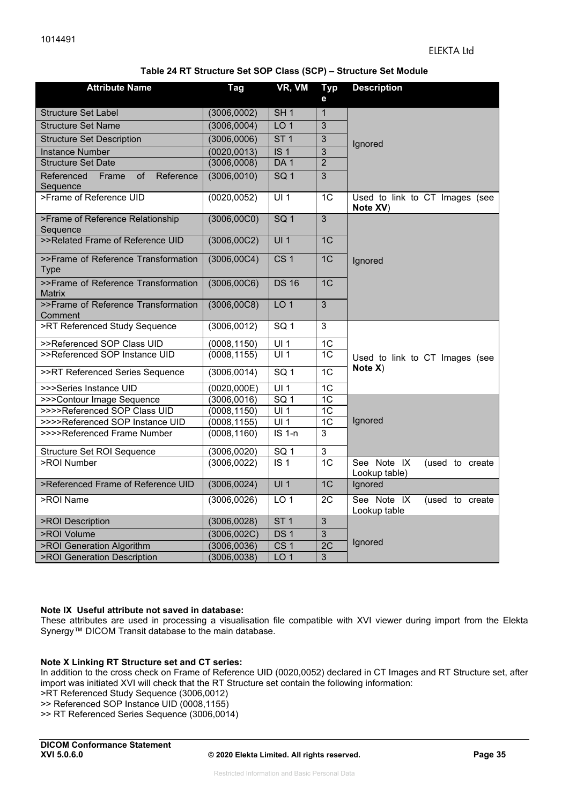#### **Table 24 RT Structure Set SOP Class (SCP) – Structure Set Module**

| <b>Attribute Name</b>                                         | Tag          | VR, VM              | <b>Typ</b><br>е | <b>Description</b>                              |
|---------------------------------------------------------------|--------------|---------------------|-----------------|-------------------------------------------------|
| <b>Structure Set Label</b>                                    | (3006,0002)  | SH <sub>1</sub>     | $\overline{1}$  |                                                 |
| <b>Structure Set Name</b>                                     | (3006,0004)  | LO <sub>1</sub>     | 3               |                                                 |
| <b>Structure Set Description</b>                              | (3006,0006)  | ST <sub>1</sub>     | 3               | Ignored                                         |
| <b>Instance Number</b>                                        | (0020, 0013) | IS <sub>1</sub>     | $\overline{3}$  |                                                 |
| <b>Structure Set Date</b>                                     | (3006,0008)  | DA <sub>1</sub>     | $\overline{2}$  |                                                 |
| Referenced<br>Reference<br>Frame<br><sub>of</sub><br>Sequence | (3006, 0010) | SQ <sub>1</sub>     | $\overline{3}$  |                                                 |
| >Frame of Reference UID                                       | (0020, 0052) | U1                  | $\overline{1C}$ | Used to link to CT Images (see<br>Note XV)      |
| >Frame of Reference Relationship<br>Sequence                  | (3006, 00C0) | SG <sub>1</sub>     | $\overline{3}$  |                                                 |
| >>Related Frame of Reference UID                              | (3006, 00C2) | UI1                 | 1C              |                                                 |
| >>Frame of Reference Transformation<br><b>Type</b>            | (3006, 00C4) | CS <sub>1</sub>     | 1 <sup>C</sup>  | Ignored                                         |
| >>Frame of Reference Transformation<br><b>Matrix</b>          | (3006, 00C6) | <b>DS 16</b>        | 1 <sup>C</sup>  |                                                 |
| >>Frame of Reference Transformation<br>Comment                | (3006, 00C8) | LO <sub>1</sub>     | $\mathbf{3}$    |                                                 |
| >RT Referenced Study Sequence                                 | (3006, 0012) | SQ <sub>1</sub>     | $\overline{3}$  |                                                 |
| >>Referenced SOP Class UID                                    | (0008, 1150) | UI1                 | 1 <sup>C</sup>  |                                                 |
| >>Referenced SOP Instance UID                                 | (0008, 1155) | UI <sub>1</sub>     | 1 <sup>C</sup>  | Used to link to CT Images (see                  |
| >>RT Referenced Series Sequence                               | (3006, 0014) | SG <sub>1</sub>     | $\overline{1C}$ | Note X)                                         |
| >>>Series Instance UID                                        | (0020, 000E) | $\overline{UI1}$    | $\overline{1C}$ |                                                 |
| >>>Contour Image Sequence                                     | (3006, 0016) | $\overline{SQ}$ 1   | 1C              |                                                 |
| >>>>Referenced SOP Class UID                                  | (0008, 1150) | UI1                 | 1C              |                                                 |
| >>>>Referenced SOP Instance UID                               | (0008, 1155) | UI <sub>1</sub>     | 1 <sup>C</sup>  | Ignored                                         |
| >>>>Referenced Frame Number                                   | (0008, 1160) | $\overline{IS}$ 1-n | $\overline{3}$  |                                                 |
| Structure Set ROI Sequence                                    | (3006, 0020) | SQ <sub>1</sub>     | $\mathbf{3}$    |                                                 |
| >ROI Number                                                   | (3006, 0022) | $\overline{1S}$ 1   | 1C              | See Note IX<br>(used to create<br>Lookup table) |
| >Referenced Frame of Reference UID                            | (3006, 0024) | UI <sub>1</sub>     | 1 <sup>C</sup>  | Ignored                                         |
| >ROI Name                                                     | (3006, 0026) | LO <sub>1</sub>     | 2C              | See Note IX<br>(used to create<br>Lookup table  |
| >ROI Description                                              | (3006, 0028) | ST <sub>1</sub>     | $\overline{3}$  |                                                 |
| >ROI Volume                                                   | (3006,002C)  | DS <sub>1</sub>     | $\overline{3}$  |                                                 |
| >ROI Generation Algorithm                                     | (3006,0036)  | CS <sub>1</sub>     | 2C              | Ignored                                         |
| >ROI Generation Description                                   | (3006, 0038) | LO <sub>1</sub>     | 3               |                                                 |

#### **Note IX Useful attribute not saved in database:**

These attributes are used in processing a visualisation file compatible with XVI viewer during import from the Elekta Synergy™ DICOM Transit database to the main database.

#### **Note X Linking RT Structure set and CT series:**

In addition to the cross check on Frame of Reference UID (0020,0052) declared in CT Images and RT Structure set, after import was initiated XVI will check that the RT Structure set contain the following information:

>RT Referenced Study Sequence (3006,0012)

>> Referenced SOP Instance UID (0008,1155)

>> RT Referenced Series Sequence (3006,0014)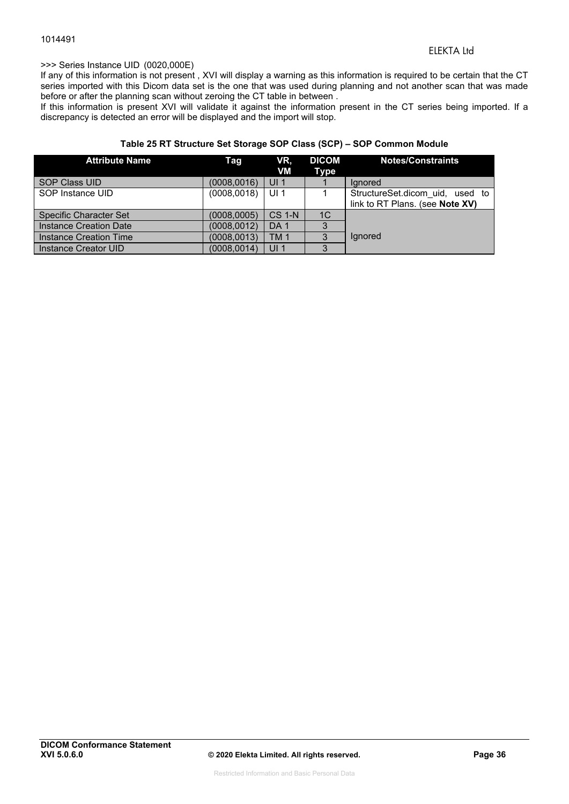#### >>> Series Instance UID (0020,000E)

If any of this information is not present , XVI will display a warning as this information is required to be certain that the CT series imported with this Dicom data set is the one that was used during planning and not another scan that was made before or after the planning scan without zeroing the CT table in between .

If this information is present XVI will validate it against the information present in the CT series being imported. If a discrepancy is detected an error will be displayed and the import will stop.

#### **Table 25 RT Structure Set Storage SOP Class (SCP) – SOP Common Module**

| <b>Attribute Name</b>         | Tag          | VR,<br>VM       | <b>DICOM</b><br>Type | <b>Notes/Constraints</b>        |
|-------------------------------|--------------|-----------------|----------------------|---------------------------------|
| <b>SOP Class UID</b>          | (0008,0016)  | UI <sub>1</sub> |                      | lanored                         |
| SOP Instance UID              | (0008, 0018) | UI <sub>1</sub> |                      | StructureSet.dicom uid, used to |
|                               |              |                 |                      | link to RT Plans. (see Note XV) |
| <b>Specific Character Set</b> | (0008.0005)  | <b>CS 1-N</b>   | 1 <sup>C</sup>       |                                 |
| Instance Creation Date        | (0008, 0012) | DA <sub>1</sub> | 3                    |                                 |
| Instance Creation Time        | (0008, 0013) | <b>TM1</b>      | 3                    | lgnored                         |
| Instance Creator UID          | (0008, 0014) | UI <sub>1</sub> | 3                    |                                 |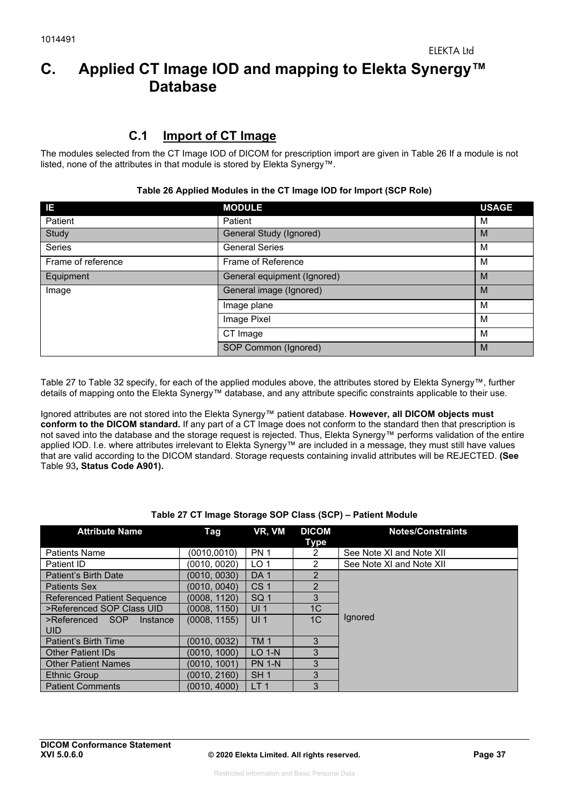# **C. Applied CT Image IOD and mapping to Elekta Synergy™ Database**

## **C.1 Import of CT Image**

The modules selected from the CT Image IOD of DICOM for prescription import are given in Table 26 If a module is not listed, none of the attributes in that module is stored by Elekta Synergy™.

| IE.                | <b>MODULE</b>               | <b>USAGE</b> |
|--------------------|-----------------------------|--------------|
| Patient            | Patient                     | м            |
| Study              | General Study (Ignored)     | M            |
| <b>Series</b>      | <b>General Series</b>       | M            |
| Frame of reference | Frame of Reference          | M            |
| Equipment          | General equipment (Ignored) | M            |
| Image              | General image (Ignored)     | M            |
|                    | Image plane                 | м            |
|                    | Image Pixel                 | м            |
|                    | CT Image                    | м            |
|                    | SOP Common (Ignored)        | M            |

#### **Table 26 Applied Modules in the CT Image IOD for Import (SCP Role)**

Table 27 to Table 32 specify, for each of the applied modules above, the attributes stored by Elekta Synergy™, further details of mapping onto the Elekta Synergy™ database, and any attribute specific constraints applicable to their use.

Ignored attributes are not stored into the Elekta Synergy™ patient database. **However, all DICOM objects must conform to the DICOM standard.** If any part of a CT Image does not conform to the standard then that prescription is not saved into the database and the storage request is rejected. Thus, Elekta Synergy™ performs validation of the entire applied IOD. I.e. where attributes irrelevant to Elekta Synergy™ are included in a message, they must still have values that are valid according to the DICOM standard. Storage requests containing invalid attributes will be REJECTED. **(See** Table 93**, Status Code A901).**

| <b>Attribute Name</b>                     | Tag          | VR, VM          | <b>DICOM</b><br><b>Type</b> | <b>Notes/Constraints</b> |
|-------------------------------------------|--------------|-----------------|-----------------------------|--------------------------|
| <b>Patients Name</b>                      | (0010.0010)  | <b>PN 1</b>     | 2                           | See Note XI and Note XII |
| Patient ID                                | (0010, 0020) | LO <sub>1</sub> | $\mathcal{P}$               | See Note XI and Note XII |
| Patient's Birth Date                      | (0010, 0030) | DA <sub>1</sub> | $\mathcal{P}$               |                          |
| <b>Patients Sex</b>                       | (0010, 0040) | CS <sub>1</sub> | $\mathcal{P}$               |                          |
| <b>Referenced Patient Sequence</b>        | (0008, 1120) | SQ <sub>1</sub> | 3                           |                          |
| >Referenced SOP Class UID                 | (0008, 1150) | UI <sub>1</sub> | 1C                          |                          |
| >Referenced SOP<br>Instance<br><b>UID</b> | (0008, 1155) | UI <sub>1</sub> | 1 <sup>C</sup>              | lgnored                  |
| Patient's Birth Time                      | (0010, 0032) | <b>TM1</b>      | 3                           |                          |
| <b>Other Patient IDs</b>                  | (0010, 1000) | $LO$ 1-N        | 3                           |                          |
| <b>Other Patient Names</b>                | (0010, 1001) | <b>PN 1-N</b>   | 3                           |                          |
| Ethnic Group                              | (0010, 2160) | SH <sub>1</sub> | 3                           |                          |
| <b>Patient Comments</b>                   | (0010, 4000) | LT <sub>1</sub> | 3                           |                          |

#### **Table 27 CT Image Storage SOP Class (SCP) – Patient Module**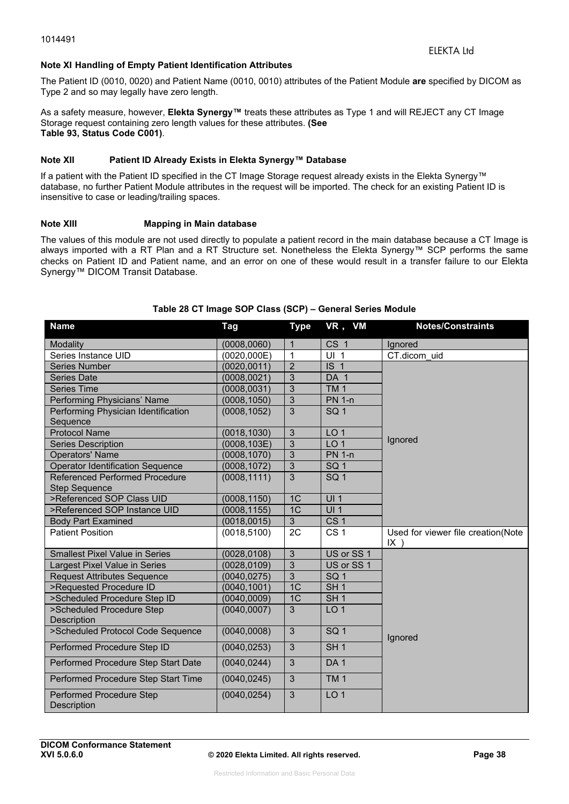#### **Note XI Handling of Empty Patient Identification Attributes**

The Patient ID (0010, 0020) and Patient Name (0010, 0010) attributes of the Patient Module **are** specified by DICOM as Type 2 and so may legally have zero length.

As a safety measure, however, **Elekta Synergy™** treats these attributes as Type 1 and will REJECT any CT Image Storage request containing zero length values for these attributes. **(See Table 93, Status Code C001)**.

#### **Note XII Patient ID Already Exists in Elekta Synergy™ Database**

If a patient with the Patient ID specified in the CT Image Storage request already exists in the Elekta Synergy™ database, no further Patient Module attributes in the request will be imported. The check for an existing Patient ID is insensitive to case or leading/trailing spaces.

#### **Note XIII Mapping in Main database**

The values of this module are not used directly to populate a patient record in the main database because a CT Image is always imported with a RT Plan and a RT Structure set. Nonetheless the Elekta Synergy™ SCP performs the same checks on Patient ID and Patient name, and an error on one of these would result in a transfer failure to our Elekta Synergy™ DICOM Transit Database.

| <b>Name</b>                                     | <b>Tag</b>   | <b>Type</b>    | VR, VM          | <b>Notes/Constraints</b>                     |
|-------------------------------------------------|--------------|----------------|-----------------|----------------------------------------------|
| Modality                                        | (0008, 0060) | $\mathbf{1}$   | CS <sub>1</sub> | Ignored                                      |
| Series Instance UID                             | (0020, 000E) | $\mathbf{1}$   | UI <sub>1</sub> | CT.dicom uid                                 |
| <b>Series Number</b>                            | (0020, 0011) | $\overline{2}$ | IS <sub>1</sub> |                                              |
| <b>Series Date</b>                              | (0008, 0021) | $\overline{3}$ | DA 1            |                                              |
| <b>Series Time</b>                              | (0008, 0031) | 3              | TM <sub>1</sub> |                                              |
| Performing Physicians' Name                     | (0008, 1050) | 3              | <b>PN 1-n</b>   |                                              |
| Performing Physician Identification<br>Sequence | (0008, 1052) | 3              | SQ <sub>1</sub> |                                              |
| <b>Protocol Name</b>                            | (0018, 1030) | 3              | LO <sub>1</sub> |                                              |
| <b>Series Description</b>                       | (0008, 103E) | $\overline{3}$ | LO <sub>1</sub> | Ignored                                      |
| <b>Operators' Name</b>                          | (0008, 1070) | 3              | <b>PN 1-n</b>   |                                              |
| <b>Operator Identification Sequence</b>         | (0008, 1072) | $\overline{3}$ | SQ <sub>1</sub> |                                              |
| Referenced Performed Procedure                  | (0008, 1111) | 3              | SQ <sub>1</sub> |                                              |
| <b>Step Sequence</b>                            |              |                |                 |                                              |
| >Referenced SOP Class UID                       | (0008, 1150) | 1 <sup>C</sup> | UI1             |                                              |
| >Referenced SOP Instance UID                    | (0008, 1155) | 1 <sup>C</sup> | UI1             |                                              |
| <b>Body Part Examined</b>                       | (0018, 0015) | $\overline{3}$ | CS <sub>1</sub> |                                              |
| <b>Patient Position</b>                         | (0018, 5100) | 2C             | CS <sub>1</sub> | Used for viewer file creation(Note<br>$IX$ ) |
| <b>Smallest Pixel Value in Series</b>           | (0028, 0108) | $\overline{3}$ | US or SS 1      |                                              |
| Largest Pixel Value in Series                   | (0028, 0109) | $\overline{3}$ | US or SS 1      |                                              |
| <b>Request Attributes Sequence</b>              | (0040, 0275) | $\overline{3}$ | SQ <sub>1</sub> |                                              |
| >Requested Procedure ID                         | (0040, 1001) | 1 <sup>C</sup> | SH <sub>1</sub> |                                              |
| >Scheduled Procedure Step ID                    | (0040, 0009) | 1C             | SH <sub>1</sub> |                                              |
| >Scheduled Procedure Step<br>Description        | (0040, 0007) | 3              | LO <sub>1</sub> |                                              |
| >Scheduled Protocol Code Sequence               | (0040,0008)  | 3              | SQ <sub>1</sub> | Ignored                                      |
| Performed Procedure Step ID                     | (0040, 0253) | 3              | SH <sub>1</sub> |                                              |
| Performed Procedure Step Start Date             | (0040, 0244) | 3              | DA <sub>1</sub> |                                              |
| Performed Procedure Step Start Time             | (0040, 0245) | 3              | <b>TM1</b>      |                                              |
| Performed Procedure Step<br>Description         | (0040, 0254) | $\mathbf{3}$   | LO <sub>1</sub> |                                              |

#### **Table 28 CT Image SOP Class (SCP) – General Series Module**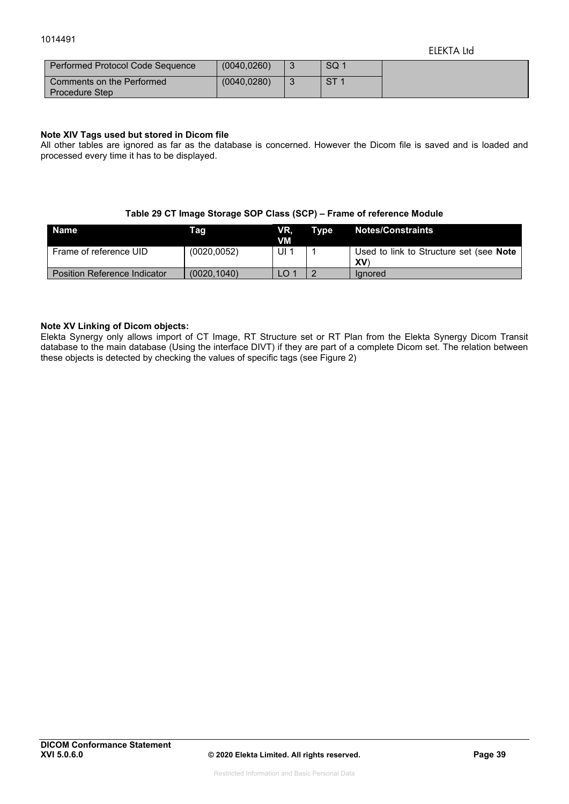| Performed Protocol Code Sequence                   | (0040.0260)  | SQ <sub>1</sub> |
|----------------------------------------------------|--------------|-----------------|
| Comments on the Performed<br><b>Procedure Step</b> | (0040, 0280) | CT 1            |

#### **Note XIV Tags used but stored in Dicom file**

All other tables are ignored as far as the database is concerned. However the Dicom file is saved and is loaded and processed every time it has to be displayed.

#### **Table 29 CT Image Storage SOP Class (SCP) – Frame of reference Module**

| <b>Name</b>                         | Taq          | VR.<br>VM       | Type Notes/Constraints                                      |
|-------------------------------------|--------------|-----------------|-------------------------------------------------------------|
| Frame of reference UID              | (0020, 0052) | 1 ال            | Used to link to Structure set (see <b>Note</b><br><b>XV</b> |
| <b>Position Reference Indicator</b> | (0020.1040)  | LO <sup>1</sup> | lanored                                                     |

#### **Note XV Linking of Dicom objects:**

Elekta Synergy only allows import of CT Image, RT Structure set or RT Plan from the Elekta Synergy Dicom Transit database to the main database (Using the interface DIVT) if they are part of a complete Dicom set. The relation between these objects is detected by checking the values of specific tags (see Figure 2)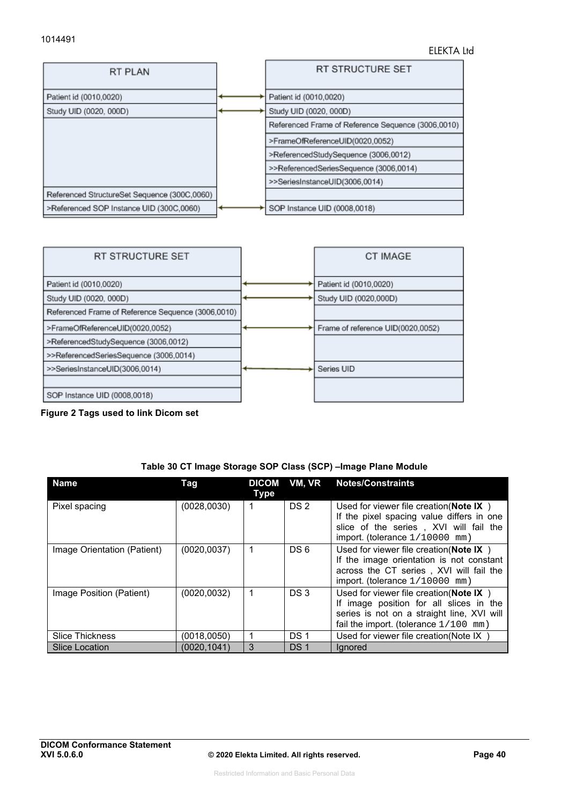



**Figure 2 Tags used to link Dicom set** 

|  | Table 30 CT Image Storage SOP Class (SCP) - Image Plane Module |
|--|----------------------------------------------------------------|
|--|----------------------------------------------------------------|

| <b>Name</b>                 | Tag          | <b>DICOM</b><br>Type | VM, VR          | <b>Notes/Constraints</b>                                                                                                                                                       |
|-----------------------------|--------------|----------------------|-----------------|--------------------------------------------------------------------------------------------------------------------------------------------------------------------------------|
| Pixel spacing               | (0028,0030)  |                      | DS <sub>2</sub> | Used for viewer file creation (Note $IX$ )<br>If the pixel spacing value differs in one<br>slice of the series, XVI will fail the<br>import. (tolerance $1/10000$ mm)          |
| Image Orientation (Patient) | (0020, 0037) | 1                    | DS 6            | Used for viewer file creation (Note $IX$ )<br>If the image orientation is not constant<br>across the CT series, XVI will fail the<br>import. (tolerance $1/10000$ mm)          |
| Image Position (Patient)    | (0020, 0032) |                      | DS 3            | Used for viewer file creation (Note $IX$ )<br>If image position for all slices in the<br>series is not on a straight line, XVI will<br>fail the import. (tolerance $1/100$ mm) |
| <b>Slice Thickness</b>      | (0018,0050)  |                      | DS <sub>1</sub> | Used for viewer file creation (Note IX)                                                                                                                                        |
| <b>Slice Location</b>       | (0020, 1041) | 3                    | DS <sub>1</sub> | lgnored                                                                                                                                                                        |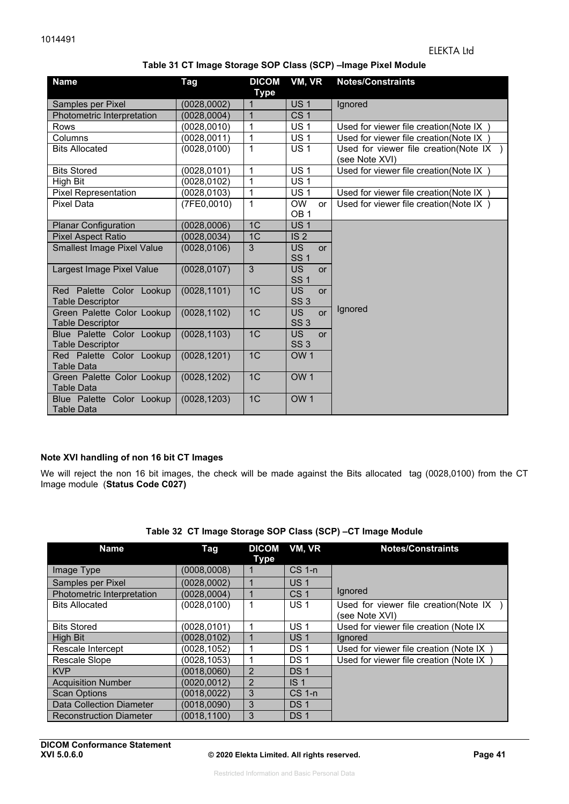|  | Table 31 CT Image Storage SOP Class (SCP) –Image Pixel Module |  |  |  |
|--|---------------------------------------------------------------|--|--|--|
|  |                                                               |  |  |  |

| <b>Name</b>                                           | Tag          | <b>DICOM</b><br><b>Type</b> | VM, VR                                    | <b>Notes/Constraints</b>                                  |
|-------------------------------------------------------|--------------|-----------------------------|-------------------------------------------|-----------------------------------------------------------|
| Samples per Pixel                                     | (0028, 0002) | 1                           | <b>US1</b>                                | Ignored                                                   |
| Photometric Interpretation                            | (0028, 0004) | $\mathbf{1}$                | CS <sub>1</sub>                           |                                                           |
| Rows                                                  | (0028, 0010) | 1                           | <b>US1</b>                                | Used for viewer file creation(Note IX                     |
| Columns                                               | (0028,0011)  | $\mathbf{1}$                | <b>US1</b>                                | Used for viewer file creation(Note IX)                    |
| <b>Bits Allocated</b>                                 | (0028, 0100) | 1                           | <b>US1</b>                                | Used for viewer file creation(Note IX )<br>(see Note XVI) |
| <b>Bits Stored</b>                                    | (0028, 0101) | 1                           | <b>US1</b>                                | Used for viewer file creation(Note IX                     |
| High Bit                                              | (0028, 0102) | 1                           | US <sub>1</sub>                           |                                                           |
| <b>Pixel Representation</b>                           | (0028, 0103) | $\mathbf{1}$                | <b>US1</b>                                | Used for viewer file creation (Note IX)                   |
| <b>Pixel Data</b>                                     | (7FE0,0010)  | 1                           | <b>OW</b><br>or<br>OB <sub>1</sub>        | Used for viewer file creation(Note IX)                    |
| <b>Planar Configuration</b>                           | (0028, 0006) | 1C                          | <b>US1</b>                                |                                                           |
| <b>Pixel Aspect Ratio</b>                             | (0028, 0034) | 1 <sub>C</sub>              | IS <sub>2</sub>                           |                                                           |
| <b>Smallest Image Pixel Value</b>                     | (0028, 0106) | 3                           | <b>US</b><br><b>or</b><br><b>SS1</b>      |                                                           |
| Largest Image Pixel Value                             | (0028, 0107) | 3                           | <b>US</b><br><b>or</b><br><b>SS1</b>      |                                                           |
| Red Palette Color Lookup<br><b>Table Descriptor</b>   | (0028, 1101) | 1 <sub>C</sub>              | <b>US</b><br><b>or</b><br>SS <sub>3</sub> |                                                           |
| Green Palette Color Lookup<br><b>Table Descriptor</b> | (0028, 1102) | 1C                          | <b>US</b><br><b>or</b><br>SS <sub>3</sub> | Ignored                                                   |
| Blue Palette Color Lookup<br><b>Table Descriptor</b>  | (0028, 1103) | 1C                          | <b>US</b><br><b>or</b><br>SS <sub>3</sub> |                                                           |
| Red Palette Color Lookup<br>Table Data                | (0028, 1201) | 1C                          | OW <sub>1</sub>                           |                                                           |
| Green Palette Color Lookup<br><b>Table Data</b>       | (0028, 1202) | 1C                          | OW <sub>1</sub>                           |                                                           |
| Blue Palette Color Lookup<br><b>Table Data</b>        | (0028, 1203) | 1C                          | OW <sub>1</sub>                           |                                                           |

#### **Note XVI handling of non 16 bit CT Images**

We will reject the non 16 bit images, the check will be made against the Bits allocated tag (0028,0100) from the CT Image module (**Status Code C027)** 

|  |  | Table 32 CT Image Storage SOP Class (SCP) -CT Image Module |  |
|--|--|------------------------------------------------------------|--|
|  |  |                                                            |  |

| Name                            | Tag          | <b>DICOM</b><br>Type | VM, VR          | <b>Notes/Constraints</b>               |
|---------------------------------|--------------|----------------------|-----------------|----------------------------------------|
| Image Type                      | (0008,0008)  |                      | $CS$ 1-n        |                                        |
| Samples per Pixel               | (0028.0002)  |                      | US <sub>1</sub> |                                        |
| Photometric Interpretation      | (0028.0004)  |                      | CS <sub>1</sub> | Ignored                                |
| <b>Bits Allocated</b>           | (0028, 0100) |                      | US <sub>1</sub> | Used for viewer file creation(Note IX) |
|                                 |              |                      |                 | (see Note XVI)                         |
| <b>Bits Stored</b>              | (0028.0101)  |                      | <b>US1</b>      | Used for viewer file creation (Note IX |
| <b>High Bit</b>                 | (0028, 0102) |                      | US <sub>1</sub> | lanored                                |
| Rescale Intercept               | (0028.1052)  |                      | DS 1            | Used for viewer file creation (Note IX |
| Rescale Slope                   | (0028, 1053) |                      | DS <sub>1</sub> | Used for viewer file creation (Note IX |
| <b>KVP</b>                      | (0018.0060)  | $\mathcal{P}$        | DS <sub>1</sub> |                                        |
| <b>Acquisition Number</b>       | (0020.0012)  | $\overline{2}$       | IS <sub>1</sub> |                                        |
| <b>Scan Options</b>             | (0018, 0022) | 3                    | $CS$ 1-n        |                                        |
| <b>Data Collection Diameter</b> | (0018.0090)  | 3                    | DS <sub>1</sub> |                                        |
| <b>Reconstruction Diameter</b>  | (0018, 1100) | 3                    | DS <sub>1</sub> |                                        |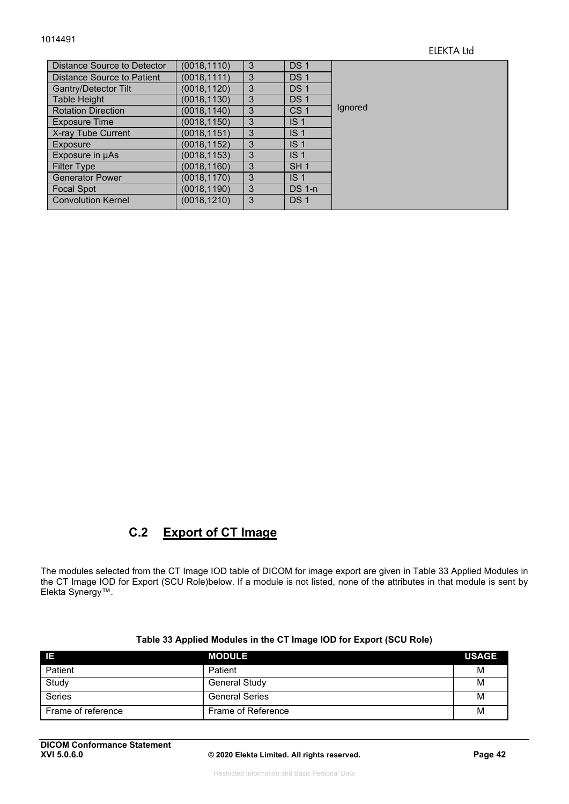| Distance Source to Detector | (0018, 1110) | 3 | DS <sub>1</sub> |         |
|-----------------------------|--------------|---|-----------------|---------|
| Distance Source to Patient  | (0018,1111)  | 3 | <b>DS1</b>      |         |
| <b>Gantry/Detector Tilt</b> | (0018,1120)  | 3 | DS <sub>1</sub> |         |
| <b>Table Height</b>         | (0018,1130)  | 3 | DS <sub>1</sub> |         |
| <b>Rotation Direction</b>   | (0018,1140)  | 3 | CS <sub>1</sub> | Ignored |
| <b>Exposure Time</b>        | (0018,1150)  | 3 | IS <sub>1</sub> |         |
| X-ray Tube Current          | (0018,1151)  | 3 | IS <sub>1</sub> |         |
| Exposure                    | (0018,1152)  | 3 | IS <sub>1</sub> |         |
| Exposure in µAs             | (0018,1153)  | 3 | IS <sub>1</sub> |         |
| <b>Filter Type</b>          | (0018,1160)  | 3 | SH <sub>1</sub> |         |
| <b>Generator Power</b>      | (0018,1170)  | 3 | IS <sub>1</sub> |         |
| <b>Focal Spot</b>           | (0018,1190)  | 3 | $DS$ 1-n        |         |
| <b>Convolution Kernel</b>   | (0018, 1210) | 3 | DS <sub>1</sub> |         |

## **C.2 Export of CT Image**

The modules selected from the CT Image IOD table of DICOM for image export are given in Table 33 Applied Modules in the CT Image IOD for Export (SCU Role)below. If a module is not listed, none of the attributes in that module is sent by Elekta Synergy™.

| - IE               | <b>MODULE</b>         | <b>USAGE</b> |
|--------------------|-----------------------|--------------|
| Patient            | Patient               | М            |
| Study              | <b>General Study</b>  | M            |
| <b>Series</b>      | <b>General Series</b> | M            |
| Frame of reference | Frame of Reference    | М            |

#### **Table 33 Applied Modules in the CT Image IOD for Export (SCU Role)**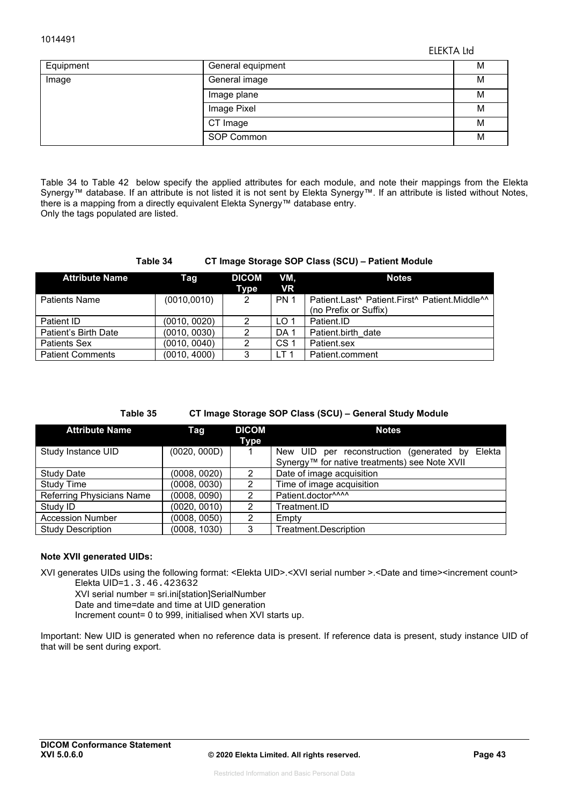ELEKTA Ltd

| Equipment | General equipment | M |
|-----------|-------------------|---|
| Image     | General image     | M |
|           | Image plane       | M |
|           | Image Pixel       | M |
|           | CT Image          | M |
|           | SOP Common        | М |

Table 34 to Table 42 below specify the applied attributes for each module, and note their mappings from the Elekta Synergy™ database. If an attribute is not listed it is not sent by Elekta Synergy™. If an attribute is listed without Notes, there is a mapping from a directly equivalent Elekta Synergy™ database entry. Only the tags populated are listed.

#### **Table 34 CT Image Storage SOP Class (SCU) – Patient Module**

| <b>Attribute Name</b>   | Taq          | <b>DICOM</b><br>Type | VM.<br><b>VR</b> | <b>Notes</b>                                  |
|-------------------------|--------------|----------------------|------------------|-----------------------------------------------|
| <b>Patients Name</b>    | (0010, 0010) | 2                    | <b>PN 1</b>      | Patient.Last^ Patient.First^ Patient.Middle^^ |
|                         |              |                      |                  | (no Prefix or Suffix)                         |
| Patient ID              | (0010, 0020) | 2                    | LO <sub>1</sub>  | Patient.ID                                    |
| Patient's Birth Date    | (0010, 0030) | 2                    | DA <sub>1</sub>  | Patient.birth date                            |
| <b>Patients Sex</b>     | (0010, 0040) | 2                    | CS <sub>1</sub>  | Patient.sex                                   |
| <b>Patient Comments</b> | (0010, 4000) | 3                    | LT <sub>1</sub>  | Patient.comment                               |

#### **Table 35 CT Image Storage SOP Class (SCU) – General Study Module**

| <b>Attribute Name</b>            | Tag          | <b>DICOM</b>   | <b>Notes</b>                                       |
|----------------------------------|--------------|----------------|----------------------------------------------------|
| Study Instance UID               | (0020, 000D) | Type           | New UID per reconstruction (generated by<br>Elekta |
|                                  |              |                | Synergy™ for native treatments) see Note XVII      |
| <b>Study Date</b>                | (0008, 0020) | 2              | Date of image acquisition                          |
| <b>Study Time</b>                | (0008, 0030) | 2              | Time of image acquisition                          |
| <b>Referring Physicians Name</b> | (0008, 0090) | 2              | Patient.doctor^^^^                                 |
| Study ID                         | (0020, 0010) | 2              | Treatment.ID                                       |
| <b>Accession Number</b>          | (0008, 0050) | $\mathfrak{p}$ | Empty                                              |
| <b>Study Description</b>         | (0008, 1030) | 3              | Treatment.Description                              |

#### **Note XVII generated UIDs:**

XVI generates UIDs using the following format: <Elekta UID>.<XVI serial number >.<Date and time><increment count>

Elekta UID=1.3.46.423632

XVI serial number = sri.ini[station]SerialNumber

Date and time=date and time at UID generation

Increment count= 0 to 999, initialised when XVI starts up.

Important: New UID is generated when no reference data is present. If reference data is present, study instance UID of that will be sent during export.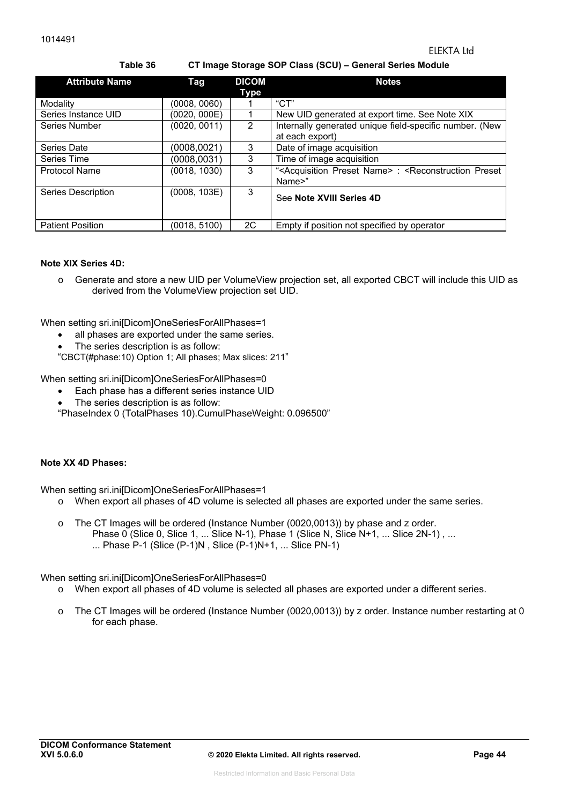**Table 36 CT Image Storage SOP Class (SCU) – General Series Module** 

| <b>Attribute Name</b>   | Tag          | <b>DICOM</b><br>Type | <b>Notes</b>                                                                                             |
|-------------------------|--------------|----------------------|----------------------------------------------------------------------------------------------------------|
| Modality                | (0008, 0060) |                      | $C$ T"                                                                                                   |
| Series Instance UID     | (0020, 000E) |                      | New UID generated at export time. See Note XIX                                                           |
| Series Number           | (0020, 0011) | $\mathcal{P}$        | Internally generated unique field-specific number. (New<br>at each export)                               |
| Series Date             | (0008, 0021) | 3                    | Date of image acquisition                                                                                |
| Series Time             | (0008, 0031) | 3                    | Time of image acquisition                                                                                |
| <b>Protocol Name</b>    | (0018, 1030) | 3                    | " <acquisition name="" preset="">: <reconstruction preset<br="">Name&gt;"</reconstruction></acquisition> |
| Series Description      | (0008, 103E) | 3                    | See Note XVIII Series 4D                                                                                 |
| <b>Patient Position</b> | (0018, 5100) | 2C                   | Empty if position not specified by operator                                                              |

#### **Note XIX Series 4D:**

o Generate and store a new UID per VolumeView projection set, all exported CBCT will include this UID as derived from the VolumeView projection set UID.

When setting sri.ini[Dicom]OneSeriesForAllPhases=1

- all phases are exported under the same series.
- The series description is as follow:

"CBCT(#phase:10) Option 1; All phases; Max slices: 211"

When setting sri.ini[Dicom]OneSeriesForAllPhases=0

- Each phase has a different series instance UID
- The series description is as follow:

"PhaseIndex 0 (TotalPhases 10).CumulPhaseWeight: 0.096500"

#### **Note XX 4D Phases:**

When setting sri.ini[Dicom]OneSeriesForAllPhases=1

- o When export all phases of 4D volume is selected all phases are exported under the same series.
- o The CT Images will be ordered (Instance Number (0020,0013)) by phase and z order. Phase 0 (Slice 0, Slice 1, ... Slice N-1), Phase 1 (Slice N, Slice N+1, ... Slice 2N-1), ... ... Phase P-1 (Slice (P-1)N , Slice (P-1)N+1, ... Slice PN-1)

When setting sri.ini[Dicom]OneSeriesForAllPhases=0

- o When export all phases of 4D volume is selected all phases are exported under a different series.
- o The CT Images will be ordered (Instance Number (0020,0013)) by z order. Instance number restarting at 0 for each phase.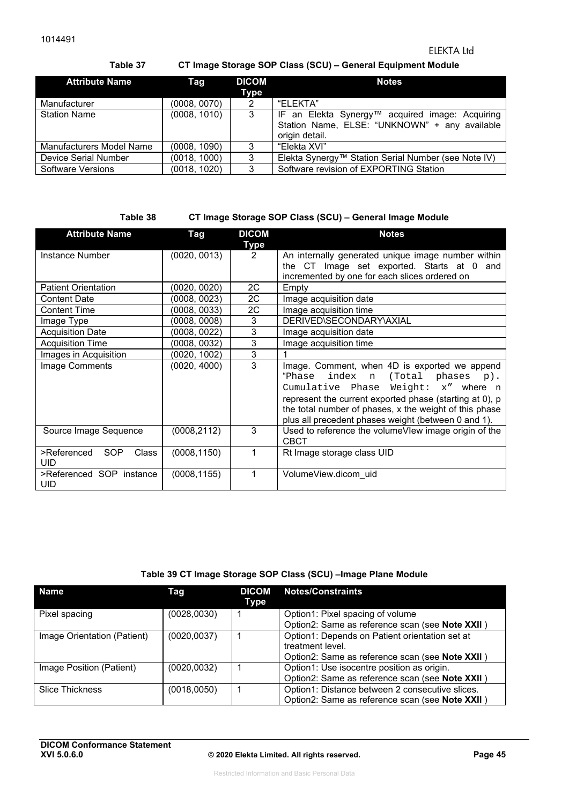**Table 37 CT Image Storage SOP Class (SCU) – General Equipment Module** 

| <b>Attribute Name</b>    | Tag          | <b>DICOM</b><br>Type | <b>Notes</b>                                                                                                       |
|--------------------------|--------------|----------------------|--------------------------------------------------------------------------------------------------------------------|
| Manufacturer             | (0008, 0070) | 2                    | "FLFKTA"                                                                                                           |
| <b>Station Name</b>      | (0008, 1010) | 3                    | IF an Elekta Synergy™ acquired image: Acquiring<br>Station Name, ELSE: "UNKNOWN" + any available<br>origin detail. |
| Manufacturers Model Name | (0008, 1090) |                      | "Elekta XVI"                                                                                                       |
| Device Serial Number     | (0018, 1000) | 3                    | Elekta Synergy™ Station Serial Number (see Note IV)                                                                |
| Software Versions        | (0018, 1020) | 3                    | Software revision of EXPORTING Station                                                                             |

**Table 38 CT Image Storage SOP Class (SCU) – General Image Module** 

| <b>Attribute Name</b>                  | Tag          | <b>DICOM</b><br>Type | <b>Notes</b>                                                                                                                                                                                                    |
|----------------------------------------|--------------|----------------------|-----------------------------------------------------------------------------------------------------------------------------------------------------------------------------------------------------------------|
| Instance Number                        | (0020, 0013) | 2                    | An internally generated unique image number within<br>the CT Image set exported. Starts at 0 and<br>incremented by one for each slices ordered on                                                               |
| <b>Patient Orientation</b>             | (0020, 0020) | 2C                   | Empty                                                                                                                                                                                                           |
| <b>Content Date</b>                    | (0008, 0023) | 2C                   | Image acquisition date                                                                                                                                                                                          |
| <b>Content Time</b>                    | (0008, 0033) | 2C                   | Image acquisition time                                                                                                                                                                                          |
| Image Type                             | (0008, 0008) | 3                    | DERIVED\SECONDARY\AXIAL                                                                                                                                                                                         |
| <b>Acquisition Date</b>                | (0008, 0022) | 3                    | Image acquisition date                                                                                                                                                                                          |
| <b>Acquisition Time</b>                | (0008, 0032) | 3                    | Image acquisition time                                                                                                                                                                                          |
| Images in Acquisition                  | (0020, 1002) | 3                    |                                                                                                                                                                                                                 |
| Image Comments                         | (0020, 4000) | 3                    | Image. Comment, when 4D is exported we append<br>"Phase<br>index<br>(Total<br>$phases$ p).<br>n                                                                                                                 |
|                                        |              |                      | Cumulative Phase Weight: x" where n<br>represent the current exported phase (starting at 0), p<br>the total number of phases, x the weight of this phase<br>plus all precedent phases weight (between 0 and 1). |
| Source Image Sequence                  | (0008,2112)  | 3                    | Used to reference the volumeVlew image origin of the<br><b>CBCT</b>                                                                                                                                             |
| SOP<br>>Referenced<br>Class<br>UID     | (0008, 1150) | 1                    | Rt Image storage class UID                                                                                                                                                                                      |
| >Referenced SOP instance<br><b>UID</b> | (0008, 1155) | 1                    | VolumeView.dicom uid                                                                                                                                                                                            |

#### **Table 39 CT Image Storage SOP Class (SCU) –Image Plane Module**

| <b>Name</b>                 | Tag          | <b>DICOM</b><br>Type | <b>Notes/Constraints</b>                        |
|-----------------------------|--------------|----------------------|-------------------------------------------------|
| Pixel spacing               | (0028, 0030) |                      | Option1: Pixel spacing of volume                |
|                             |              |                      | Option2: Same as reference scan (see Note XXII) |
| Image Orientation (Patient) | (0020, 0037) |                      | Option1: Depends on Patient orientation set at  |
|                             |              |                      | treatment level.                                |
|                             |              |                      | Option2: Same as reference scan (see Note XXII) |
| Image Position (Patient)    | (0020, 0032) |                      | Option1: Use isocentre position as origin.      |
|                             |              |                      | Option2: Same as reference scan (see Note XXII) |
| <b>Slice Thickness</b>      | (0018, 0050) |                      | Option1: Distance between 2 consecutive slices. |
|                             |              |                      | Option2: Same as reference scan (see Note XXII) |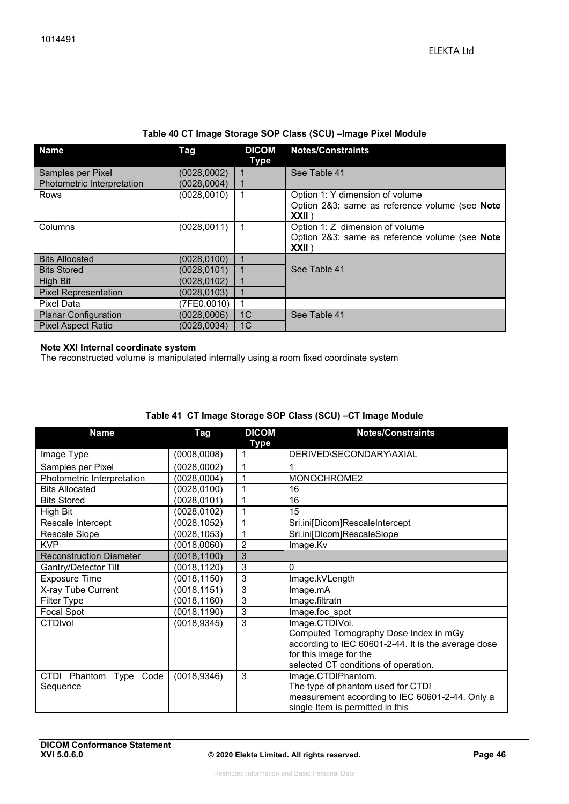| Table 40 CT Image Storage SOP Class (SCU) - Image Pixel Module |  |  |  |  |
|----------------------------------------------------------------|--|--|--|--|
|----------------------------------------------------------------|--|--|--|--|

| <b>Name</b>                       | Tag          | <b>DICOM</b><br>Type | <b>Notes/Constraints</b>                                                                    |
|-----------------------------------|--------------|----------------------|---------------------------------------------------------------------------------------------|
| Samples per Pixel                 | (0028,0002)  |                      | See Table 41                                                                                |
| <b>Photometric Interpretation</b> | (0028,0004)  |                      |                                                                                             |
| <b>Rows</b>                       | (0028, 0010) | 1                    | Option 1: Y dimension of volume<br>Option 2&3: same as reference volume (see Note<br>XXII   |
| Columns                           | (0028, 0011) | 1                    | Option 1: Z dimension of volume<br>Option 2&3: same as reference volume (see Note<br>XXII \ |
| <b>Bits Allocated</b>             | (0028.0100)  |                      |                                                                                             |
| <b>Bits Stored</b>                | (0028.0101)  |                      | See Table 41                                                                                |
| High Bit                          | (0028, 0102) |                      |                                                                                             |
| <b>Pixel Representation</b>       | (0028, 0103) |                      |                                                                                             |
| Pixel Data                        | (7FE0,0010)  |                      |                                                                                             |
| <b>Planar Configuration</b>       | (0028,0006)  | 1 <sup>C</sup>       | See Table 41                                                                                |
| <b>Pixel Aspect Ratio</b>         | (0028.0034)  | 1 <sup>C</sup>       |                                                                                             |

#### **Note XXI Internal coordinate system**

The reconstructed volume is manipulated internally using a room fixed coordinate system

| <b>Name</b>                         | Tag          | <b>DICOM</b><br>Type | <b>Notes/Constraints</b>                            |
|-------------------------------------|--------------|----------------------|-----------------------------------------------------|
| Image Type                          | (0008,0008)  | 1                    | DERIVED\SECONDARY\AXIAL                             |
| Samples per Pixel                   | (0028, 0002) | 1                    | 1                                                   |
| Photometric Interpretation          | (0028, 0004) | 1                    | MONOCHROME2                                         |
| <b>Bits Allocated</b>               | (0028, 0100) | 1                    | 16                                                  |
| <b>Bits Stored</b>                  | (0028, 0101) | 1                    | 16                                                  |
| High Bit                            | (0028, 0102) | 1                    | 15                                                  |
| Rescale Intercept                   | (0028, 1052) | 1                    | Sri.ini[Dicom]RescaleIntercept                      |
| Rescale Slope                       | (0028, 1053) | 1                    | Sri.ini[Dicom]RescaleSlope                          |
| <b>KVP</b>                          | (0018, 0060) | $\overline{c}$       | Image.Kv                                            |
| <b>Reconstruction Diameter</b>      | (0018, 1100) | 3                    |                                                     |
| Gantry/Detector Tilt                | (0018, 1120) | 3                    | $\mathbf{0}$                                        |
| <b>Exposure Time</b>                | (0018, 1150) | 3                    | Image.kVLength                                      |
| X-ray Tube Current                  | (0018, 1151) | 3                    | Image.mA                                            |
| Filter Type                         | (0018, 1160) | 3                    | Image.filtratn                                      |
| Focal Spot                          | (0018, 1190) | 3                    | Image.foc spot                                      |
| <b>CTDIvol</b>                      | (0018, 9345) | 3                    | Image.CTDIVol.                                      |
|                                     |              |                      | Computed Tomography Dose Index in mGy               |
|                                     |              |                      | according to IEC 60601-2-44. It is the average dose |
|                                     |              |                      | for this image for the                              |
|                                     |              |                      | selected CT conditions of operation.                |
| Type Code<br><b>CTDI</b><br>Phantom | (0018, 9346) | 3                    | Image.CTDIPhantom.                                  |
| Sequence                            |              |                      | The type of phantom used for CTDI                   |
|                                     |              |                      | measurement according to IEC 60601-2-44. Only a     |
|                                     |              |                      | single Item is permitted in this                    |

### **Table 41 CT Image Storage SOP Class (SCU) –CT Image Module**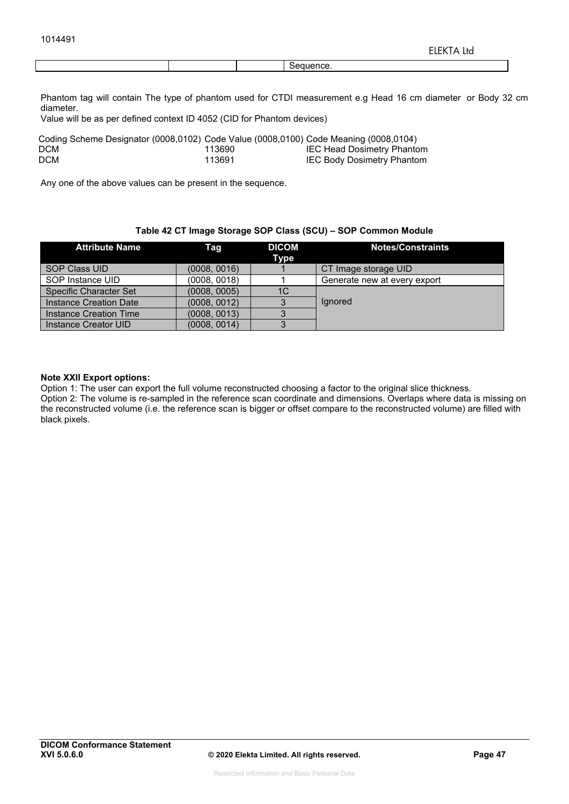Phantom tag will contain The type of phantom used for CTDI measurement e.g Head 16 cm diameter or Body 32 cm diameter.

Value will be as per defined context ID 4052 (CID for Phantom devices)

| Coding Scheme Designator (0008,0102) Code Value (0008,0100) Code Meaning (0008,0104) |        |                                   |
|--------------------------------------------------------------------------------------|--------|-----------------------------------|
| DCM                                                                                  | 113690 | IEC Head Dosimetry Phantom        |
| DCM                                                                                  | 113691 | <b>IEC Body Dosimetry Phantom</b> |

Any one of the above values can be present in the sequence.

#### **Table 42 CT Image Storage SOP Class (SCU) – SOP Common Module**

| <b>Attribute Name</b>         | Taq          | <b>DICOM</b><br>Type | <b>Notes/Constraints</b>     |
|-------------------------------|--------------|----------------------|------------------------------|
| <b>SOP Class UID</b>          | (0008, 0016) |                      | CT Image storage UID         |
| SOP Instance UID              | (0008.0018)  |                      | Generate new at every export |
| <b>Specific Character Set</b> | (0008, 0005) | 1C                   |                              |
| Instance Creation Date        | (0008, 0012) |                      | lgnored                      |
| Instance Creation Time        | (0008, 0013) |                      |                              |
| Instance Creator UID          | (0008, 0014) |                      |                              |

#### **Note XXII Export options:**

Option 1: The user can export the full volume reconstructed choosing a factor to the original slice thickness. Option 2: The volume is re-sampled in the reference scan coordinate and dimensions. Overlaps where data is missing on the reconstructed volume (i.e. the reference scan is bigger or offset compare to the reconstructed volume) are filled with black pixels.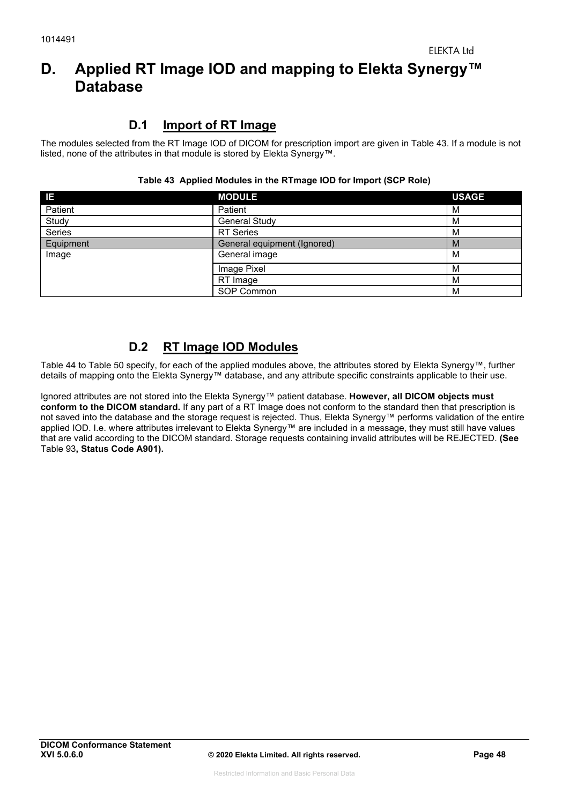# **D. Applied RT Image IOD and mapping to Elekta Synergy™ Database**

## **D.1 Import of RT Image**

The modules selected from the RT Image IOD of DICOM for prescription import are given in Table 43. If a module is not listed, none of the attributes in that module is stored by Elekta Synergy™.

| IΕ            | <b>MODULE</b>               | <b>USAGE</b> |
|---------------|-----------------------------|--------------|
| Patient       | Patient                     | M            |
| Study         | General Study               | M            |
| <b>Series</b> | <b>RT</b> Series            | M            |
| Equipment     | General equipment (Ignored) | M            |
| Image         | General image               | м            |
|               | Image Pixel                 | M            |
|               | RT Image                    | M            |
|               | SOP Common                  | M            |

#### **Table 43 Applied Modules in the RTmage IOD for Import (SCP Role)**

## **D.2 RT Image IOD Modules**

Table 44 to Table 50 specify, for each of the applied modules above, the attributes stored by Elekta Synergy™, further details of mapping onto the Elekta Synergy™ database, and any attribute specific constraints applicable to their use.

Ignored attributes are not stored into the Elekta Synergy™ patient database. **However, all DICOM objects must conform to the DICOM standard.** If any part of a RT Image does not conform to the standard then that prescription is not saved into the database and the storage request is rejected. Thus, Elekta Synergy™ performs validation of the entire applied IOD. I.e. where attributes irrelevant to Elekta Synergy™ are included in a message, they must still have values that are valid according to the DICOM standard. Storage requests containing invalid attributes will be REJECTED. **(See**  Table 93**, Status Code A901).**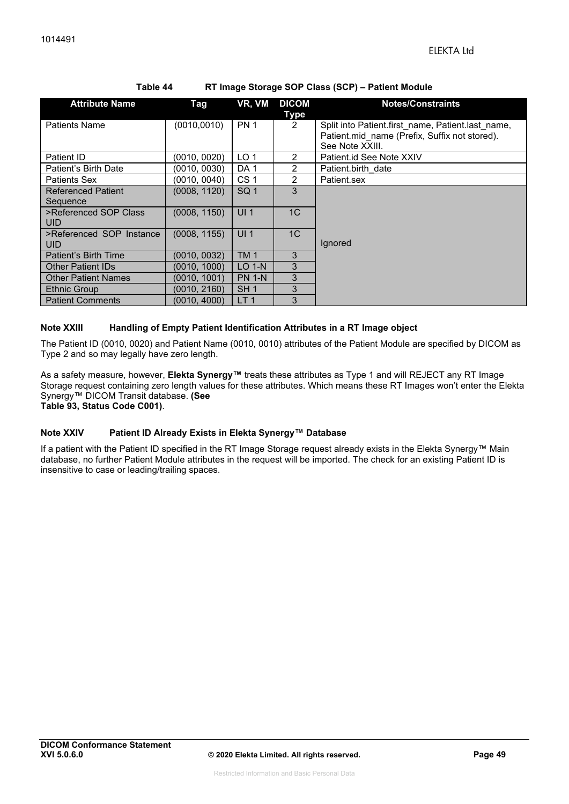| <b>Attribute Name</b>      | <b>Tag</b>   | VR, VM          | <b>DICOM</b>   | <b>Notes/Constraints</b>                          |
|----------------------------|--------------|-----------------|----------------|---------------------------------------------------|
|                            |              |                 | <b>Type</b>    |                                                   |
| <b>Patients Name</b>       | (0010, 0010) | <b>PN 1</b>     | 2              | Split into Patient.first name, Patient.last name, |
|                            |              |                 |                | Patient.mid name (Prefix, Suffix not stored).     |
|                            |              |                 |                | See Note XXIII.                                   |
| Patient ID                 | (0010, 0020) | LO <sub>1</sub> | $\mathcal{P}$  | Patient.id See Note XXIV                          |
| Patient's Birth Date       | (0010, 0030) | DA <sub>1</sub> | $\mathcal{P}$  | Patient.birth date                                |
| <b>Patients Sex</b>        | (0010, 0040) | CS <sub>1</sub> | $\mathfrak{p}$ | Patient.sex                                       |
| <b>Referenced Patient</b>  | (0008, 1120) | SQ <sub>1</sub> | 3              |                                                   |
| Sequence                   |              |                 |                |                                                   |
| >Referenced SOP Class      | (0008, 1150) | UI <sub>1</sub> | 1 <sup>C</sup> |                                                   |
| <b>UID</b>                 |              |                 |                |                                                   |
| >Referenced SOP Instance   | (0008, 1155) | UI <sub>1</sub> | 1 <sup>C</sup> |                                                   |
| <b>UID</b>                 |              |                 |                | Ignored                                           |
| Patient's Birth Time       | (0010, 0032) | TM <sub>1</sub> | 3              |                                                   |
| <b>Other Patient IDs</b>   | (0010, 1000) | $LO$ 1-N        | 3              |                                                   |
| <b>Other Patient Names</b> | (0010, 1001) | <b>PN 1-N</b>   | 3              |                                                   |
| <b>Ethnic Group</b>        | (0010, 2160) | SH <sub>1</sub> | 3              |                                                   |
| <b>Patient Comments</b>    | (0010, 4000) | LT <sub>1</sub> | 3              |                                                   |

#### **Table 44 RT Image Storage SOP Class (SCP) – Patient Module**

#### **Note XXIII Handling of Empty Patient Identification Attributes in a RT Image object**

The Patient ID (0010, 0020) and Patient Name (0010, 0010) attributes of the Patient Module are specified by DICOM as Type 2 and so may legally have zero length.

As a safety measure, however, **Elekta Synergy™** treats these attributes as Type 1 and will REJECT any RT Image Storage request containing zero length values for these attributes. Which means these RT Images won't enter the Elekta Synergy™ DICOM Transit database. **(See** 

**Table 93, Status Code C001)**.

#### **Note XXIV Patient ID Already Exists in Elekta Synergy™ Database**

If a patient with the Patient ID specified in the RT Image Storage request already exists in the Elekta Synergy™ Main database, no further Patient Module attributes in the request will be imported. The check for an existing Patient ID is insensitive to case or leading/trailing spaces.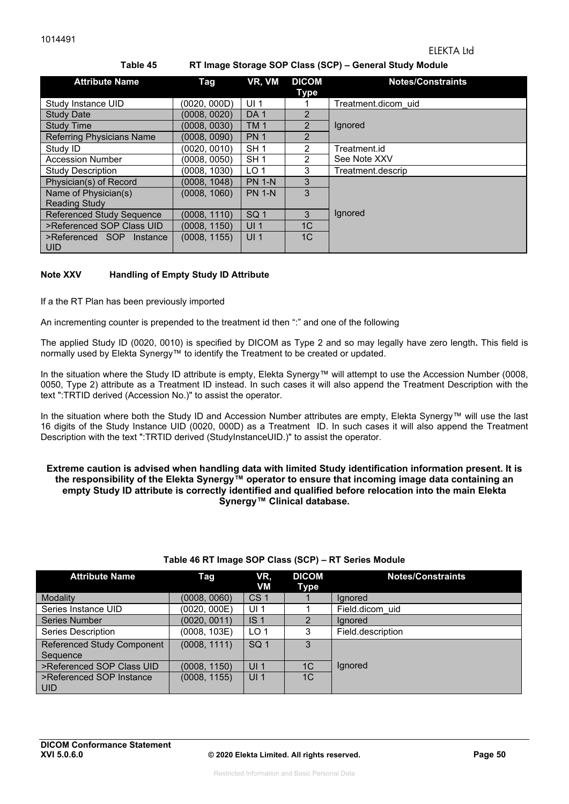| Laule 45<br>$R_1$ inage Storage SOF Glass (SGF) – General Study Module |              |                 |                      |                          |  |  |
|------------------------------------------------------------------------|--------------|-----------------|----------------------|--------------------------|--|--|
| <b>Attribute Name</b>                                                  | Tag          | VR, VM          | <b>DICOM</b><br>Type | <b>Notes/Constraints</b> |  |  |
| Study Instance UID                                                     | (0020, 000D) | UI <sub>1</sub> |                      | Treatment.dicom uid      |  |  |
| <b>Study Date</b>                                                      | (0008, 0020) | DA <sub>1</sub> | $\overline{2}$       |                          |  |  |
| <b>Study Time</b>                                                      | (0008, 0030) | <b>TM1</b>      | $\overline{2}$       | Ignored                  |  |  |
| <b>Referring Physicians Name</b>                                       | (0008, 0090) | <b>PN1</b>      | $\overline{2}$       |                          |  |  |
| Study ID                                                               | (0020, 0010) | SH <sub>1</sub> | $\mathcal{P}$        | Treatment.id             |  |  |
| <b>Accession Number</b>                                                | (0008, 0050) | SH <sub>1</sub> | $\mathcal{P}$        | See Note XXV             |  |  |
| <b>Study Description</b>                                               | (0008, 1030) | LO <sub>1</sub> | 3                    | Treatment.descrip        |  |  |
| Physician(s) of Record                                                 | (0008, 1048) | <b>PN 1-N</b>   | 3                    |                          |  |  |
| Name of Physician(s)                                                   | (0008, 1060) | <b>PN 1-N</b>   | 3                    |                          |  |  |
| <b>Reading Study</b>                                                   |              |                 |                      |                          |  |  |
| <b>Referenced Study Sequence</b>                                       | (0008, 1110) | SQ <sub>1</sub> | 3                    | Ignored                  |  |  |
| >Referenced SOP Class UID                                              | (0008, 1150) | UI <sub>1</sub> | 1 <sup>C</sup>       |                          |  |  |
| >Referenced SOP<br>Instance<br><b>UID</b>                              | (0008, 1155) | UI <sub>1</sub> | 1 <sup>C</sup>       |                          |  |  |

#### **Table 45 RT Image Storage SOP Class (SCP) – General Study Module**

#### **Note XXV Handling of Empty Study ID Attribute**

If a the RT Plan has been previously imported

An incrementing counter is prepended to the treatment id then ":" and one of the following

The applied Study ID (0020, 0010) is specified by DICOM as Type 2 and so may legally have zero length**.** This field is normally used by Elekta Synergy™ to identify the Treatment to be created or updated.

In the situation where the Study ID attribute is empty, Elekta Synergy™ will attempt to use the Accession Number (0008, 0050, Type 2) attribute as a Treatment ID instead. In such cases it will also append the Treatment Description with the text ":TRTID derived (Accession No.)" to assist the operator.

In the situation where both the Study ID and Accession Number attributes are empty, Elekta Synergy™ will use the last 16 digits of the Study Instance UID (0020, 000D) as a Treatment ID. In such cases it will also append the Treatment Description with the text ":TRTID derived (StudyInstanceUID.)" to assist the operator.

#### **Extreme caution is advised when handling data with limited Study identification information present. It is the responsibility of the Elekta Synergy™ operator to ensure that incoming image data containing an empty Study ID attribute is correctly identified and qualified before relocation into the main Elekta Synergy™ Clinical database.**

| <b>Attribute Name</b>                         | Tag          | VR,<br>VM       | <b>DICOM</b><br>Type | <b>Notes/Constraints</b> |
|-----------------------------------------------|--------------|-----------------|----------------------|--------------------------|
| Modality                                      | (0008, 0060) | CS <sub>1</sub> |                      | lanored                  |
| Series Instance UID                           | (0020, 000E) | UI <sub>1</sub> |                      | Field.dicom uid          |
| <b>Series Number</b>                          | (0020, 0011) | IS <sub>1</sub> | $\overline{2}$       | lanored                  |
| <b>Series Description</b>                     | (0008, 103E) | LO <sub>1</sub> | 3                    | Field.description        |
| <b>Referenced Study Component</b><br>Sequence | (0008, 1111) | SQ <sub>1</sub> | 3                    |                          |
| >Referenced SOP Class UID                     | (0008, 1150) | UI <sub>1</sub> | 1 <sub>C</sub>       | <b>Ignored</b>           |
| >Referenced SOP Instance<br>l uid             | (0008, 1155) | UI <sub>1</sub> | 1 <sup>C</sup>       |                          |

#### **Table 46 RT Image SOP Class (SCP) – RT Series Module**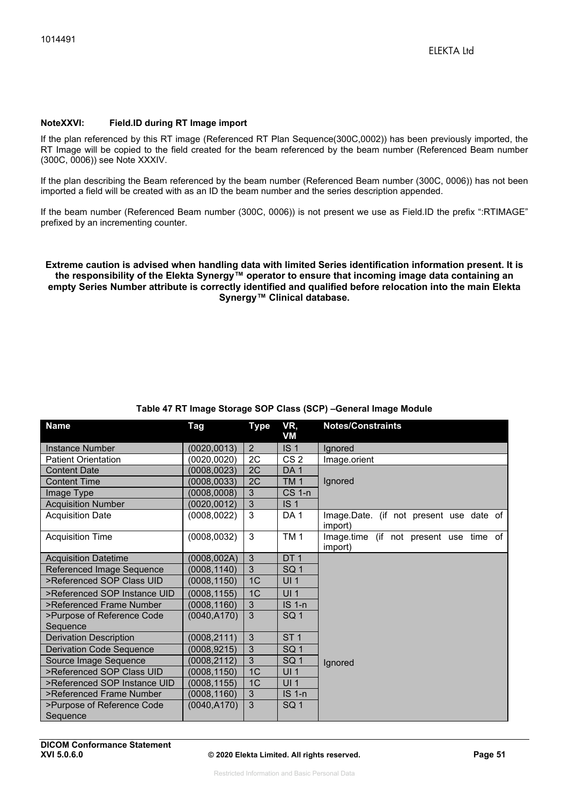#### **NoteXXVI: Field.ID during RT Image import**

If the plan referenced by this RT image (Referenced RT Plan Sequence(300C,0002)) has been previously imported, the RT Image will be copied to the field created for the beam referenced by the beam number (Referenced Beam number (300C, 0006)) see Note XXXIV.

If the plan describing the Beam referenced by the beam number (Referenced Beam number (300C, 0006)) has not been imported a field will be created with as an ID the beam number and the series description appended.

If the beam number (Referenced Beam number (300C, 0006)) is not present we use as Field.ID the prefix ":RTIMAGE" prefixed by an incrementing counter.

#### **Extreme caution is advised when handling data with limited Series identification information present. It is the responsibility of the Elekta Synergy™ operator to ensure that incoming image data containing an empty Series Number attribute is correctly identified and qualified before relocation into the main Elekta Synergy™ Clinical database.**

| <b>Name</b>                            | <b>Tag</b>   | <b>Type</b>    | VR,<br>VM       | <b>Notes/Constraints</b>                           |
|----------------------------------------|--------------|----------------|-----------------|----------------------------------------------------|
| <b>Instance Number</b>                 | (0020, 0013) | 2              | IS <sub>1</sub> | Ignored                                            |
| <b>Patient Orientation</b>             | (0020, 0020) | 2C             | CS <sub>2</sub> | Image.orient                                       |
| <b>Content Date</b>                    | (0008, 0023) | 2C             | DA <sub>1</sub> |                                                    |
| <b>Content Time</b>                    | (0008, 0033) | 2C             | TM <sub>1</sub> | Ignored                                            |
| Image Type                             | (0008, 0008) | 3              | <b>CS 1-n</b>   |                                                    |
| <b>Acquisition Number</b>              | (0020, 0012) | $\overline{3}$ | IS <sub>1</sub> |                                                    |
| <b>Acquisition Date</b>                | (0008, 0022) | 3              | DA <sub>1</sub> | Image.Date. (if not present use date of<br>import) |
| <b>Acquisition Time</b>                | (0008, 0032) | 3              | TM <sub>1</sub> | Image.time (if not present use time of<br>import)  |
| <b>Acquisition Datetime</b>            | (0008, 002A) | 3              | DT <sub>1</sub> |                                                    |
| Referenced Image Sequence              | (0008, 1140) | 3              | SQ <sub>1</sub> |                                                    |
| >Referenced SOP Class UID              | (0008, 1150) | 1C             | <b>UI1</b>      |                                                    |
| >Referenced SOP Instance UID           | (0008, 1155) | 1C             | UI <sub>1</sub> |                                                    |
| >Referenced Frame Number               | (0008, 1160) | 3              | <b>IS 1-n</b>   |                                                    |
| >Purpose of Reference Code<br>Sequence | (0040, A170) | 3              | SQ <sub>1</sub> |                                                    |
| <b>Derivation Description</b>          | (0008, 2111) | 3              | ST <sub>1</sub> |                                                    |
| <b>Derivation Code Sequence</b>        | (0008, 9215) | 3              | SQ <sub>1</sub> |                                                    |
| Source Image Sequence                  | (0008,2112)  | 3              | SQ <sub>1</sub> | Ignored                                            |
| >Referenced SOP Class UID              | (0008,1150)  | 1 <sup>C</sup> | UI <sub>1</sub> |                                                    |
| >Referenced SOP Instance UID           | (0008, 1155) | 1C             | UI <sub>1</sub> |                                                    |
| >Referenced Frame Number               | (0008, 1160) | 3              | <b>IS 1-n</b>   |                                                    |
| >Purpose of Reference Code<br>Sequence | (0040, A170) | 3              | SQ <sub>1</sub> |                                                    |

### **Table 47 RT Image Storage SOP Class (SCP) –General Image Module**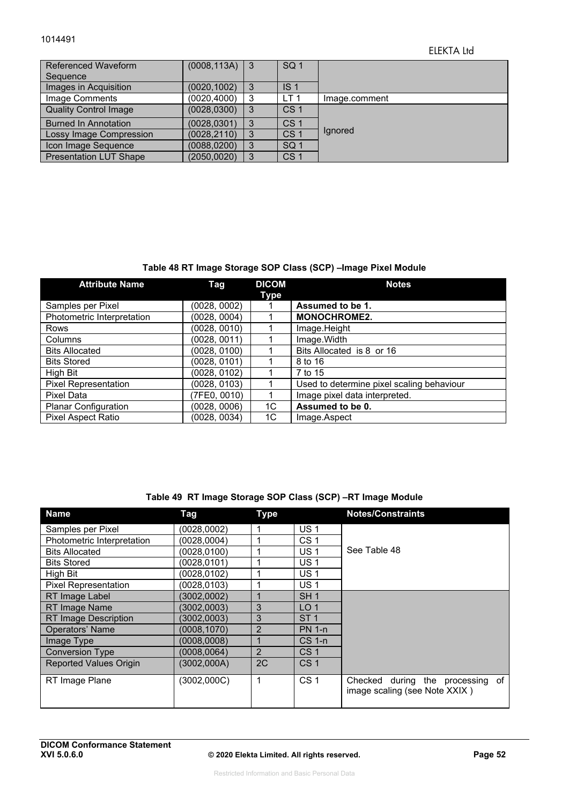#### 1014491

### ELEKTA Ltd

| Referenced Waveform<br>Sequence | $(0008, 113A)$ 3 |   | SQ <sub>1</sub> |               |
|---------------------------------|------------------|---|-----------------|---------------|
|                                 |                  |   |                 |               |
| Images in Acquisition           | (0020, 1002)     | 3 | IS <sub>1</sub> |               |
| Image Comments                  | (0020, 4000)     | 3 | LT <sub>1</sub> | Image.comment |
| <b>Quality Control Image</b>    | (0028, 0300)     | 3 | CS <sub>1</sub> |               |
| <b>Burned In Annotation</b>     | (0028, 0301)     | 3 | CS <sub>1</sub> |               |
| Lossy Image Compression         | (0028, 2110)     | 3 | CS <sub>1</sub> | lgnored       |
| Icon Image Sequence             | (0088, 0200)     | 3 | SQ <sub>1</sub> |               |
| <b>Presentation LUT Shape</b>   | (2050, 0020)     | 3 | CS <sub>1</sub> |               |

### **Table 48 RT Image Storage SOP Class (SCP) –Image Pixel Module**

| <b>Attribute Name</b>       | Tag          | <b>DICOM</b><br><b>Type</b> | <b>Notes</b>                              |
|-----------------------------|--------------|-----------------------------|-------------------------------------------|
| Samples per Pixel           | (0028, 0002) |                             | Assumed to be 1.                          |
| Photometric Interpretation  | (0028, 0004) |                             | <b>MONOCHROME2.</b>                       |
| Rows                        | (0028, 0010) |                             | Image.Height                              |
| Columns                     | (0028, 0011) |                             | Image. Width                              |
| <b>Bits Allocated</b>       | (0028, 0100) |                             | Bits Allocated is 8 or 16                 |
| <b>Bits Stored</b>          | (0028, 0101) |                             | 8 to 16                                   |
| High Bit                    | (0028, 0102) |                             | 7 to 15                                   |
| <b>Pixel Representation</b> | (0028, 0103) |                             | Used to determine pixel scaling behaviour |
| Pixel Data                  | (7FE0, 0010) |                             | Image pixel data interpreted.             |
| <b>Planar Configuration</b> | (0028, 0006) | 1C                          | Assumed to be 0.                          |
| <b>Pixel Aspect Ratio</b>   | (0028, 0034) | 1C                          | Image.Aspect                              |

### **Table 49 RT Image Storage SOP Class (SCP) –RT Image Module**

| <b>Name</b>                   | <b>Tag</b>   | <b>Type</b>    |                 | <b>Notes/Constraints</b>                                          |
|-------------------------------|--------------|----------------|-----------------|-------------------------------------------------------------------|
| Samples per Pixel             | (0028,0002)  | 1              | <b>US1</b>      |                                                                   |
| Photometric Interpretation    | (0028,0004)  | 1              | CS <sub>1</sub> |                                                                   |
| <b>Bits Allocated</b>         | (0028, 0100) | 1              | US 1            | See Table 48                                                      |
| <b>Bits Stored</b>            | (0028, 0101) | и              | US <sub>1</sub> |                                                                   |
| High Bit                      | (0028.0102)  | 1              | <b>US1</b>      |                                                                   |
| <b>Pixel Representation</b>   | (0028, 0103) | 4              | US <sub>1</sub> |                                                                   |
| RT Image Label                | (3002,0002)  |                | SH <sub>1</sub> |                                                                   |
| RT Image Name                 | (3002,0003)  | 3              | LO <sub>1</sub> |                                                                   |
| <b>RT Image Description</b>   | (3002,0003)  | 3              | ST <sub>1</sub> |                                                                   |
| <b>Operators' Name</b>        | (0008, 1070) | $\overline{2}$ | <b>PN 1-n</b>   |                                                                   |
| Image Type                    | (0008,0008)  |                | $CS$ 1-n        |                                                                   |
| <b>Conversion Type</b>        | (0008.0064)  | 2              | CS <sub>1</sub> |                                                                   |
| <b>Reported Values Origin</b> | (3002,000A)  | 2C             | CS <sub>1</sub> |                                                                   |
| RT Image Plane                | (3002,000C)  | 1              | CS <sub>1</sub> | Checked during the processing of<br>image scaling (see Note XXIX) |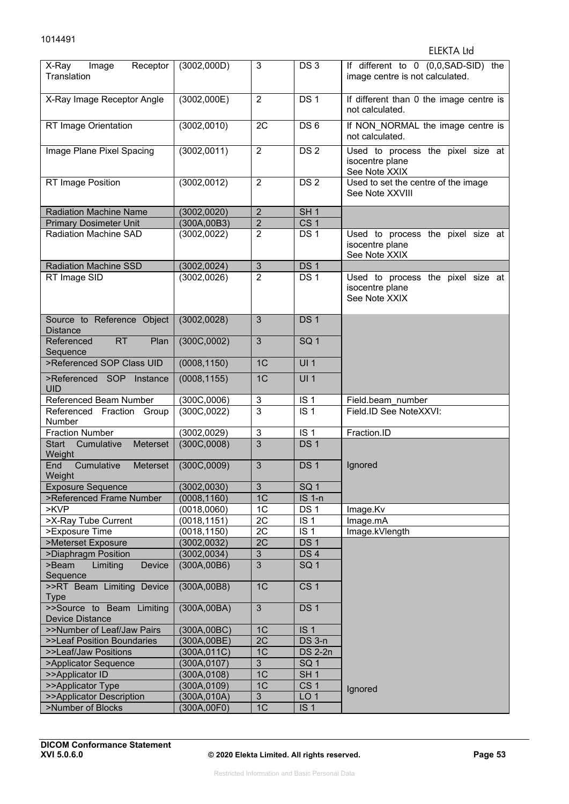#### ELEKTA Ltd

| Receptor<br>X-Ray<br>Image<br>Translation           | (3002,000D)  | 3              | DS <sub>3</sub>   | If different to 0 (0,0,SAD-SID) the<br>image centre is not calculated. |
|-----------------------------------------------------|--------------|----------------|-------------------|------------------------------------------------------------------------|
| X-Ray Image Receptor Angle                          | (3002,000E)  | $\overline{2}$ | DS <sub>1</sub>   | If different than 0 the image centre is<br>not calculated.             |
| RT Image Orientation                                | (3002,0010)  | 2C             | DS <sub>6</sub>   | If NON_NORMAL the image centre is<br>not calculated.                   |
| Image Plane Pixel Spacing                           | (3002,0011)  | $\overline{2}$ | DS <sub>2</sub>   | Used to process the pixel size at<br>isocentre plane<br>See Note XXIX  |
| RT Image Position                                   | (3002,0012)  | $\overline{2}$ | DS <sub>2</sub>   | Used to set the centre of the image<br>See Note XXVIII                 |
| <b>Radiation Machine Name</b>                       | (3002, 0020) | $\mathbf 2$    | SH <sub>1</sub>   |                                                                        |
| <b>Primary Dosimeter Unit</b>                       | (300A, 00B3) | $\overline{2}$ | CS <sub>1</sub>   |                                                                        |
| Radiation Machine SAD                               | (3002, 0022) | $\overline{2}$ | DS <sub>1</sub>   | Used to process the pixel size at<br>isocentre plane<br>See Note XXIX  |
| <b>Radiation Machine SSD</b>                        | (3002, 0024) | $\sqrt{3}$     | DS <sub>1</sub>   |                                                                        |
| RT Image SID                                        | (3002,0026)  | $\overline{2}$ | DS <sub>1</sub>   | Used to process the pixel size at<br>isocentre plane<br>See Note XXIX  |
| Source to Reference Object<br><b>Distance</b>       | (3002, 0028) | 3              | DS <sub>1</sub>   |                                                                        |
| <b>RT</b><br>Plan<br>Referenced<br>Sequence         | (300C,0002)  | 3              | SQ <sub>1</sub>   |                                                                        |
| >Referenced SOP Class UID                           | (0008, 1150) | 1 <sup>C</sup> | UI1               |                                                                        |
| >Referenced SOP Instance<br><b>UID</b>              | (0008, 1155) | 1 <sup>C</sup> | UI1               |                                                                        |
| Referenced Beam Number                              | (300C,0006)  | 3              | IS <sub>1</sub>   | Field.beam number                                                      |
| Referenced Fraction Group<br><b>Number</b>          | (300C, 0022) | $\overline{3}$ | $\overline{1S}$ 1 | Field.ID See NoteXXVI:                                                 |
| <b>Fraction Number</b>                              | (3002, 0029) | 3              | IS <sub>1</sub>   | Fraction.ID                                                            |
| Meterset<br>Start Cumulative<br>Weight              | (300C,0008)  | 3              | DS <sub>1</sub>   |                                                                        |
| Cumulative<br>Meterset<br>End<br>Weight             | (300C,0009)  | 3              | DS <sub>1</sub>   | Ignored                                                                |
| <b>Exposure Sequence</b>                            | (3002, 0030) | 3              | SG <sub>1</sub>   |                                                                        |
| >Referenced Frame Number                            | (0008, 1160) | 1C             | <b>IS 1-n</b>     |                                                                        |
| >KVP                                                | (0018, 0060) | 1C             | DS <sub>1</sub>   | Image.Kv                                                               |
| >X-Ray Tube Current                                 | (0018, 1151) | 2C             | IS <sub>1</sub>   | Image.mA                                                               |
| >Exposure Time                                      | (0018, 1150) | 2C             | IS <sub>1</sub>   | Image.kVlength                                                         |
| >Meterset Exposure                                  | (3002, 0032) | 2C             | DS <sub>1</sub>   |                                                                        |
| >Diaphragm Position                                 | (3002, 0034) | $\mathfrak{B}$ | DS <sub>4</sub>   |                                                                        |
| >Beam<br>Limiting<br>Device<br>Sequence             | (300A, 00B6) | 3              | SQ <sub>1</sub>   |                                                                        |
| >>RT Beam Limiting Device<br><b>Type</b>            | (300A, 00B8) | 1C             | CS <sub>1</sub>   |                                                                        |
| >>Source to Beam Limiting<br><b>Device Distance</b> | (300A, 00BA) | $\mathfrak{S}$ | DS <sub>1</sub>   |                                                                        |
| >>Number of Leaf/Jaw Pairs                          | (300A, 00BC) | 1C             | IS <sub>1</sub>   |                                                                        |
| >>Leaf Position Boundaries                          | (300A,00BE)  | 2C             | DS 3-n            |                                                                        |
| >>Leaf/Jaw Positions                                | (300A, 011C) | 1C             | <b>DS 2-2n</b>    |                                                                        |
| >Applicator Sequence                                | (300A, 0107) | $\overline{3}$ | SQ <sub>1</sub>   |                                                                        |
| >>Applicator ID                                     | (300A, 0108) | 1C             | SH <sub>1</sub>   |                                                                        |
| >>Applicator Type                                   | (300A, 0109) | 1C             | CS <sub>1</sub>   | Ignored                                                                |
| >>Applicator Description                            | (300A, 010A) | 3              | LO <sub>1</sub>   |                                                                        |
| >Number of Blocks                                   | (300A, 00F0) | 1C             | IS <sub>1</sub>   |                                                                        |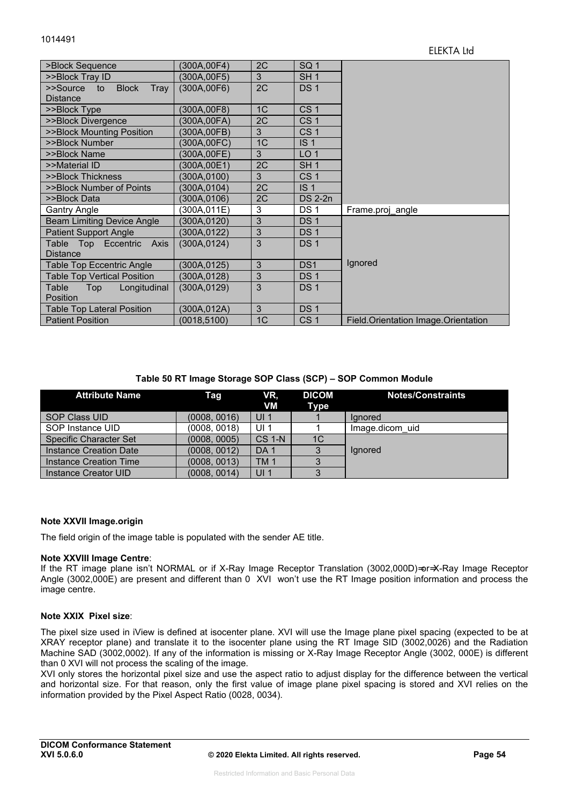| >Block Sequence                        | (300A,00F4)  | 2C | SQ <sub>1</sub> |                                       |
|----------------------------------------|--------------|----|-----------------|---------------------------------------|
| >>Block Tray ID                        | (300A, 00F5) | 3  | SH <sub>1</sub> |                                       |
| <b>Block</b><br>Tray<br>>>Source<br>to | (300A, 00F6) | 2C | <b>DS1</b>      |                                       |
| <b>Distance</b>                        |              |    |                 |                                       |
| >>Block Type                           | (300A,00F8)  | 1C | CS <sub>1</sub> |                                       |
| >>Block Divergence                     | (300A,00FA)  | 2C | CS <sub>1</sub> |                                       |
| >>Block Mounting Position              | (300A,00FB)  | 3  | CS <sub>1</sub> |                                       |
| >>Block Number                         | (300A,00FC)  | 1C | IS <sub>1</sub> |                                       |
| >>Block Name                           | (300A,00FE)  | 3  | LO <sub>1</sub> |                                       |
| >>Material ID                          | (300A,00E1)  | 2C | SH <sub>1</sub> |                                       |
| >>Block Thickness                      | (300A, 0100) | 3  | CS <sub>1</sub> |                                       |
| >>Block Number of Points               | (300A, 0104) | 2C | IS <sub>1</sub> |                                       |
| >>Block Data                           | (300A,0106)  | 2C | <b>DS 2-2n</b>  |                                       |
| <b>Gantry Angle</b>                    | (300A,011E)  | 3  | <b>DS1</b>      | Frame.proj angle                      |
| <b>Beam Limiting Device Angle</b>      | (300A, 0120) | 3  | <b>DS1</b>      |                                       |
| <b>Patient Support Angle</b>           | (300A, 0122) | 3  | <b>DS1</b>      |                                       |
| Table<br>Top Eccentric<br>Axis         | (300A, 0124) | 3  | <b>DS1</b>      |                                       |
| <b>Distance</b>                        |              |    |                 |                                       |
| Table Top Eccentric Angle              | (300A,0125)  | 3  | DS <sub>1</sub> | Ignored                               |
| <b>Table Top Vertical Position</b>     | (300A,0128)  | 3  | DS <sub>1</sub> |                                       |
| Table<br>Top<br>Longitudinal           | (300A, 0129) | 3  | DS <sub>1</sub> |                                       |
| Position                               |              |    |                 |                                       |
| <b>Table Top Lateral Position</b>      | (300A,012A)  | 3  | DS <sub>1</sub> |                                       |
| <b>Patient Position</b>                | (0018, 5100) | 1C | CS <sub>1</sub> | Field. Orientation Image. Orientation |

#### **Table 50 RT Image Storage SOP Class (SCP) – SOP Common Module**

| <b>Attribute Name</b>         | Tag          | VR.<br><b>VM</b> | <b>DICOM</b><br>Type | <b>Notes/Constraints</b> |
|-------------------------------|--------------|------------------|----------------------|--------------------------|
| SOP Class UID                 | (0008, 0016) | UI <sub>1</sub>  |                      | lanored                  |
| SOP Instance UID              | (0008, 0018) | UI $1$           |                      | Image.dicom uid          |
| <b>Specific Character Set</b> | (0008, 0005) | <b>CS 1-N</b>    | 1 <sup>C</sup>       |                          |
| Instance Creation Date        | (0008, 0012) | DA <sub>1</sub>  | 3                    | lgnored                  |
| Instance Creation Time        | (0008, 0013) | TM <sub>1</sub>  |                      |                          |
| Instance Creator UID          | (0008, 0014) | UI <sub>1</sub>  |                      |                          |

#### **Note XXVII Image.origin**

The field origin of the image table is populated with the sender AE title.

#### **Note XXVIII Image Centre**:

If the RT image plane isn't NORMAL or if X-Ray Image Receptor Translation (3002,000D)=or=X-Ray Image Receptor Angle (3002,000E) are present and different than 0 XVI won't use the RT Image position information and process the image centre.

#### **Note XXIX Pixel size**:

The pixel size used in iView is defined at isocenter plane. XVI will use the Image plane pixel spacing (expected to be at XRAY receptor plane) and translate it to the isocenter plane using the RT Image SID (3002,0026) and the Radiation Machine SAD (3002,0002). If any of the information is missing or X-Ray Image Receptor Angle (3002, 000E) is different than 0 XVI will not process the scaling of the image.

XVI only stores the horizontal pixel size and use the aspect ratio to adjust display for the difference between the vertical and horizontal size. For that reason, only the first value of image plane pixel spacing is stored and XVI relies on the information provided by the Pixel Aspect Ratio (0028, 0034).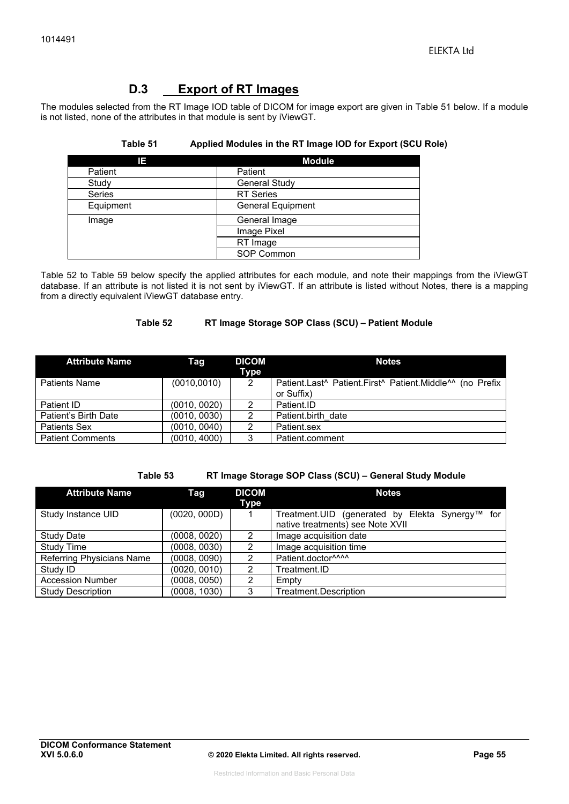## **D.3 Export of RT Images**

The modules selected from the RT Image IOD table of DICOM for image export are given in Table 51 below. If a module is not listed, none of the attributes in that module is sent by iViewGT.

#### **Table 51 Applied Modules in the RT Image IOD for Export (SCU Role)**

| 13            | <b>Module</b>            |
|---------------|--------------------------|
| Patient       | Patient                  |
| Study         | <b>General Study</b>     |
| <b>Series</b> | <b>RT</b> Series         |
| Equipment     | <b>General Equipment</b> |
| Image         | General Image            |
|               | Image Pixel              |
|               | RT Image                 |
|               | SOP Common               |

Table 52 to Table 59 below specify the applied attributes for each module, and note their mappings from the iViewGT database. If an attribute is not listed it is not sent by iViewGT. If an attribute is listed without Notes, there is a mapping from a directly equivalent iViewGT database entry.

#### **Table 52 RT Image Storage SOP Class (SCU) – Patient Module**

| <b>Attribute Name</b>   | Taq          | <b>DICOM</b><br>Type | <b>Notes</b>                                             |
|-------------------------|--------------|----------------------|----------------------------------------------------------|
| <b>Patients Name</b>    | (0010, 0010) | 2                    | Patient.Last^ Patient.First^ Patient.Middle^^ (no Prefix |
|                         |              |                      | or Suffix)                                               |
| Patient ID              | (0010, 0020) | 2                    | Patient.ID                                               |
| Patient's Birth Date    | (0010, 0030) | 2                    | Patient.birth date                                       |
| <b>Patients Sex</b>     | (0010, 0040) | 2                    | Patient.sex                                              |
| <b>Patient Comments</b> | (0010, 4000) | 3                    | Patient.comment                                          |

**Table 53 RT Image Storage SOP Class (SCU) – General Study Module** 

| <b>Attribute Name</b>     | Taq          | <b>DICOM</b><br>Type | <b>Notes</b>                                                                        |
|---------------------------|--------------|----------------------|-------------------------------------------------------------------------------------|
| Study Instance UID        | (0020, 000D) |                      | Treatment.UID (generated by Elekta Synergy™ for<br>native treatments) see Note XVII |
| <b>Study Date</b>         | (0008, 0020) | 2                    | Image acquisition date                                                              |
| <b>Study Time</b>         | (0008, 0030) | 2                    | Image acquisition time                                                              |
| Referring Physicians Name | (0008, 0090) | 2                    | Patient.doctor^^^^                                                                  |
| Study ID                  | (0020, 0010) | 2                    | Treatment.ID                                                                        |
| <b>Accession Number</b>   | (0008, 0050) | 2                    | Empty                                                                               |
| <b>Study Description</b>  | (0008, 1030) | 3                    | Treatment.Description                                                               |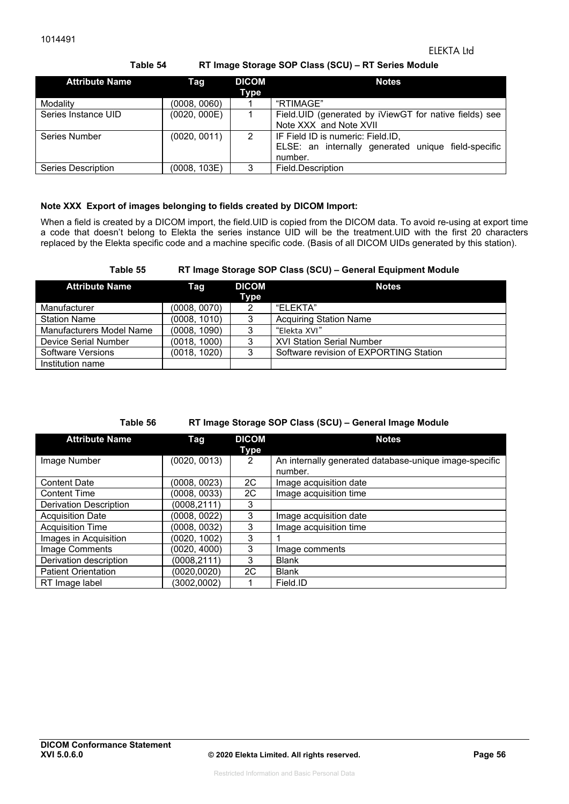**Table 54 RT Image Storage SOP Class (SCU) – RT Series Module** 

| <b>Attribute Name</b> | Tag          | <b>DICOM</b><br>Type | <b>Notes</b>                                                                                        |
|-----------------------|--------------|----------------------|-----------------------------------------------------------------------------------------------------|
| Modality              | (0008, 0060) |                      | "RTIMAGE"                                                                                           |
| Series Instance UID   | (0020, 000E) |                      | Field.UID (generated by iViewGT for native fields) see<br>Note XXX and Note XVII                    |
| Series Number         | (0020, 0011) | 2                    | IF Field ID is numeric: Field.ID,<br>ELSE: an internally generated unique field-specific<br>number. |
| Series Description    | (0008, 103E) | 3                    | Field.Description                                                                                   |

#### **Note XXX Export of images belonging to fields created by DICOM Import:**

When a field is created by a DICOM import, the field.UID is copied from the DICOM data. To avoid re-using at export time a code that doesn't belong to Elekta the series instance UID will be the treatment.UID with the first 20 characters replaced by the Elekta specific code and a machine specific code. (Basis of all DICOM UIDs generated by this station).

#### **Table 55 RT Image Storage SOP Class (SCU) – General Equipment Module**

| <b>Attribute Name</b>           | Tag          | <b>DICOM</b><br>Type | <b>Notes</b>                           |
|---------------------------------|--------------|----------------------|----------------------------------------|
| Manufacturer                    | (0008, 0070) | 2                    | "FLFKTA"                               |
| <b>Station Name</b>             | (0008, 1010) | 3                    | <b>Acquiring Station Name</b>          |
| <b>Manufacturers Model Name</b> | (0008, 1090) | 3                    | "Elekta XVI"                           |
| Device Serial Number            | (0018, 1000) | 3                    | <b>XVI Station Serial Number</b>       |
| Software Versions               | (0018, 1020) | 3                    | Software revision of EXPORTING Station |
| Institution name                |              |                      |                                        |

#### **Table 56 RT Image Storage SOP Class (SCU) – General Image Module**

| <b>Attribute Name</b>         | Tag          | <b>DICOM</b><br>Type | <b>Notes</b>                                                      |
|-------------------------------|--------------|----------------------|-------------------------------------------------------------------|
| Image Number                  | (0020, 0013) | $\overline{2}$       | An internally generated database-unique image-specific<br>number. |
| <b>Content Date</b>           | (0008, 0023) | 2C                   | Image acquisition date                                            |
| <b>Content Time</b>           | (0008, 0033) | 2C                   | Image acquisition time                                            |
| <b>Derivation Description</b> | (0008,2111)  | 3                    |                                                                   |
| <b>Acquisition Date</b>       | (0008, 0022) | 3                    | Image acquisition date                                            |
| <b>Acquisition Time</b>       | (0008, 0032) | 3                    | Image acquisition time                                            |
| Images in Acquisition         | (0020, 1002) | 3                    |                                                                   |
| Image Comments                | (0020, 4000) | 3                    | Image comments                                                    |
| Derivation description        | (0008,2111)  | 3                    | <b>Blank</b>                                                      |
| <b>Patient Orientation</b>    | (0020,0020)  | 2C                   | <b>Blank</b>                                                      |
| RT Image label                | (3002,0002)  |                      | Field.ID                                                          |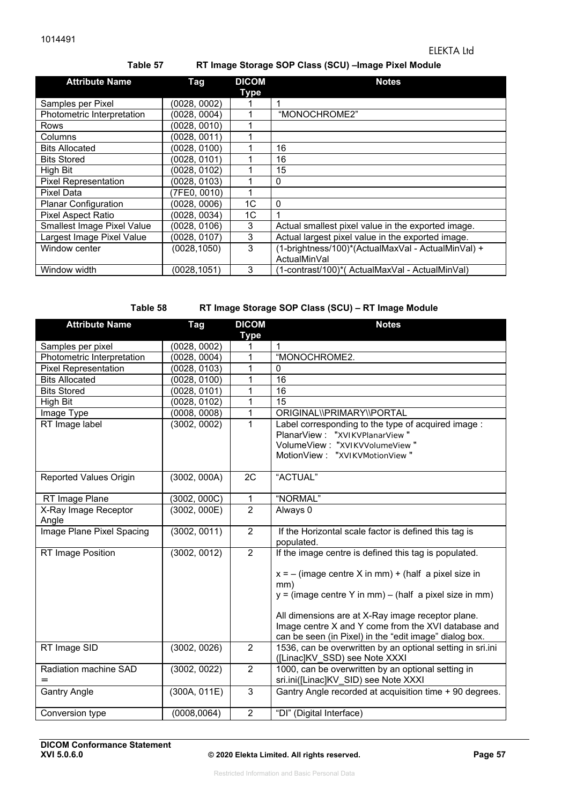### **Table 57 RT Image Storage SOP Class (SCU) –Image Pixel Module**

| <b>Attribute Name</b>       | Tag          | <b>DICOM</b><br>Type | <b>Notes</b>                                                       |
|-----------------------------|--------------|----------------------|--------------------------------------------------------------------|
| Samples per Pixel           | (0028, 0002) |                      |                                                                    |
| Photometric Interpretation  | (0028, 0004) |                      | "MONOCHROME2"                                                      |
| Rows                        | (0028, 0010) |                      |                                                                    |
| Columns                     | (0028, 0011) |                      |                                                                    |
| <b>Bits Allocated</b>       | (0028, 0100) |                      | 16                                                                 |
| <b>Bits Stored</b>          | (0028, 0101) |                      | 16                                                                 |
| High Bit                    | (0028, 0102) |                      | 15                                                                 |
| <b>Pixel Representation</b> | (0028, 0103) |                      | 0                                                                  |
| Pixel Data                  | (7FE0, 0010) |                      |                                                                    |
| <b>Planar Configuration</b> | (0028, 0006) | 1C                   | $\mathbf{0}$                                                       |
| Pixel Aspect Ratio          | (0028, 0034) | 1C                   | 1                                                                  |
| Smallest Image Pixel Value  | (0028, 0106) | 3                    | Actual smallest pixel value in the exported image.                 |
| Largest Image Pixel Value   | (0028, 0107) | 3                    | Actual largest pixel value in the exported image.                  |
| Window center               | (0028, 1050) | 3                    | (1-brightness/100)*(ActualMaxVal - ActualMinVal) +<br>ActualMinVal |
| Window width                | (0028.1051)  | 3                    | (1-contrast/100)*(ActualMaxVal - ActualMinVal)                     |

#### **Table 58 RT Image Storage SOP Class (SCU) – RT Image Module**

| <b>Attribute Name</b>         | <b>Tag</b>   | <b>DICOM</b>   | <b>Notes</b>                                               |
|-------------------------------|--------------|----------------|------------------------------------------------------------|
|                               |              | <b>Type</b>    |                                                            |
| Samples per pixel             | (0028, 0002) | 1              | 1                                                          |
| Photometric Interpretation    | (0028, 0004) | 1              | "MONOCHROME2.                                              |
| <b>Pixel Representation</b>   | (0028, 0103) | 1              | $\Omega$                                                   |
| <b>Bits Allocated</b>         | (0028, 0100) | 1              | 16                                                         |
| <b>Bits Stored</b>            | (0028, 0101) | 1              | 16                                                         |
| <b>High Bit</b>               | (0028, 0102) | 1              | 15                                                         |
| Image Type                    | (0008, 0008) | 1              | ORIGINAL\\PRIMARY\\PORTAL                                  |
| RT Image label                | (3002, 0002) | 1              | Label corresponding to the type of acquired image :        |
|                               |              |                | PlanarView: "XVIKVPlanarView"                              |
|                               |              |                | VolumeView: "XVIKVVolumeView"                              |
|                               |              |                | MotionView: "XVIKVMotionView"                              |
|                               |              |                |                                                            |
| <b>Reported Values Origin</b> | (3002, 000A) | 2C             | "ACTUAL"                                                   |
|                               |              |                |                                                            |
| RT Image Plane                | (3002, 000C) | 1              | "NORMAL"                                                   |
| X-Ray Image Receptor          | (3002, 000E) | $\overline{2}$ | Always 0                                                   |
| Angle                         |              |                |                                                            |
| Image Plane Pixel Spacing     | (3002, 0011) | $\overline{2}$ | If the Horizontal scale factor is defined this tag is      |
|                               |              |                | populated.                                                 |
| RT Image Position             | (3002, 0012) | $\overline{2}$ | If the image centre is defined this tag is populated.      |
|                               |              |                |                                                            |
|                               |              |                | $x = -$ (image centre X in mm) + (half a pixel size in     |
|                               |              |                | mm)                                                        |
|                               |              |                | $y = (image centre Y in mm) - (half a pixel size in mm)$   |
|                               |              |                |                                                            |
|                               |              |                | All dimensions are at X-Ray image receptor plane.          |
|                               |              |                | Image centre X and Y come from the XVI database and        |
|                               |              |                | can be seen (in Pixel) in the "edit image" dialog box.     |
| RT Image SID                  | (3002, 0026) | $\overline{2}$ | 1536, can be overwritten by an optional setting in sri.ini |
|                               |              |                | ([Linac]KV_SSD) see Note XXXI                              |
| Radiation machine SAD         | (3002, 0022) | $\overline{2}$ | 1000, can be overwritten by an optional setting in         |
|                               |              |                | sri.ini([Linac]KV_SID) see Note XXXI                       |
| <b>Gantry Angle</b>           | (300A, 011E) | 3              | Gantry Angle recorded at acquisition time + 90 degrees.    |
|                               |              |                |                                                            |
| Conversion type               | (0008, 0064) | $\overline{2}$ | "DI" (Digital Interface)                                   |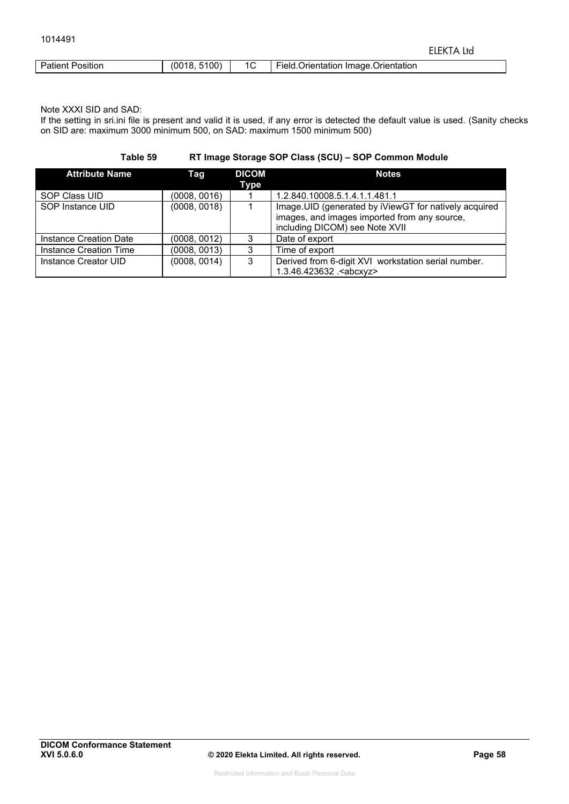| <b>Patient Position</b> | (0018, 5100) | 1C | Field.Orientation Image.Orientation |
|-------------------------|--------------|----|-------------------------------------|

Note XXXI SID and SAD:

If the setting in sri.ini file is present and valid it is used, if any error is detected the default value is used. (Sanity checks on SID are: maximum 3000 minimum 500, on SAD: maximum 1500 minimum 500)

**Table 59 RT Image Storage SOP Class (SCU) – SOP Common Module** 

| <b>Attribute Name</b>  | Tag          | <b>DICOM</b> | <b>Notes</b>                                                                                                                             |
|------------------------|--------------|--------------|------------------------------------------------------------------------------------------------------------------------------------------|
|                        |              | Type         |                                                                                                                                          |
| SOP Class UID          | (0008, 0016) |              | 1.2.840.10008.5.1.4.1.1.481.1                                                                                                            |
| SOP Instance UID       | (0008, 0018) |              | Image. UID (generated by iViewGT for natively acquired<br>images, and images imported from any source,<br>including DICOM) see Note XVII |
| Instance Creation Date | (0008, 0012) | 3            | Date of export                                                                                                                           |
|                        |              |              |                                                                                                                                          |
| Instance Creation Time | (0008, 0013) | 3            | Time of export                                                                                                                           |
| Instance Creator UID   | (0008, 0014) | 3            | Derived from 6-digit XVI workstation serial number.<br>1.3.46.423632. <abcxyz></abcxyz>                                                  |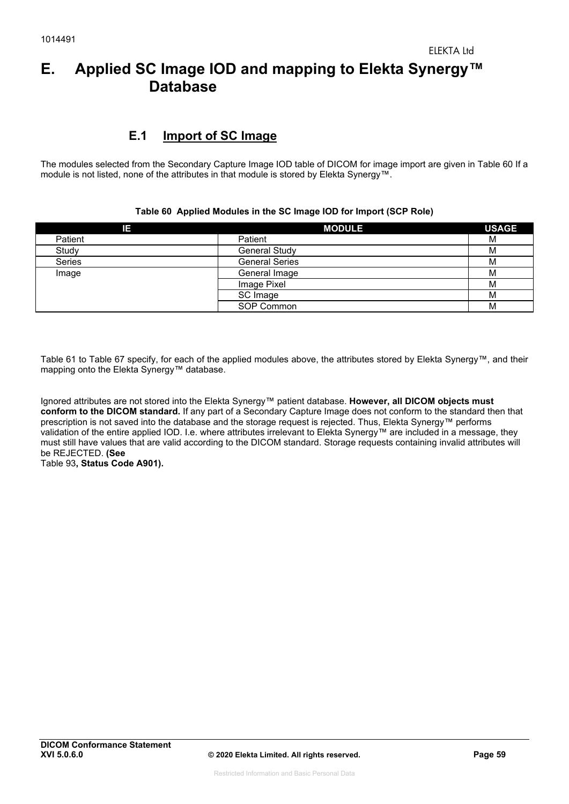# **E. Applied SC Image IOD and mapping to Elekta Synergy™ Database**

## **E.1 Import of SC Image**

The modules selected from the Secondary Capture Image IOD table of DICOM for image import are given in Table 60 If a module is not listed, none of the attributes in that module is stored by Elekta Synergy™.

#### **Table 60 Applied Modules in the SC Image IOD for Import (SCP Role)**

| ΙE            | <b>MODULE</b>         | <b>USAGE</b> |
|---------------|-----------------------|--------------|
| Patient       | Patient               | M            |
| Study         | <b>General Study</b>  | M            |
| <b>Series</b> | <b>General Series</b> | M            |
| Image         | General Image         | M            |
|               | Image Pixel           | M            |
|               | SC Image              | M            |
|               | SOP Common            | M            |

Table 61 to Table 67 specify, for each of the applied modules above, the attributes stored by Elekta Synergy™, and their mapping onto the Elekta Synergy™ database.

Ignored attributes are not stored into the Elekta Synergy™ patient database. **However, all DICOM objects must conform to the DICOM standard.** If any part of a Secondary Capture Image does not conform to the standard then that prescription is not saved into the database and the storage request is rejected. Thus, Elekta Synergy™ performs validation of the entire applied IOD. I.e. where attributes irrelevant to Elekta Synergy™ are included in a message, they must still have values that are valid according to the DICOM standard. Storage requests containing invalid attributes will be REJECTED. **(See**  Table 93**, Status Code A901).**

**DICOM Conformance Statement**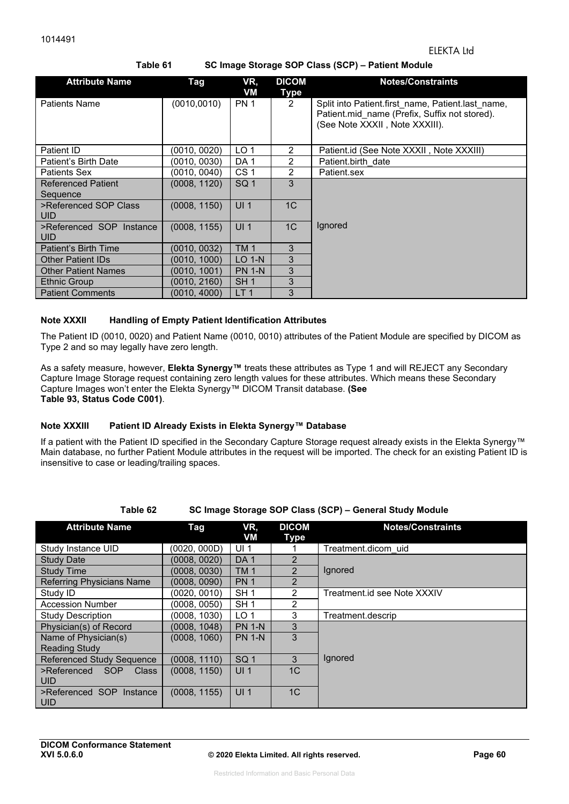#### **Table 61 SC Image Storage SOP Class (SCP) – Patient Module**

| <b>Attribute Name</b>                  | Tag           | VR,<br>VM       | <b>DICOM</b><br><b>Type</b> | <b>Notes/Constraints</b>                                                                                                             |
|----------------------------------------|---------------|-----------------|-----------------------------|--------------------------------------------------------------------------------------------------------------------------------------|
| <b>Patients Name</b>                   | (0010, 0010)  | <b>PN 1</b>     | $\overline{2}$              | Split into Patient first name, Patient last name,<br>Patient.mid name (Prefix, Suffix not stored).<br>(See Note XXXII, Note XXXIII). |
| Patient ID                             | (0010, 0020)  | LO <sub>1</sub> | 2                           | Patient.id (See Note XXXII, Note XXXIII)                                                                                             |
| Patient's Birth Date                   | (0010, 0030)  | DA <sub>1</sub> | $\mathfrak{p}$              | Patient.birth date                                                                                                                   |
| <b>Patients Sex</b>                    | (0010, 0040)  | CS <sub>1</sub> | 2                           | Patient.sex                                                                                                                          |
| <b>Referenced Patient</b><br>Sequence  | (0008, 1120). | SQ <sub>1</sub> | 3                           |                                                                                                                                      |
| >Referenced SOP Class<br><b>UID</b>    | (0008, 1150)  | UI <sub>1</sub> | 1 <sup>C</sup>              |                                                                                                                                      |
| >Referenced SOP Instance<br><b>UID</b> | (0008, 1155)  | UI <sub>1</sub> | 1C                          | lgnored                                                                                                                              |
| Patient's Birth Time                   | (0010, 0032)  | <b>TM1</b>      | 3                           |                                                                                                                                      |
| <b>Other Patient IDs</b>               | (0010, 1000). | LO 1-N          | 3                           |                                                                                                                                      |
| <b>Other Patient Names</b>             | (0010, 1001)  | <b>PN 1-N</b>   | 3                           |                                                                                                                                      |
| <b>Ethnic Group</b>                    | (0010, 2160)  | SH <sub>1</sub> | 3                           |                                                                                                                                      |
| <b>Patient Comments</b>                | (0010, 4000)  | LT <sub>1</sub> | 3                           |                                                                                                                                      |

#### **Note XXXII Handling of Empty Patient Identification Attributes**

The Patient ID (0010, 0020) and Patient Name (0010, 0010) attributes of the Patient Module are specified by DICOM as Type 2 and so may legally have zero length.

As a safety measure, however, **Elekta Synergy™** treats these attributes as Type 1 and will REJECT any Secondary Capture Image Storage request containing zero length values for these attributes. Which means these Secondary Capture Images won't enter the Elekta Synergy™ DICOM Transit database. **(See Table 93, Status Code C001)**.

#### **Note XXXIII Patient ID Already Exists in Elekta Synergy™ Database**

If a patient with the Patient ID specified in the Secondary Capture Storage request already exists in the Elekta Synergy™ Main database, no further Patient Module attributes in the request will be imported. The check for an existing Patient ID is insensitive to case or leading/trailing spaces.

```
Table 62 SC Image Storage SOP Class (SCP) – General Study Module
```

| <b>Attribute Name</b>            | Tag          | VR,<br>VM       | <b>DICOM</b><br>Type | <b>Notes/Constraints</b>    |
|----------------------------------|--------------|-----------------|----------------------|-----------------------------|
| Study Instance UID               | (0020, 000D) | UI <sub>1</sub> |                      | Treatment.dicom uid         |
| <b>Study Date</b>                | (0008, 0020) | DA <sub>1</sub> | $\overline{2}$       |                             |
| <b>Study Time</b>                | (0008, 0030) | <b>TM1</b>      | $\overline{2}$       | Ignored                     |
| <b>Referring Physicians Name</b> | (0008, 0090) | <b>PN1</b>      | $\mathfrak{p}$       |                             |
| Study ID                         | (0020, 0010) | SH <sub>1</sub> | 2                    | Treatment.id see Note XXXIV |
| <b>Accession Number</b>          | (0008, 0050) | SH <sub>1</sub> | 2                    |                             |
| Study Description                | (0008, 1030) | LO <sub>1</sub> | 3                    | Treatment.descrip           |
| Physician(s) of Record           | (0008, 1048) | <b>PN 1-N</b>   | 3                    |                             |
| Name of Physician(s)             | (0008, 1060) | <b>PN 1-N</b>   | 3                    |                             |
| <b>Reading Study</b>             |              |                 |                      |                             |
| <b>Referenced Study Sequence</b> | (0008, 1110) | SQ <sub>1</sub> | 3                    | Ignored                     |
| SOP<br>Class<br>>Referenced      | (0008, 1150) | UI <sub>1</sub> | 1 <sup>C</sup>       |                             |
| <b>UID</b>                       |              |                 |                      |                             |
| >Referenced SOP Instance         | (0008, 1155) | UI <sub>1</sub> | 1 <sup>C</sup>       |                             |
| <b>UID</b>                       |              |                 |                      |                             |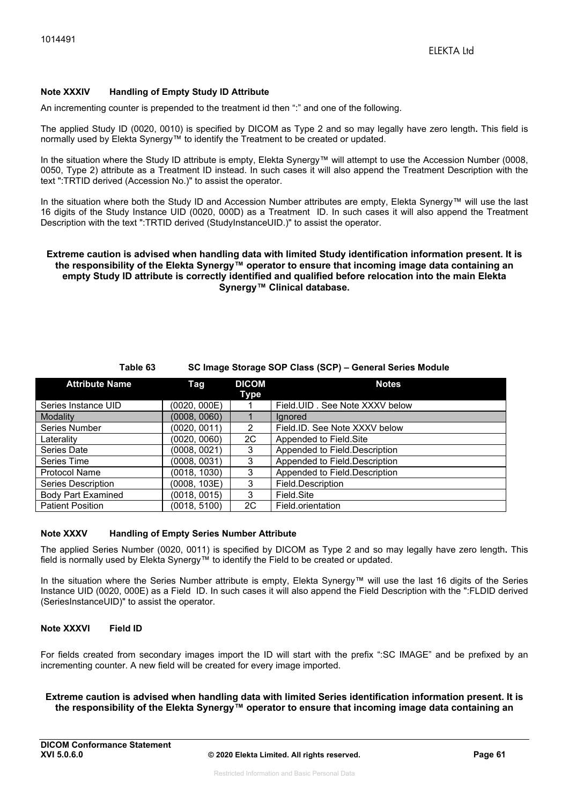#### **Note XXXIV Handling of Empty Study ID Attribute**

An incrementing counter is prepended to the treatment id then ":" and one of the following.

The applied Study ID (0020, 0010) is specified by DICOM as Type 2 and so may legally have zero length**.** This field is normally used by Elekta Synergy™ to identify the Treatment to be created or updated.

In the situation where the Study ID attribute is empty, Elekta Synergy™ will attempt to use the Accession Number (0008, 0050, Type 2) attribute as a Treatment ID instead. In such cases it will also append the Treatment Description with the text ":TRTID derived (Accession No.)" to assist the operator.

In the situation where both the Study ID and Accession Number attributes are empty, Elekta Synergy™ will use the last 16 digits of the Study Instance UID (0020, 000D) as a Treatment ID. In such cases it will also append the Treatment Description with the text ":TRTID derived (StudyInstanceUID.)" to assist the operator.

#### **Extreme caution is advised when handling data with limited Study identification information present. It is the responsibility of the Elekta Synergy™ operator to ensure that incoming image data containing an empty Study ID attribute is correctly identified and qualified before relocation into the main Elekta Synergy™ Clinical database.**

#### **Table 63 SC Image Storage SOP Class (SCP) – General Series Module**

| <b>Attribute Name</b>     | <b>Tag</b>   | <b>DICOM</b><br>Type | <b>Notes</b>                     |
|---------------------------|--------------|----------------------|----------------------------------|
| Series Instance UID       | (0020, 000E) |                      | Field. UID . See Note XXXV below |
| Modality                  | (0008, 0060) |                      | lanored                          |
| Series Number             | (0020, 0011) | 2                    | Field.ID. See Note XXXV below    |
| Laterality                | (0020, 0060) | 2C                   | Appended to Field.Site           |
| Series Date               | (0008.0021)  | 3                    | Appended to Field.Description    |
| Series Time               | (0008, 0031) | 3                    | Appended to Field.Description    |
| <b>Protocol Name</b>      | (0018, 1030) | 3                    | Appended to Field.Description    |
| Series Description        | (0008, 103E) | 3                    | Field.Description                |
| <b>Body Part Examined</b> | (0018, 0015) | 3                    | Field Site                       |
| <b>Patient Position</b>   | (0018, 5100) | 2C                   | Field.orientation                |

#### **Note XXXV Handling of Empty Series Number Attribute**

The applied Series Number (0020, 0011) is specified by DICOM as Type 2 and so may legally have zero length**.** This field is normally used by Elekta Synergy™ to identify the Field to be created or updated.

In the situation where the Series Number attribute is empty, Elekta Synergy™ will use the last 16 digits of the Series Instance UID (0020, 000E) as a Field ID. In such cases it will also append the Field Description with the ":FLDID derived (SeriesInstanceUID)" to assist the operator.

#### **Note XXXVI Field ID**

For fields created from secondary images import the ID will start with the prefix ":SC IMAGE" and be prefixed by an incrementing counter. A new field will be created for every image imported.

#### **Extreme caution is advised when handling data with limited Series identification information present. It is the responsibility of the Elekta Synergy™ operator to ensure that incoming image data containing an**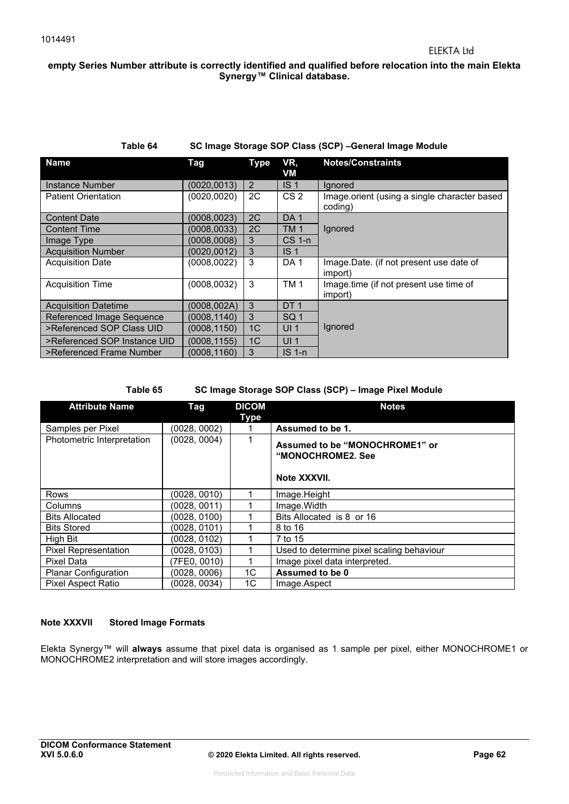#### **empty Series Number attribute is correctly identified and qualified before relocation into the main Elekta Synergy™ Clinical database.**

#### **Table 64 SC Image Storage SOP Class (SCP) –General Image Module**

| <b>Name</b>                  | Tag          | <b>Type</b>    | VR,<br>VM       | <b>Notes/Constraints</b>                                |
|------------------------------|--------------|----------------|-----------------|---------------------------------------------------------|
| Instance Number              | (0020, 0013) | 2              | IS <sub>1</sub> | lgnored                                                 |
| <b>Patient Orientation</b>   | (0020, 0020) | 2C             | CS <sub>2</sub> | Image.orient (using a single character based<br>coding) |
| <b>Content Date</b>          | (0008, 0023) | 2C             | DA <sub>1</sub> |                                                         |
| <b>Content Time</b>          | (0008.0033)  | 2C             | <b>TM1</b>      | Ignored                                                 |
| Image Type                   | (0008,0008)  | 3              | <b>CS 1-n</b>   |                                                         |
| <b>Acquisition Number</b>    | (0020, 0012) | 3              | IS <sub>1</sub> |                                                         |
| <b>Acquisition Date</b>      | (0008, 0022) | 3              | DA <sub>1</sub> | Image.Date. (if not present use date of<br>(import)     |
| <b>Acquisition Time</b>      | (0008, 0032) | 3              | TM <sub>1</sub> | Image.time (if not present use time of<br>import)       |
| <b>Acquisition Datetime</b>  | (0008.002A)  | 3              | DT <sub>1</sub> |                                                         |
| Referenced Image Sequence    | (0008, 1140) | 3              | SQ <sub>1</sub> |                                                         |
| >Referenced SOP Class UID    | (0008, 1150) | 1 <sup>C</sup> | UI <sub>1</sub> | Ignored                                                 |
| >Referenced SOP Instance UID | (0008, 1155) | 1 <sup>C</sup> | UI <sub>1</sub> |                                                         |
| >Referenced Frame Number     | (0008.1160)  | 3              | $IS1-n$         |                                                         |

#### **Table 65 SC Image Storage SOP Class (SCP) – Image Pixel Module**

| <b>Attribute Name</b>       | Tag          | <b>DICOM</b> | <b>Notes</b>                                                        |
|-----------------------------|--------------|--------------|---------------------------------------------------------------------|
|                             |              | <b>Type</b>  |                                                                     |
| Samples per Pixel           | (0028, 0002) |              | Assumed to be 1.                                                    |
| Photometric Interpretation  | (0028, 0004) |              | Assumed to be "MONOCHROME1" or<br>"MONOCHROME2. See<br>Note XXXVII. |
| Rows                        | (0028, 0010) |              | Image.Height                                                        |
| Columns                     | (0028, 0011) |              | Image. Width                                                        |
| <b>Bits Allocated</b>       | (0028, 0100) |              | Bits Allocated is 8 or 16                                           |
| <b>Bits Stored</b>          | (0028.0101)  |              | 8 to 16                                                             |
| High Bit                    | (0028, 0102) |              | 7 to 15                                                             |
| <b>Pixel Representation</b> | (0028, 0103) |              | Used to determine pixel scaling behaviour                           |
| Pixel Data                  | (7FE0, 0010) |              | Image pixel data interpreted.                                       |
| <b>Planar Configuration</b> | (0028, 0006) | 1C           | Assumed to be 0                                                     |
| <b>Pixel Aspect Ratio</b>   | (0028, 0034) | 1C           | Image.Aspect                                                        |

#### **Note XXXVII Stored Image Formats**

Elekta Synergy™ will **always** assume that pixel data is organised as 1 sample per pixel, either MONOCHROME1 or MONOCHROME2 interpretation and will store images accordingly.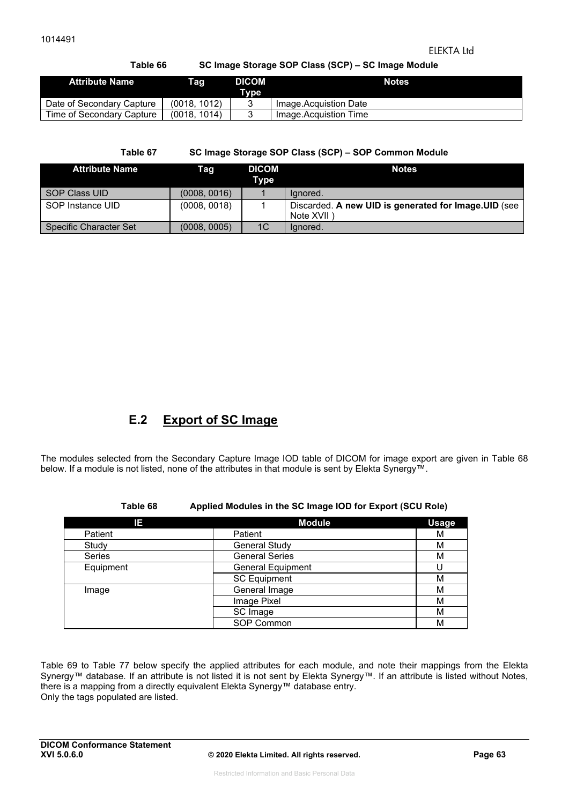### ELEKTA Ltd

### **Table 66 SC Image Storage SOP Class (SCP) – SC Image Module**

| <b>Attribute Name</b>     | Taq          | <b>DICOM</b><br>Type | <b>Notes</b>          |
|---------------------------|--------------|----------------------|-----------------------|
| Date of Secondary Capture | (0018, 1012) |                      | Image.Acquistion Date |
| Time of Secondary Capture | (0018, 1014) |                      | Image.Acquistion Time |

**Table 67 SC Image Storage SOP Class (SCP) – SOP Common Module** 

| <b>Attribute Name</b>  | Tag          | <b>DICOM</b><br>Type | <b>Notes</b>                                                        |
|------------------------|--------------|----------------------|---------------------------------------------------------------------|
| SOP Class UID          | (0008, 0016) |                      | lanored.                                                            |
| SOP Instance UID       | (0008, 0018) |                      | Discarded. A new UID is generated for Image. UID (see<br>Note XVII) |
| Specific Character Set | (0008, 0005) | 1 <sup>C</sup>       | Ignored.                                                            |

## **E.2 Export of SC Image**

The modules selected from the Secondary Capture Image IOD table of DICOM for image export are given in Table 68 below. If a module is not listed, none of the attributes in that module is sent by Elekta Synergy™.

| Table 68 | Applied Modules in the SC Image IOD for Export (SCU Role) |  |  |
|----------|-----------------------------------------------------------|--|--|
|----------|-----------------------------------------------------------|--|--|

| IΕ            | <b>Module</b>            | <b>Usage</b> |
|---------------|--------------------------|--------------|
| Patient       | Patient                  | M            |
| Study         | <b>General Study</b>     | M            |
| <b>Series</b> | <b>General Series</b>    | M            |
| Equipment     | <b>General Equipment</b> |              |
|               | <b>SC Equipment</b>      | М            |
| Image         | General Image            | М            |
|               | Image Pixel              | М            |
|               | SC Image                 | М            |
|               | SOP Common               | М            |

Table 69 to Table 77 below specify the applied attributes for each module, and note their mappings from the Elekta Synergy™ database. If an attribute is not listed it is not sent by Elekta Synergy™. If an attribute is listed without Notes, there is a mapping from a directly equivalent Elekta Synergy™ database entry. Only the tags populated are listed.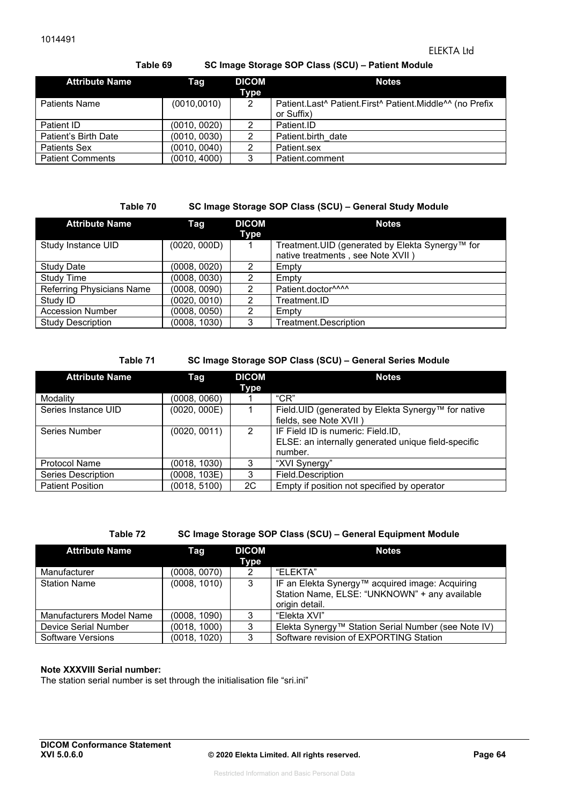### ELEKTA Ltd

#### **Table 69 SC Image Storage SOP Class (SCU) – Patient Module**

| <b>Attribute Name</b>   | Taq          | <b>DICOM</b><br>Type | <b>Notes</b>                                                           |
|-------------------------|--------------|----------------------|------------------------------------------------------------------------|
| <b>Patients Name</b>    | (0010, 0010) | 2                    | Patient.Last^ Patient.First^ Patient.Middle^^ (no Prefix<br>or Suffix) |
| Patient ID              | (0010, 0020) | 2                    | Patient.ID                                                             |
| Patient's Birth Date    | (0010, 0030) | 2                    | Patient.birth date                                                     |
| <b>Patients Sex</b>     | (0010, 0040) | 2                    | Patient.sex                                                            |
| <b>Patient Comments</b> | (0010, 4000) | 3                    | Patient.comment                                                        |

#### **Table 70 SC Image Storage SOP Class (SCU) – General Study Module**

| <b>Attribute Name</b>     | Tag          | <b>DICOM</b><br>Type | <b>Notes</b>                                                                         |
|---------------------------|--------------|----------------------|--------------------------------------------------------------------------------------|
| Study Instance UID        | (0020, 000D) |                      | Treatment.UID (generated by Elekta Synergy™ for<br>native treatments, see Note XVII) |
| <b>Study Date</b>         | (0008, 0020) | 2                    | Empty                                                                                |
| <b>Study Time</b>         | (0008, 0030) | 2                    | Empty                                                                                |
| Referring Physicians Name | (0008, 0090) | າ                    | Patient.doctor^^^^                                                                   |
| Study ID                  | (0020, 0010) | 2                    | Treatment.ID                                                                         |
| <b>Accession Number</b>   | (0008, 0050) | າ                    | Empty                                                                                |
| <b>Study Description</b>  | (0008, 1030) | 3                    | Treatment.Description                                                                |

#### **Table 71 SC Image Storage SOP Class (SCU) – General Series Module**

| <b>Attribute Name</b>   | Tag          | <b>DICOM</b><br>Type | <b>Notes</b>                                                                                        |
|-------------------------|--------------|----------------------|-----------------------------------------------------------------------------------------------------|
| Modality                | (0008, 0060) |                      | $C^{\prime}CR^{\prime\prime}$                                                                       |
| Series Instance UID     | (0020, 000E) |                      | Field.UID (generated by Elekta Synergy™ for native<br>fields, see Note XVII)                        |
| Series Number           | (0020, 0011) | 2                    | IF Field ID is numeric: Field.ID,<br>ELSE: an internally generated unique field-specific<br>number. |
| <b>Protocol Name</b>    | (0018, 1030) | 3                    | "XVI Synergy"                                                                                       |
| Series Description      | (0008, 103E) | 3                    | Field.Description                                                                                   |
| <b>Patient Position</b> | (0018, 5100) | 2C                   | Empty if position not specified by operator                                                         |

**Table 72 SC Image Storage SOP Class (SCU) – General Equipment Module** 

| <b>Attribute Name</b>    | <b>DICOM</b><br>Tag |      | <b>Notes</b>                                                                                                       |
|--------------------------|---------------------|------|--------------------------------------------------------------------------------------------------------------------|
|                          |                     | Type |                                                                                                                    |
| Manufacturer             | (0008, 0070)        | 2    | "FLFKTA"                                                                                                           |
| <b>Station Name</b>      | (0008, 1010)        | 3    | IF an Elekta Synergy™ acquired image: Acquiring<br>Station Name, ELSE: "UNKNOWN" + any available<br>origin detail. |
| Manufacturers Model Name | (0008, 1090)        | 3    | "Elekta XVI"                                                                                                       |
| Device Serial Number     | (0018, 1000)        | 3    | Elekta Synergy™ Station Serial Number (see Note IV)                                                                |
| Software Versions        | (0018, 1020)        | 3    | Software revision of EXPORTING Station                                                                             |

#### **Note XXXVIII Serial number:**

The station serial number is set through the initialisation file "sri.ini"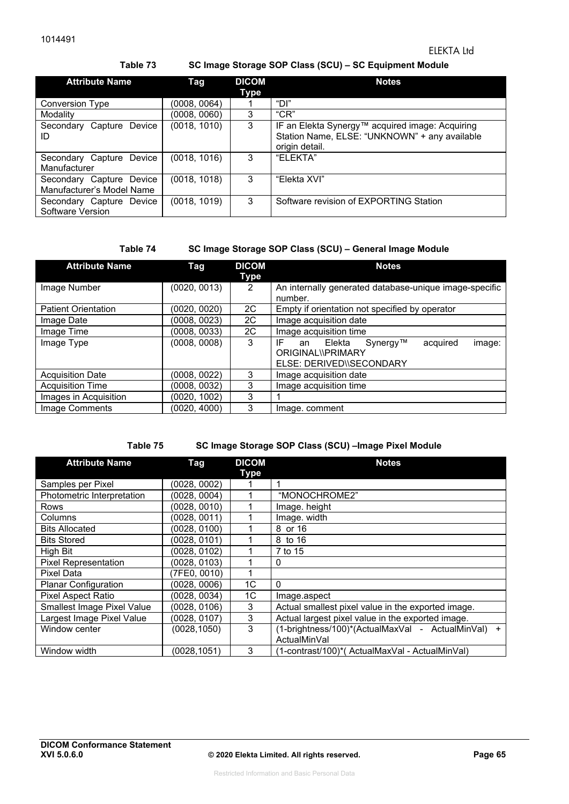**Table 73 SC Image Storage SOP Class (SCU) – SC Equipment Module**

| <b>Attribute Name</b>                                 | <b>Tag</b>   | <b>DICOM</b><br>Type | <b>Notes</b>                                                                                                       |
|-------------------------------------------------------|--------------|----------------------|--------------------------------------------------------------------------------------------------------------------|
| <b>Conversion Type</b>                                | (0008, 0064) |                      | "DI"                                                                                                               |
| Modality                                              | (0008, 0060) | 3                    | $C^{\prime}CR^{\prime\prime}$                                                                                      |
| Capture<br>Device<br>Secondary<br>ID                  | (0018, 1010) | 3                    | IF an Elekta Synergy™ acquired image: Acquiring<br>Station Name, ELSE: "UNKNOWN" + any available<br>origin detail. |
| Secondary Capture Device<br>Manufacturer              | (0018, 1016) | 3                    | "FLFKTA"                                                                                                           |
| Secondary Capture Device<br>Manufacturer's Model Name | (0018, 1018) | 3                    | "Elekta XVI"                                                                                                       |
| Secondary Capture Device<br>Software Version          | (0018, 1019) | 3                    | Software revision of EXPORTING Station                                                                             |

#### **Table 74 SC Image Storage SOP Class (SCU) – General Image Module**

| <b>Attribute Name</b>      | Tag          | <b>DICOM</b><br>Type | <b>Notes</b>                                                                                          |
|----------------------------|--------------|----------------------|-------------------------------------------------------------------------------------------------------|
| Image Number               | (0020, 0013) | 2                    | An internally generated database-unique image-specific<br>number.                                     |
| <b>Patient Orientation</b> | (0020, 0020) | 2C                   | Empty if orientation not specified by operator                                                        |
| Image Date                 | (0008, 0023) | 2C                   | Image acquisition date                                                                                |
| Image Time                 | (0008, 0033) | 2C                   | Image acquisition time                                                                                |
| Image Type                 | (0008, 0008) | 3                    | IF<br>Synergy™<br>acquired<br>Elekta<br>an<br>image:<br>ORIGINAL\\PRIMARY<br>ELSE: DERIVED\\SECONDARY |
| <b>Acquisition Date</b>    | (0008, 0022) | 3                    | Image acquisition date                                                                                |
| <b>Acquisition Time</b>    | (0008, 0032) | 3                    | Image acquisition time                                                                                |
| Images in Acquisition      | (0020, 1002) | 3                    |                                                                                                       |
| Image Comments             | (0020, 4000) | 3                    | Image. comment                                                                                        |

#### **Table 75 SC Image Storage SOP Class (SCU) –Image Pixel Module**

| <b>Attribute Name</b>             | Tag          | <b>DICOM</b> | <b>Notes</b>                                            |
|-----------------------------------|--------------|--------------|---------------------------------------------------------|
|                                   |              | Type         |                                                         |
| Samples per Pixel                 | (0028, 0002) |              |                                                         |
| Photometric Interpretation        | (0028, 0004) | 1            | "MONOCHROME2"                                           |
| Rows                              | (0028, 0010) |              | Image. height                                           |
| Columns                           | (0028, 0011) |              | Image. width                                            |
| <b>Bits Allocated</b>             | (0028, 0100) |              | 8 or 16                                                 |
| <b>Bits Stored</b>                | (0028, 0101) |              | 8 to 16                                                 |
| High Bit                          | (0028, 0102) |              | 7 to 15                                                 |
| <b>Pixel Representation</b>       | (0028, 0103) |              | 0                                                       |
| Pixel Data                        | (7FE0, 0010) |              |                                                         |
| <b>Planar Configuration</b>       | (0028, 0006) | 1C           | $\Omega$                                                |
| Pixel Aspect Ratio                | (0028, 0034) | 1C           | Image.aspect                                            |
| <b>Smallest Image Pixel Value</b> | (0028, 0106) | 3            | Actual smallest pixel value in the exported image.      |
| Largest Image Pixel Value         | (0028, 0107) | 3            | Actual largest pixel value in the exported image.       |
| Window center                     | (0028,1050)  | 3            | (1-brightness/100)*(ActualMaxVal - ActualMinVal)<br>$+$ |
|                                   |              |              | ActualMinVal                                            |
| Window width                      | (0028,1051)  | 3            | (1-contrast/100)*(ActualMaxVal - ActualMinVal)          |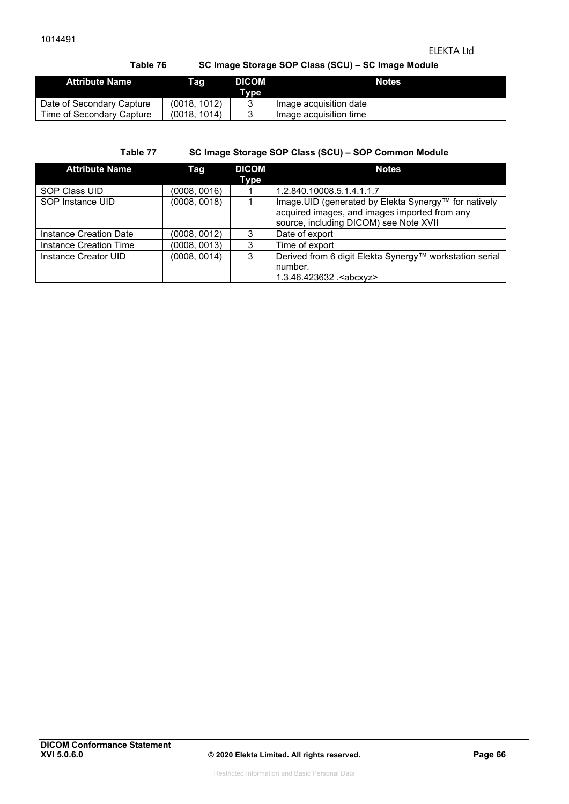### ELEKTA Ltd

## **Table 76 SC Image Storage SOP Class (SCU) – SC Image Module**

| <b>Attribute Name</b>     | Tag          | <b>DICOM</b><br>Tvpe | <b>Notes</b>           |
|---------------------------|--------------|----------------------|------------------------|
| Date of Secondary Capture | (0018.1012)  |                      | Image acquisition date |
| Time of Secondary Capture | (0018. 1014) |                      | Image acquisition time |

### **Table 77 SC Image Storage SOP Class (SCU) – SOP Common Module**

| <b>Attribute Name</b>  | Taq          | <b>DICOM</b> | <b>Notes</b>                                            |
|------------------------|--------------|--------------|---------------------------------------------------------|
|                        |              | Type         |                                                         |
| SOP Class UID          | (0008, 0016) |              | 1.2.840.10008.5.1.4.1.1.7                               |
| SOP Instance UID       | (0008, 0018) |              | Image. UID (generated by Elekta Synergy™ for natively   |
|                        |              |              | acquired images, and images imported from any           |
|                        |              |              | source, including DICOM) see Note XVII                  |
| Instance Creation Date | (0008, 0012) | 3            | Date of export                                          |
| Instance Creation Time | (0008, 0013) | 3            | Time of export                                          |
| Instance Creator UID   | (0008, 0014) | 3            | Derived from 6 digit Elekta Synergy™ workstation serial |
|                        |              |              | number.                                                 |
|                        |              |              | 1.3.46.423632 . <abcxyz></abcxyz>                       |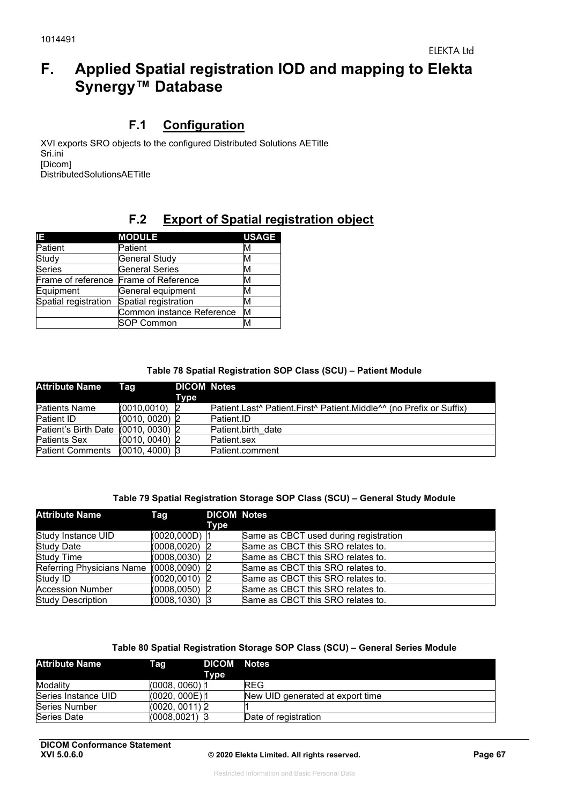# **F. Applied Spatial registration IOD and mapping to Elekta Synergy™ Database**

## **F.1 Configuration**

XVI exports SRO objects to the configured Distributed Solutions AETitle Sri.ini [Dicom] DistributedSolutionsAETitle

# **F.2 Export of Spatial registration object**

| IE.                  | <b>MODULE</b>                         | <b>USAGE</b> |
|----------------------|---------------------------------------|--------------|
| Patient              | Patient                               | M            |
| Study                | General Study                         | M            |
| <b>Series</b>        | <b>General Series</b>                 | M            |
|                      | Frame of reference Frame of Reference | M            |
| Equipment            | General equipment                     | м            |
| Spatial registration | Spatial registration                  | м            |
|                      | Common instance Reference             | M            |
|                      | SOP Common                            |              |

#### **Table 78 Spatial Registration SOP Class (SCU) – Patient Module**

| <b>Attribute Name</b>               | Tag              | <b>DICOM Notes</b><br>Type |                                                                                                         |
|-------------------------------------|------------------|----------------------------|---------------------------------------------------------------------------------------------------------|
| Patients Name                       | (0010.0010)      |                            | Patient.Last <sup>^</sup> Patient.First <sup>^</sup> Patient.Middle <sup>^^</sup> (no Prefix or Suffix) |
| Patient ID                          | $(0010, 0020)$ 2 |                            | Patient.ID                                                                                              |
| Patient's Birth Date (0010, 0030) 2 |                  |                            | Patient.birth date                                                                                      |
| <b>Patients Sex</b>                 | $(0010, 0040)$ 2 |                            | Patient.sex                                                                                             |
| Patient Comments                    | $(0010, 4000)$ 3 |                            | Patient.comment                                                                                         |

#### **Table 79 Spatial Registration Storage SOP Class (SCU) – General Study Module**

| <b>Attribute Name</b>                   | Tag              | <b>DICOM Notes</b> |                                       |
|-----------------------------------------|------------------|--------------------|---------------------------------------|
|                                         |                  | Type               |                                       |
| Study Instance UID                      | (0020,000D)      |                    | Same as CBCT used during registration |
| Study Date                              | (0008, 0020)     |                    | Same as CBCT this SRO relates to.     |
| Study Time                              | (0008.0030)      |                    | Same as CBCT this SRO relates to.     |
| Referring Physicians Name (0008,0090) 2 |                  |                    | Same as CBCT this SRO relates to.     |
| Study ID                                | $(0020, 0010)$ 2 |                    | Same as CBCT this SRO relates to.     |
| <b>Accession Number</b>                 | (0008, 0050)     |                    | Same as CBCT this SRO relates to.     |
| <b>Study Description</b>                | $(0008, 1030)$ 3 |                    | Same as CBCT this SRO relates to.     |

#### **Table 80 Spatial Registration Storage SOP Class (SCU) – General Series Module**

| <b>Attribute Name</b> | Taq              | DICOM Notes<br><b>Type</b> |                                  |
|-----------------------|------------------|----------------------------|----------------------------------|
| Modality              | $(0008, 0060)$ 1 |                            | <b>REG</b>                       |
| Series Instance UID   | (0020, 000E) 1   |                            | New UID generated at export time |
| Series Number         | (0020, 0011) 2   |                            |                                  |
| Series Date           | (0008,0021) 3    |                            | Date of registration             |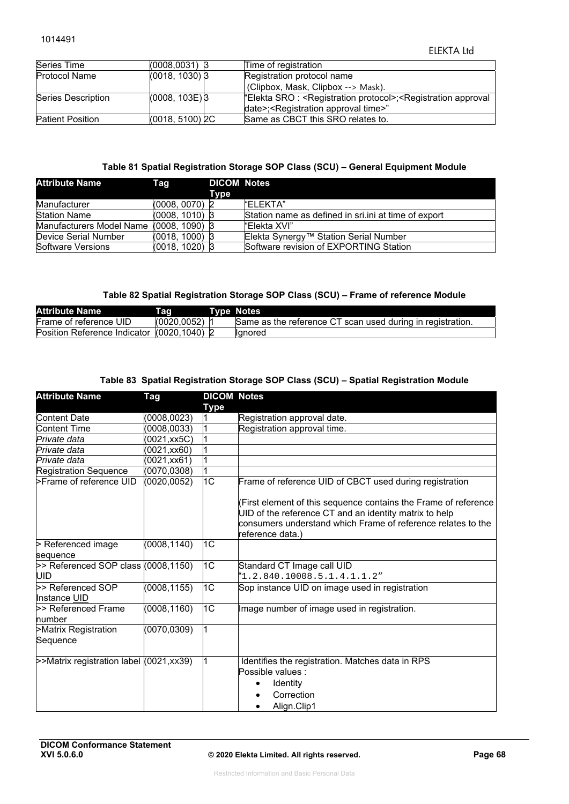| Series Time             | $(0008,0031)$ 3             | Time of registration                                                                                     |
|-------------------------|-----------------------------|----------------------------------------------------------------------------------------------------------|
| <b>Protocol Name</b>    | $(0018, 1030)$ 3            | Registration protocol name                                                                               |
|                         |                             | (Clipbox, Mask, Clipbox --> Mask).                                                                       |
| Series Description      | $(0008, 103E)$ <sup>3</sup> | "Elekta SRO : <registration protocol="">;<registration approval<="" td=""></registration></registration> |
|                         |                             | date>; <registration approval="" time="">"</registration>                                                |
| <b>Patient Position</b> | (0018, 5100) 2C             | Same as CBCT this SRO relates to.                                                                        |

#### **Table 81 Spatial Registration Storage SOP Class (SCU) – General Equipment Module**

| <b>Attribute Name</b>                   | Tag              | <b>DICOM Notes</b> |                                                       |
|-----------------------------------------|------------------|--------------------|-------------------------------------------------------|
|                                         |                  | Type               |                                                       |
| Manufacturer                            | $(0008, 0070)$ 2 |                    | "FLFKTA"                                              |
| <b>Station Name</b>                     | $(0008, 1010)$ 3 |                    | Station name as defined in sri. ini at time of export |
| Manufacturers Model Name (0008, 1090) 3 |                  |                    | l"Elekta XVI"                                         |
| Device Serial Number                    | $(0018, 1000)$ 3 |                    | Elekta Synergy™ Station Serial Number                 |
| Software Versions                       | $(0018, 1020)$ 3 |                    | Software revision of EXPORTING Station                |

#### **Table 82 Spatial Registration Storage SOP Class (SCU) – Frame of reference Module**

| <b>Attribute Name</b>                      | Tag         | <b>Type Notes</b>                                          |
|--------------------------------------------|-------------|------------------------------------------------------------|
| Frame of reference UID                     | (0020.0052) | Same as the reference CT scan used during in registration. |
| Position Reference Indicator (0020,1040) 2 |             | llqnored                                                   |

#### **Table 83 Spatial Registration Storage SOP Class (SCU) – Spatial Registration Module**

| <b>Attribute Name</b>                          | Tag                   | <b>DICOM Notes</b><br><b>Type</b> |                                                                                                                                                                                                               |
|------------------------------------------------|-----------------------|-----------------------------------|---------------------------------------------------------------------------------------------------------------------------------------------------------------------------------------------------------------|
| Content Date                                   | (0008, 0023)          |                                   | Registration approval date.                                                                                                                                                                                   |
| Content Time                                   | (0008, 0033)          |                                   | Registration approval time.                                                                                                                                                                                   |
| Private data                                   | (0021,xx5C)           | 1                                 |                                                                                                                                                                                                               |
| Private data                                   | $(0021, x \times 60)$ |                                   |                                                                                                                                                                                                               |
| Private data                                   | (0021,xx61)           | 1                                 |                                                                                                                                                                                                               |
| <b>Registration Sequence</b>                   | (0070, 0308)          | $\overline{1}$                    |                                                                                                                                                                                                               |
| >Frame of reference UID                        | (0020,0052)           | 1C                                | Frame of reference UID of CBCT used during registration                                                                                                                                                       |
|                                                |                       |                                   | (First element of this sequence contains the Frame of reference<br>UID of the reference CT and an identity matrix to help<br>consumers understand which Frame of reference relates to the<br>reference data.) |
| > Referenced image<br>sequence                 | (0008, 1140)          | 1C                                |                                                                                                                                                                                                               |
| $>$ Referenced SOP class $(0008, 1150)$<br>UID |                       | 1C                                | Standard CT Image call UID<br>$1.2.840.10008.5.1.4.1.1.2$ "                                                                                                                                                   |
| >> Referenced SOP<br>Instance UID              | (0008, 1155)          | 1 <sub>C</sub>                    | Sop instance UID on image used in registration                                                                                                                                                                |
| >> Referenced Frame<br>number                  | (0008, 1160)          | 1C                                | Image number of image used in registration.                                                                                                                                                                   |
| >Matrix Registration<br>Sequence               | (0070, 0309)          | l1                                |                                                                                                                                                                                                               |
| >>Matrix registration label (0021, xx39)       |                       |                                   | Identifies the registration. Matches data in RPS<br>Possible values :<br><b>Identity</b><br>Correction<br>Align.Clip1                                                                                         |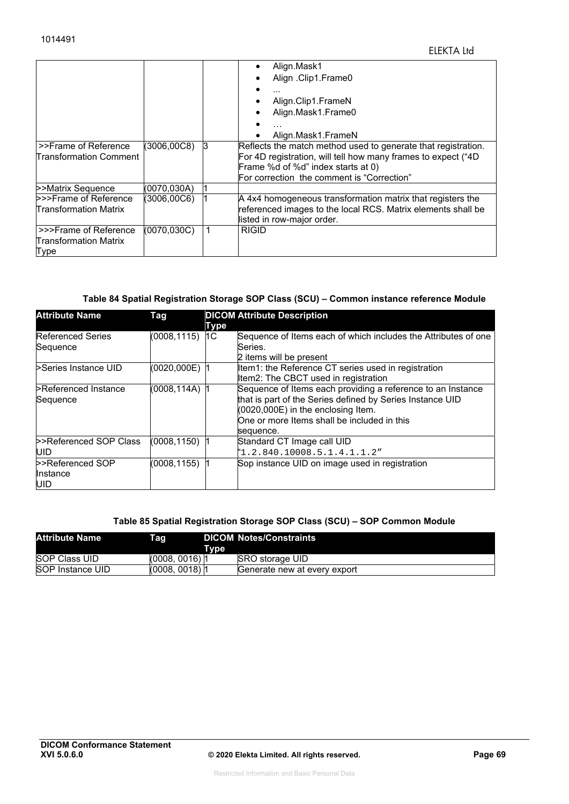|              |   | Align.Mask1                                                   |
|--------------|---|---------------------------------------------------------------|
|              |   | Align .Clip1.Frame0                                           |
|              |   |                                                               |
|              |   | Align.Clip1.FrameN                                            |
|              |   | Align.Mask1.Frame0                                            |
|              |   |                                                               |
|              |   | Align.Mask1.FrameN                                            |
| (3006,00C8)  | R | Reflects the match method used to generate that registration. |
|              |   | For 4D registration, will tell how many frames to expect ("4D |
|              |   | Frame %d of %d" index starts at 0)                            |
|              |   | For correction the comment is "Correction"                    |
| (0070,030A)  |   |                                                               |
| (3006,00C6)  |   | A 4x4 homogeneous transformation matrix that registers the    |
|              |   | referenced images to the local RCS. Matrix elements shall be  |
|              |   | listed in row-major order.                                    |
| (0070, 030C) |   | <b>RIGID</b>                                                  |
|              |   |                                                               |
|              |   |                                                               |
|              |   |                                                               |

#### **Table 84 Spatial Registration Storage SOP Class (SCU) – Common instance reference Module**

| <b>Attribute Name</b>    | Tag               |      | <b>DICOM Attribute Description</b>                             |
|--------------------------|-------------------|------|----------------------------------------------------------------|
|                          |                   | Type |                                                                |
| <b>Referenced Series</b> | $(0008, 1115)$ 1C |      | Sequence of Items each of which includes the Attributes of one |
| Sequence                 |                   |      | Series.                                                        |
|                          |                   |      | 2 items will be present                                        |
| >Series Instance UID     | (0020,000E)       |      | Item1: the Reference CT series used in registration            |
|                          |                   |      | Item2: The CBCT used in registration                           |
| Referenced Instance      | (0008,114A)       |      | Sequence of Items each providing a reference to an Instance    |
| Sequence                 |                   |      | that is part of the Series defined by Series Instance UID      |
|                          |                   |      | $(0020,000E)$ in the enclosing Item.                           |
|                          |                   |      | One or more Items shall be included in this                    |
|                          |                   |      | sequence.                                                      |
| >>Referenced SOP Class   | (0008,1150)       |      | Standard CT Image call UID                                     |
| IUID.                    |                   |      | "1.2.840.10008.5.1.4.1.1.2"                                    |
| >>Referenced SOP         | (0008, 1155)      |      | Sop instance UID on image used in registration                 |
| Ilnstance                |                   |      |                                                                |
| UID                      |                   |      |                                                                |

#### **Table 85 Spatial Registration Storage SOP Class (SCU) – SOP Common Module**

| <b>Attribute Name</b>   | Tag            | <b>DICOM Notes/Constraints</b><br>Tvpe |                              |
|-------------------------|----------------|----------------------------------------|------------------------------|
| <b>SOP Class UID</b>    | (0008, 0016) 1 |                                        | SRO storage UID              |
| <b>SOP Instance UID</b> | (0008, 0018) 1 |                                        | Generate new at every export |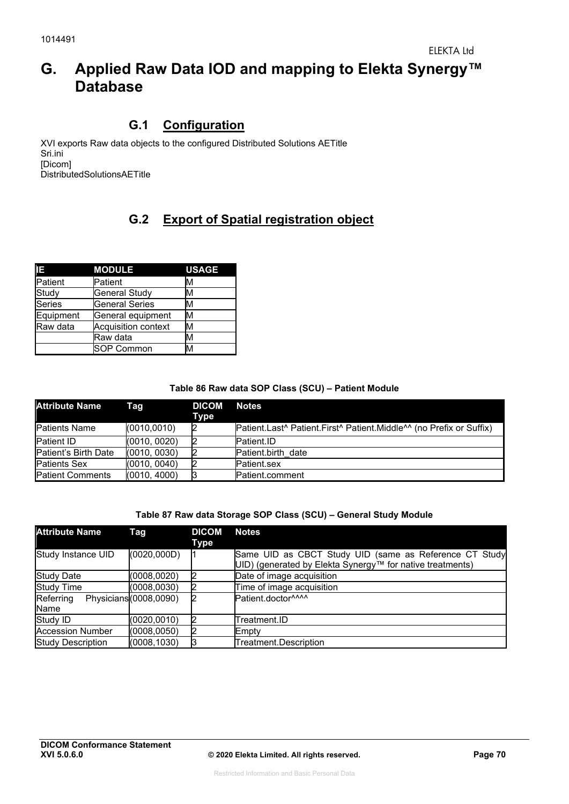# **G. Applied Raw Data IOD and mapping to Elekta Synergy™ Database**

## **G.1 Configuration**

XVI exports Raw data objects to the configured Distributed Solutions AETitle Sri.ini [Dicom] DistributedSolutionsAETitle

# **G.2 Export of Spatial registration object**

| IE.           | <b>MODULE</b>         | <b>USAGE</b> |
|---------------|-----------------------|--------------|
| Patient       | Patient               | М            |
| Study         | <b>General Study</b>  | М            |
| <b>Series</b> | <b>General Series</b> | M            |
| Equipment     | General equipment     | M            |
| Raw data      | Acquisition context   | M            |
|               | lRaw data             | M            |
|               | <b>SOP Common</b>     | м            |

#### **Table 86 Raw data SOP Class (SCU) – Patient Module**

| <b>Attribute Name</b>   | Taq          | <b>DICOM</b><br>Type | <b>Notes</b>                                                                                            |
|-------------------------|--------------|----------------------|---------------------------------------------------------------------------------------------------------|
| <b>Patients Name</b>    | (0010, 0010) |                      | Patient.Last <sup>^</sup> Patient.First <sup>^</sup> Patient.Middle <sup>^^</sup> (no Prefix or Suffix) |
| <b>Patient ID</b>       | (0010, 0020) |                      | Patient.ID                                                                                              |
| Patient's Birth Date    | (0010, 0030) |                      | Patient.birth date                                                                                      |
| <b>Patients Sex</b>     | (0010, 0040) |                      | Patient.sex                                                                                             |
| <b>Patient Comments</b> | (0010, 4000) |                      | Patient.comment                                                                                         |

#### **Table 87 Raw data Storage SOP Class (SCU) – General Study Module**

| <b>Attribute Name</b>     | Tag                    | <b>DICOM</b><br>Type | <b>Notes</b>                                                                                                        |
|---------------------------|------------------------|----------------------|---------------------------------------------------------------------------------------------------------------------|
| <b>Study Instance UID</b> | (0020, 000D)           |                      | Same UID as CBCT Study UID (same as Reference CT Study<br>UID) (generated by Elekta Synergy™ for native treatments) |
| <b>Study Date</b>         | (0008, 0020)           |                      | Date of image acquisition                                                                                           |
| <b>Study Time</b>         | (0008, 0030)           |                      | Time of image acquisition                                                                                           |
| Referring<br>Name         | Physicians (0008,0090) |                      | Patient.doctor^^^^                                                                                                  |
| Study ID                  | (0020, 0010)           |                      | Treatment.ID                                                                                                        |
| <b>Accession Number</b>   | (0008, 0050)           |                      | Empty                                                                                                               |
| <b>Study Description</b>  | (0008, 1030)           |                      | Treatment.Description                                                                                               |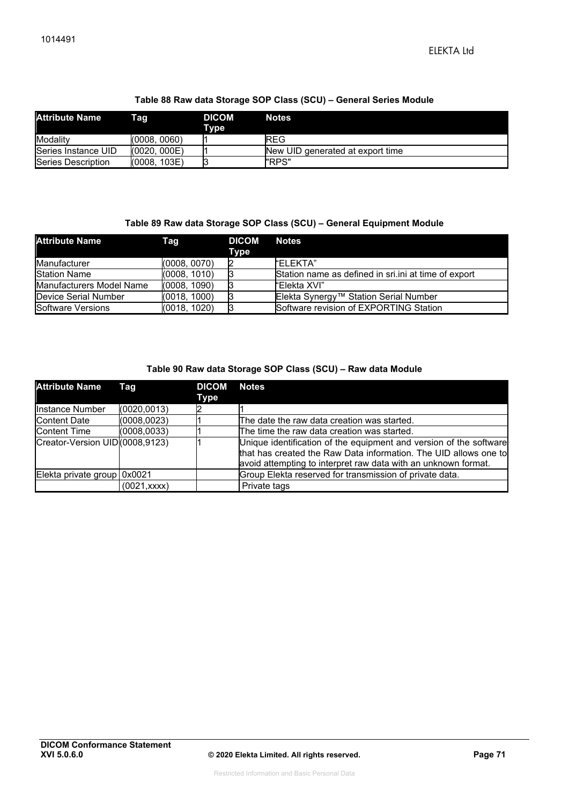#### **Table 88 Raw data Storage SOP Class (SCU) – General Series Module**

| <b>Attribute Name</b>     | Tag          | <b>DICOM</b><br>Tvpe | <b>Notes</b>                     |
|---------------------------|--------------|----------------------|----------------------------------|
| Modality                  | (0008.0060)  |                      | <b>REG</b>                       |
| Series Instance UID       | (0020, 000E) |                      | New UID generated at export time |
| <b>Series Description</b> | (0008, 103E) |                      | "RPS"                            |

#### **Table 89 Raw data Storage SOP Class (SCU) – General Equipment Module**

| <b>Attribute Name</b>           | Taq          | <b>DICOM</b><br>Type | Notes                                                 |
|---------------------------------|--------------|----------------------|-------------------------------------------------------|
| Manufacturer                    | (0008, 0070) |                      | <b><i>FELEKTA</i></b>                                 |
| <b>Station Name</b>             | (0008, 1010) |                      | Station name as defined in sri. ini at time of export |
| <b>Manufacturers Model Name</b> | (0008, 1090) |                      | "Elekta XVI"                                          |
| Device Serial Number            | (0018, 1000) |                      | Elekta Synergy™ Station Serial Number                 |
| <b>Software Versions</b>        | (0018, 1020) |                      | Software revision of EXPORTING Station                |

#### **Table 90 Raw data Storage SOP Class (SCU) – Raw data Module**

| <b>Attribute Name</b>          | Tag          | <b>DICOM</b><br>Type | <b>Notes</b>                                                                                                                                                                                             |
|--------------------------------|--------------|----------------------|----------------------------------------------------------------------------------------------------------------------------------------------------------------------------------------------------------|
| Instance Number                | (0020, 0013) |                      |                                                                                                                                                                                                          |
| <b>Content Date</b>            | (0008, 0023) |                      | The date the raw data creation was started.                                                                                                                                                              |
| <b>Content Time</b>            | (0008, 0033) |                      | The time the raw data creation was started.                                                                                                                                                              |
| Creator-Version UID(0008,9123) |              |                      | Unique identification of the equipment and version of the software<br>that has created the Raw Data information. The UID allows one to<br>avoid attempting to interpret raw data with an unknown format. |
| Elekta private group 0x0021    |              |                      | Group Elekta reserved for transmission of private data.                                                                                                                                                  |
|                                | (0021,xxxx)  |                      | Private tags                                                                                                                                                                                             |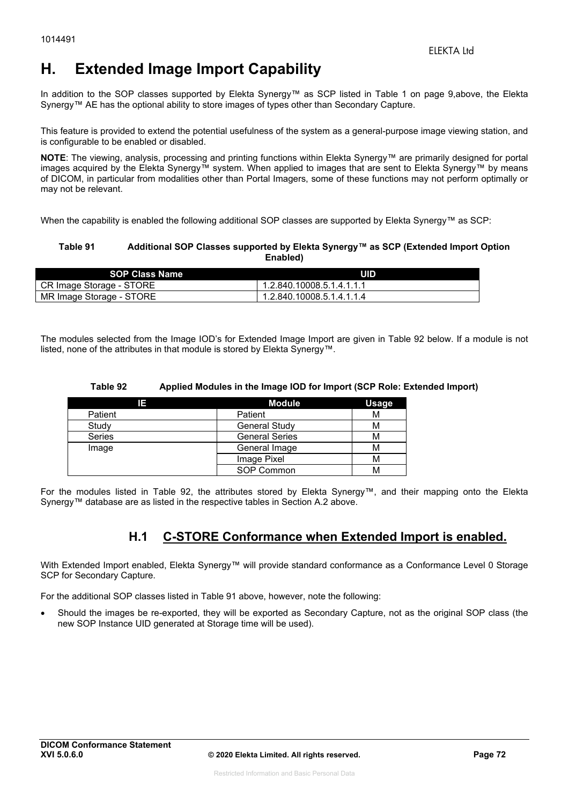# **H. Extended Image Import Capability**

In addition to the SOP classes supported by Elekta Synergy™ as SCP listed in Table 1 on page 9,above, the Elekta Synergy™ AE has the optional ability to store images of types other than Secondary Capture.

This feature is provided to extend the potential usefulness of the system as a general-purpose image viewing station, and is configurable to be enabled or disabled.

**NOTE**: The viewing, analysis, processing and printing functions within Elekta Synergy™ are primarily designed for portal images acquired by the Elekta Synergy™ system. When applied to images that are sent to Elekta Synergy™ by means of DICOM, in particular from modalities other than Portal Imagers, some of these functions may not perform optimally or may not be relevant.

When the capability is enabled the following additional SOP classes are supported by Elekta Synergy™ as SCP:

#### **Table 91 Additional SOP Classes supported by Elekta Synergy™ as SCP (Extended Import Option Enabled)**

| <b>SOP Class Name</b>    | UID                       |
|--------------------------|---------------------------|
| CR Image Storage - STORE | 1.2.840.10008.5.1.4.1.1.1 |
| MR Image Storage - STORE | 1.2.840.10008.5.1.4.1.1.4 |

The modules selected from the Image IOD's for Extended Image Import are given in Table 92 below. If a module is not listed, none of the attributes in that module is stored by Elekta Synergy™.

#### **Table 92 Applied Modules in the Image IOD for Import (SCP Role: Extended Import)**

| 13            | <b>Module</b>         | <b>Usage</b> |
|---------------|-----------------------|--------------|
| Patient       | Patient               | М            |
| Study         | <b>General Study</b>  | м            |
| <b>Series</b> | <b>General Series</b> | м            |
| Image         | General Image         | м            |
|               | Image Pixel           | м            |
|               | SOP Common            | м            |

For the modules listed in Table 92, the attributes stored by Elekta Synergy™, and their mapping onto the Elekta Synergy™ database are as listed in the respective tables in Section A.2 above.

## **H.1 C-STORE Conformance when Extended Import is enabled.**

With Extended Import enabled, Elekta Synergy™ will provide standard conformance as a Conformance Level 0 Storage SCP for Secondary Capture.

For the additional SOP classes listed in Table 91 above, however, note the following:

 Should the images be re-exported, they will be exported as Secondary Capture, not as the original SOP class (the new SOP Instance UID generated at Storage time will be used).